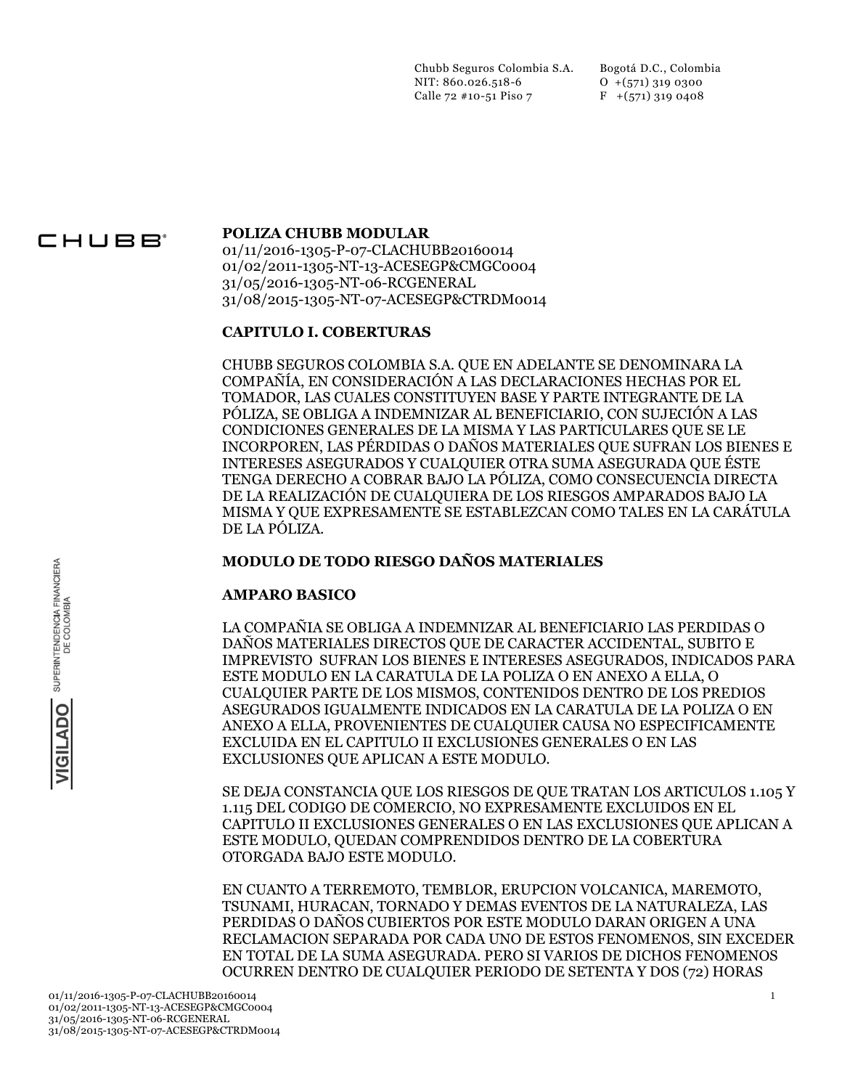Chubb Seguros Colombia S.A. NIT: 860.026.518-6 Calle 72 #10-51 Piso 7

Bogotá D.C., Colombia O +(571) 319 0300  $F$  +(571) 319 0408

# CHUBB®

#### **POLIZA CHUBB MODULAR**

01/11/2016-1305-P-07-CLACHUBB20160014 01/02/2011-1305-NT-13-ACESEGP&CMGC0004 31/05/2016-1305-NT-06-RCGENERAL 31/08/2015-1305-NT-07-ACESEGP&CTRDM0014

### **CAPITULO I. COBERTURAS**

CHUBB SEGUROS COLOMBIA S.A. QUE EN ADELANTE SE DENOMINARA LA COMPAÑÍA, EN CONSIDERACIÓN A LAS DECLARACIONES HECHAS POR EL TOMADOR, LAS CUALES CONSTITUYEN BASE Y PARTE INTEGRANTE DE LA PÓLIZA, SE OBLIGA A INDEMNIZAR AL BENEFICIARIO, CON SUJECIÓN A LAS CONDICIONES GENERALES DE LA MISMA Y LAS PARTICULARES QUE SE LE INCORPOREN, LAS PÉRDIDAS O DAÑOS MATERIALES QUE SUFRAN LOS BIENES E INTERESES ASEGURADOS Y CUALQUIER OTRA SUMA ASEGURADA QUE ÉSTE TENGA DERECHO A COBRAR BAJO LA PÓLIZA, COMO CONSECUENCIA DIRECTA DE LA REALIZACIÓN DE CUALQUIERA DE LOS RIESGOS AMPARADOS BAJO LA MISMA Y QUE EXPRESAMENTE SE ESTABLEZCAN COMO TALES EN LA CARÁTULA DE LA PÓLIZA.

### **MODULO DE TODO RIESGO DAÑOS MATERIALES**

## **AMPARO BASICO**

LA COMPAÑIA SE OBLIGA A INDEMNIZAR AL BENEFICIARIO LAS PERDIDAS O DAÑOS MATERIALES DIRECTOS QUE DE CARACTER ACCIDENTAL, SUBITO E IMPREVISTO SUFRAN LOS BIENES E INTERESES ASEGURADOS, INDICADOS PARA ESTE MODULO EN LA CARATULA DE LA POLIZA O EN ANEXO A ELLA, O CUALQUIER PARTE DE LOS MISMOS, CONTENIDOS DENTRO DE LOS PREDIOS ASEGURADOS IGUALMENTE INDICADOS EN LA CARATULA DE LA POLIZA O EN ANEXO A ELLA, PROVENIENTES DE CUALQUIER CAUSA NO ESPECIFICAMENTE EXCLUIDA EN EL CAPITULO II EXCLUSIONES GENERALES O EN LAS EXCLUSIONES QUE APLICAN A ESTE MODULO.

SE DEJA CONSTANCIA QUE LOS RIESGOS DE QUE TRATAN LOS ARTICULOS 1.105 Y 1.115 DEL CODIGO DE COMERCIO, NO EXPRESAMENTE EXCLUIDOS EN EL CAPITULO II EXCLUSIONES GENERALES O EN LAS EXCLUSIONES QUE APLICAN A ESTE MODULO, QUEDAN COMPRENDIDOS DENTRO DE LA COBERTURA OTORGADA BAJO ESTE MODULO.

EN CUANTO A TERREMOTO, TEMBLOR, ERUPCION VOLCANICA, MAREMOTO, TSUNAMI, HURACAN, TORNADO Y DEMAS EVENTOS DE LA NATURALEZA, LAS PERDIDAS O DAÑOS CUBIERTOS POR ESTE MODULO DARAN ORIGEN A UNA RECLAMACION SEPARADA POR CADA UNO DE ESTOS FENOMENOS, SIN EXCEDER EN TOTAL DE LA SUMA ASEGURADA. PERO SI VARIOS DE DICHOS FENOMENOS OCURREN DENTRO DE CUALQUIER PERIODO DE SETENTA Y DOS (72) HORAS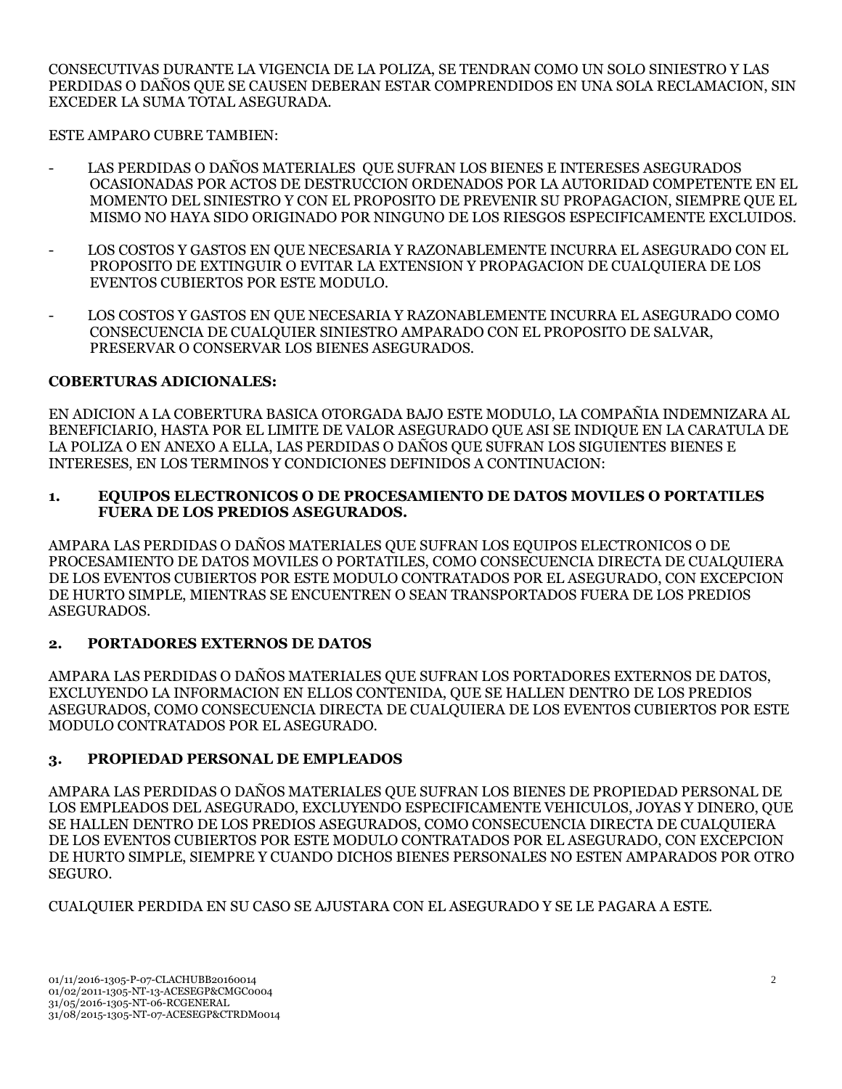CONSECUTIVAS DURANTE LA VIGENCIA DE LA POLIZA, SE TENDRAN COMO UN SOLO SINIESTRO Y LAS PERDIDAS O DAÑOS QUE SE CAUSEN DEBERAN ESTAR COMPRENDIDOS EN UNA SOLA RECLAMACION, SIN EXCEDER LA SUMA TOTAL ASEGURADA.

ESTE AMPARO CUBRE TAMBIEN:

- LAS PERDIDAS O DAÑOS MATERIALES QUE SUFRAN LOS BIENES E INTERESES ASEGURADOS OCASIONADAS POR ACTOS DE DESTRUCCION ORDENADOS POR LA AUTORIDAD COMPETENTE EN EL MOMENTO DEL SINIESTRO Y CON EL PROPOSITO DE PREVENIR SU PROPAGACION, SIEMPRE QUE EL MISMO NO HAYA SIDO ORIGINADO POR NINGUNO DE LOS RIESGOS ESPECIFICAMENTE EXCLUIDOS.
- LOS COSTOS Y GASTOS EN OUE NECESARIA Y RAZONABLEMENTE INCURRA EL ASEGURADO CON EL PROPOSITO DE EXTINGUIR O EVITAR LA EXTENSION Y PROPAGACION DE CUALQUIERA DE LOS EVENTOS CUBIERTOS POR ESTE MODULO.
- LOS COSTOS Y GASTOS EN QUE NECESARIA Y RAZONABLEMENTE INCURRA EL ASEGURADO COMO CONSECUENCIA DE CUALQUIER SINIESTRO AMPARADO CON EL PROPOSITO DE SALVAR, PRESERVAR O CONSERVAR LOS BIENES ASEGURADOS.

## **COBERTURAS ADICIONALES:**

EN ADICION A LA COBERTURA BASICA OTORGADA BAJO ESTE MODULO, LA COMPAÑIA INDEMNIZARA AL BENEFICIARIO, HASTA POR EL LIMITE DE VALOR ASEGURADO QUE ASI SE INDIQUE EN LA CARATULA DE LA POLIZA O EN ANEXO A ELLA, LAS PERDIDAS O DAÑOS QUE SUFRAN LOS SIGUIENTES BIENES E INTERESES, EN LOS TERMINOS Y CONDICIONES DEFINIDOS A CONTINUACION:

### **1. EQUIPOS ELECTRONICOS O DE PROCESAMIENTO DE DATOS MOVILES O PORTATILES FUERA DE LOS PREDIOS ASEGURADOS.**

AMPARA LAS PERDIDAS O DAÑOS MATERIALES QUE SUFRAN LOS EQUIPOS ELECTRONICOS O DE PROCESAMIENTO DE DATOS MOVILES O PORTATILES, COMO CONSECUENCIA DIRECTA DE CUALQUIERA DE LOS EVENTOS CUBIERTOS POR ESTE MODULO CONTRATADOS POR EL ASEGURADO, CON EXCEPCION DE HURTO SIMPLE, MIENTRAS SE ENCUENTREN O SEAN TRANSPORTADOS FUERA DE LOS PREDIOS ASEGURADOS.

## **2. PORTADORES EXTERNOS DE DATOS**

AMPARA LAS PERDIDAS O DAÑOS MATERIALES QUE SUFRAN LOS PORTADORES EXTERNOS DE DATOS, EXCLUYENDO LA INFORMACION EN ELLOS CONTENIDA, QUE SE HALLEN DENTRO DE LOS PREDIOS ASEGURADOS, COMO CONSECUENCIA DIRECTA DE CUALQUIERA DE LOS EVENTOS CUBIERTOS POR ESTE MODULO CONTRATADOS POR EL ASEGURADO.

## **3. PROPIEDAD PERSONAL DE EMPLEADOS**

AMPARA LAS PERDIDAS O DAÑOS MATERIALES QUE SUFRAN LOS BIENES DE PROPIEDAD PERSONAL DE LOS EMPLEADOS DEL ASEGURADO, EXCLUYENDO ESPECIFICAMENTE VEHICULOS, JOYAS Y DINERO, QUE SE HALLEN DENTRO DE LOS PREDIOS ASEGURADOS, COMO CONSECUENCIA DIRECTA DE CUALQUIERA DE LOS EVENTOS CUBIERTOS POR ESTE MODULO CONTRATADOS POR EL ASEGURADO, CON EXCEPCION DE HURTO SIMPLE, SIEMPRE Y CUANDO DICHOS BIENES PERSONALES NO ESTEN AMPARADOS POR OTRO SEGURO.

CUALQUIER PERDIDA EN SU CASO SE AJUSTARA CON EL ASEGURADO Y SE LE PAGARA A ESTE.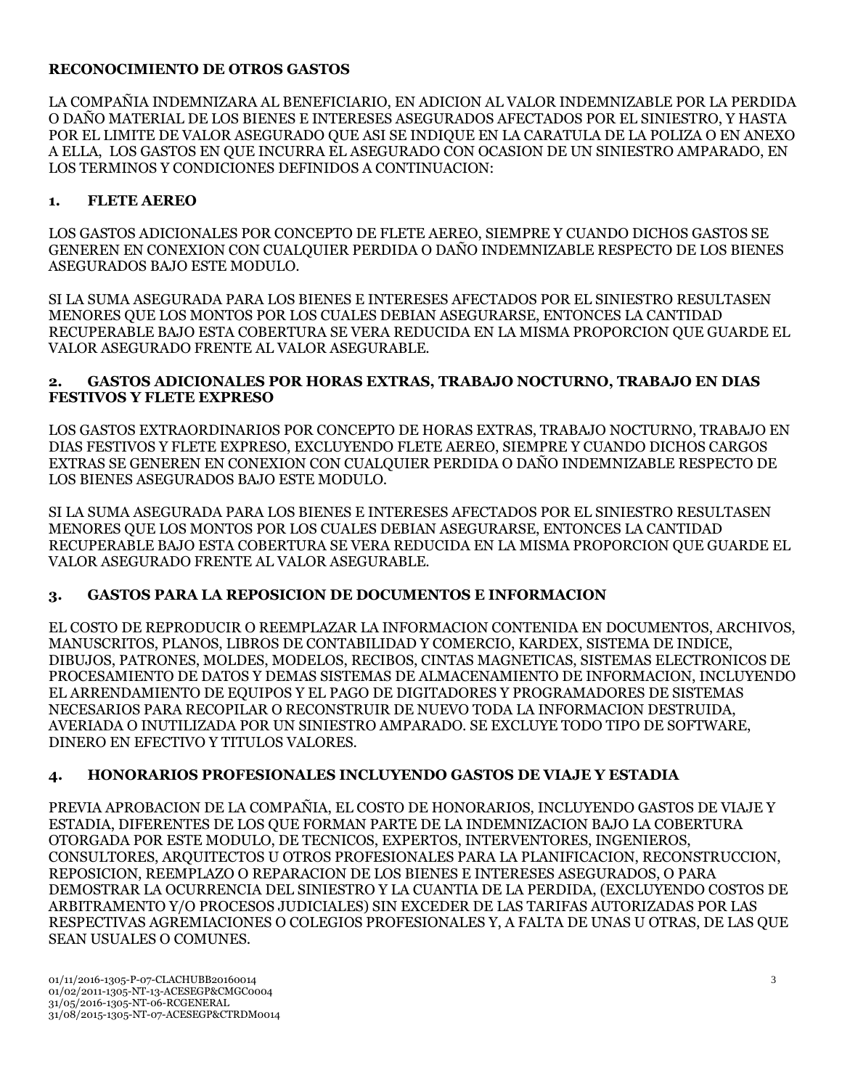## **RECONOCIMIENTO DE OTROS GASTOS**

LA COMPAÑIA INDEMNIZARA AL BENEFICIARIO, EN ADICION AL VALOR INDEMNIZABLE POR LA PERDIDA O DAÑO MATERIAL DE LOS BIENES E INTERESES ASEGURADOS AFECTADOS POR EL SINIESTRO, Y HASTA POR EL LIMITE DE VALOR ASEGURADO QUE ASI SE INDIQUE EN LA CARATULA DE LA POLIZA O EN ANEXO A ELLA, LOS GASTOS EN QUE INCURRA EL ASEGURADO CON OCASION DE UN SINIESTRO AMPARADO, EN LOS TERMINOS Y CONDICIONES DEFINIDOS A CONTINUACION:

## **1. FLETE AEREO**

LOS GASTOS ADICIONALES POR CONCEPTO DE FLETE AEREO, SIEMPRE Y CUANDO DICHOS GASTOS SE GENEREN EN CONEXION CON CUALQUIER PERDIDA O DAÑO INDEMNIZABLE RESPECTO DE LOS BIENES ASEGURADOS BAJO ESTE MODULO.

SI LA SUMA ASEGURADA PARA LOS BIENES E INTERESES AFECTADOS POR EL SINIESTRO RESULTASEN MENORES QUE LOS MONTOS POR LOS CUALES DEBIAN ASEGURARSE, ENTONCES LA CANTIDAD RECUPERABLE BAJO ESTA COBERTURA SE VERA REDUCIDA EN LA MISMA PROPORCION QUE GUARDE EL VALOR ASEGURADO FRENTE AL VALOR ASEGURABLE.

### **2. GASTOS ADICIONALES POR HORAS EXTRAS, TRABAJO NOCTURNO, TRABAJO EN DIAS FESTIVOS Y FLETE EXPRESO**

LOS GASTOS EXTRAORDINARIOS POR CONCEPTO DE HORAS EXTRAS, TRABAJO NOCTURNO, TRABAJO EN DIAS FESTIVOS Y FLETE EXPRESO, EXCLUYENDO FLETE AEREO, SIEMPRE Y CUANDO DICHOS CARGOS EXTRAS SE GENEREN EN CONEXION CON CUALQUIER PERDIDA O DAÑO INDEMNIZABLE RESPECTO DE LOS BIENES ASEGURADOS BAJO ESTE MODULO.

SI LA SUMA ASEGURADA PARA LOS BIENES E INTERESES AFECTADOS POR EL SINIESTRO RESULTASEN MENORES QUE LOS MONTOS POR LOS CUALES DEBIAN ASEGURARSE, ENTONCES LA CANTIDAD RECUPERABLE BAJO ESTA COBERTURA SE VERA REDUCIDA EN LA MISMA PROPORCION QUE GUARDE EL VALOR ASEGURADO FRENTE AL VALOR ASEGURABLE.

## **3. GASTOS PARA LA REPOSICION DE DOCUMENTOS E INFORMACION**

EL COSTO DE REPRODUCIR O REEMPLAZAR LA INFORMACION CONTENIDA EN DOCUMENTOS, ARCHIVOS, MANUSCRITOS, PLANOS, LIBROS DE CONTABILIDAD Y COMERCIO, KARDEX, SISTEMA DE INDICE, DIBUJOS, PATRONES, MOLDES, MODELOS, RECIBOS, CINTAS MAGNETICAS, SISTEMAS ELECTRONICOS DE PROCESAMIENTO DE DATOS Y DEMAS SISTEMAS DE ALMACENAMIENTO DE INFORMACION, INCLUYENDO EL ARRENDAMIENTO DE EQUIPOS Y EL PAGO DE DIGITADORES Y PROGRAMADORES DE SISTEMAS NECESARIOS PARA RECOPILAR O RECONSTRUIR DE NUEVO TODA LA INFORMACION DESTRUIDA, AVERIADA O INUTILIZADA POR UN SINIESTRO AMPARADO. SE EXCLUYE TODO TIPO DE SOFTWARE, DINERO EN EFECTIVO Y TITULOS VALORES.

## **4. HONORARIOS PROFESIONALES INCLUYENDO GASTOS DE VIAJE Y ESTADIA**

PREVIA APROBACION DE LA COMPAÑIA, EL COSTO DE HONORARIOS, INCLUYENDO GASTOS DE VIAJE Y ESTADIA, DIFERENTES DE LOS QUE FORMAN PARTE DE LA INDEMNIZACION BAJO LA COBERTURA OTORGADA POR ESTE MODULO, DE TECNICOS, EXPERTOS, INTERVENTORES, INGENIEROS, CONSULTORES, ARQUITECTOS U OTROS PROFESIONALES PARA LA PLANIFICACION, RECONSTRUCCION, REPOSICION, REEMPLAZO O REPARACION DE LOS BIENES E INTERESES ASEGURADOS, O PARA DEMOSTRAR LA OCURRENCIA DEL SINIESTRO Y LA CUANTIA DE LA PERDIDA, (EXCLUYENDO COSTOS DE ARBITRAMENTO Y/O PROCESOS JUDICIALES) SIN EXCEDER DE LAS TARIFAS AUTORIZADAS POR LAS RESPECTIVAS AGREMIACIONES O COLEGIOS PROFESIONALES Y, A FALTA DE UNAS U OTRAS, DE LAS QUE SEAN USUALES O COMUNES.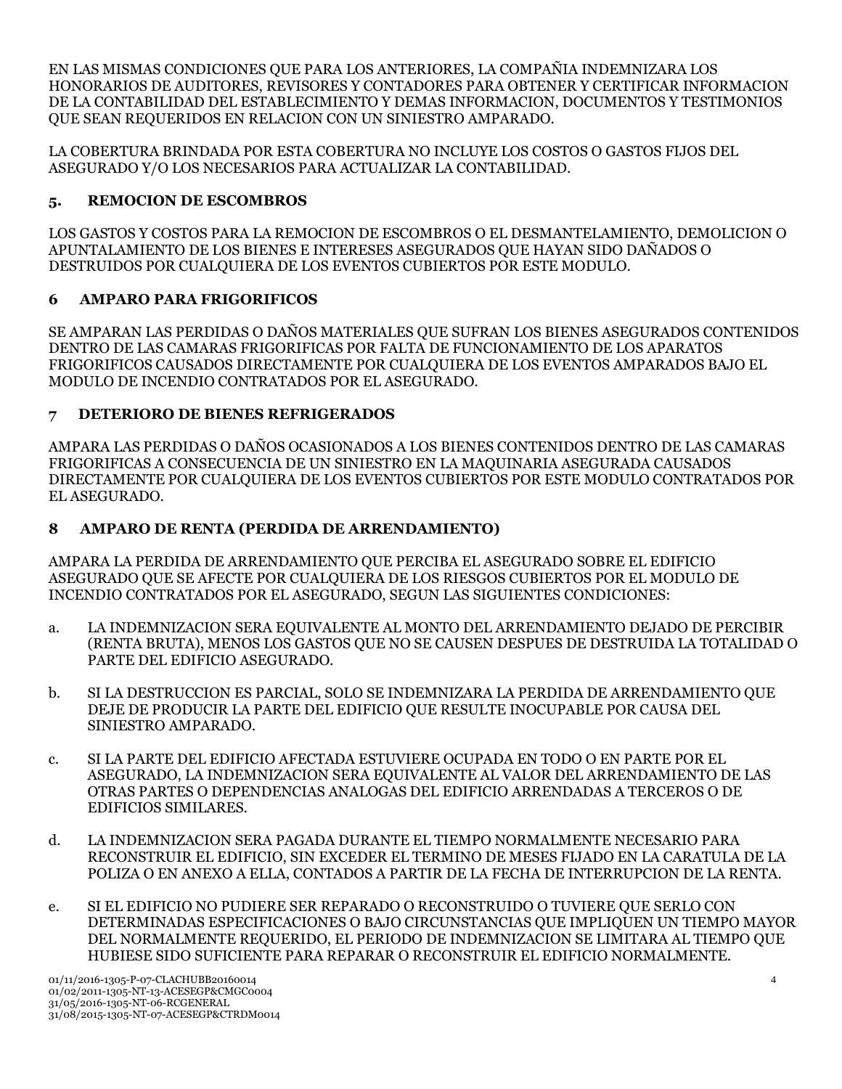EN LAS MISMAS CONDICIONES QUE PARA LOS ANTERIORES, LA COMPAÑIA INDEMNIZARA LOS HONORARIOS DE AUDITORES, REVISORES Y CONTADORES PARA OBTENER Y CERTIFICAR INFORMACION DE LA CONTABILIDAD DEL ESTABLECIMIENTO Y DEMAS INFORMACION, DOCUMENTOS Y TESTIMONIOS QUE SEAN REQUERIDOS EN RELACION CON UN SINIESTRO AMPARADO.

LA COBERTURA BRINDADA POR ESTA COBERTURA NO INCLUYE LOS COSTOS O GASTOS FIJOS DEL ASEGURADO Y/O LOS NECESARIOS PARA ACTUALIZAR LA CONTABILIDAD.

## **5. REMOCION DE ESCOMBROS**

LOS GASTOS Y COSTOS PARA LA REMOCION DE ESCOMBROS O EL DESMANTELAMIENTO, DEMOLICION O APUNTALAMIENTO DE LOS BIENES E INTERESES ASEGURADOS QUE HAYAN SIDO DAÑADOS O DESTRUIDOS POR CUALQUIERA DE LOS EVENTOS CUBIERTOS POR ESTE MODULO.

## **6 AMPARO PARA FRIGORIFICOS**

SE AMPARAN LAS PERDIDAS O DAÑOS MATERIALES QUE SUFRAN LOS BIENES ASEGURADOS CONTENIDOS DENTRO DE LAS CAMARAS FRIGORIFICAS POR FALTA DE FUNCIONAMIENTO DE LOS APARATOS FRIGORIFICOS CAUSADOS DIRECTAMENTE POR CUALQUIERA DE LOS EVENTOS AMPARADOS BAJO EL MODULO DE INCENDIO CONTRATADOS POR EL ASEGURADO.

## **7 DETERIORO DE BIENES REFRIGERADOS**

AMPARA LAS PERDIDAS O DAÑOS OCASIONADOS A LOS BIENES CONTENIDOS DENTRO DE LAS CAMARAS FRIGORIFICAS A CONSECUENCIA DE UN SINIESTRO EN LA MAQUINARIA ASEGURADA CAUSADOS DIRECTAMENTE POR CUALQUIERA DE LOS EVENTOS CUBIERTOS POR ESTE MODULO CONTRATADOS POR EL ASEGURADO.

## **8 AMPARO DE RENTA (PERDIDA DE ARRENDAMIENTO)**

AMPARA LA PERDIDA DE ARRENDAMIENTO QUE PERCIBA EL ASEGURADO SOBRE EL EDIFICIO ASEGURADO QUE SE AFECTE POR CUALQUIERA DE LOS RIESGOS CUBIERTOS POR EL MODULO DE INCENDIO CONTRATADOS POR EL ASEGURADO, SEGUN LAS SIGUIENTES CONDICIONES:

- a. LA INDEMNIZACION SERA EQUIVALENTE AL MONTO DEL ARRENDAMIENTO DEJADO DE PERCIBIR (RENTA BRUTA), MENOS LOS GASTOS QUE NO SE CAUSEN DESPUES DE DESTRUIDA LA TOTALIDAD O PARTE DEL EDIFICIO ASEGURADO.
- b. SI LA DESTRUCCION ES PARCIAL, SOLO SE INDEMNIZARA LA PERDIDA DE ARRENDAMIENTO QUE DEJE DE PRODUCIR LA PARTE DEL EDIFICIO QUE RESULTE INOCUPABLE POR CAUSA DEL SINIESTRO AMPARADO.
- c. SI LA PARTE DEL EDIFICIO AFECTADA ESTUVIERE OCUPADA EN TODO O EN PARTE POR EL ASEGURADO, LA INDEMNIZACION SERA EQUIVALENTE AL VALOR DEL ARRENDAMIENTO DE LAS OTRAS PARTES O DEPENDENCIAS ANALOGAS DEL EDIFICIO ARRENDADAS A TERCEROS O DE EDIFICIOS SIMILARES.
- d. LA INDEMNIZACION SERA PAGADA DURANTE EL TIEMPO NORMALMENTE NECESARIO PARA RECONSTRUIR EL EDIFICIO, SIN EXCEDER EL TERMINO DE MESES FIJADO EN LA CARATULA DE LA POLIZA O EN ANEXO A ELLA, CONTADOS A PARTIR DE LA FECHA DE INTERRUPCION DE LA RENTA.
- e. SI EL EDIFICIO NO PUDIERE SER REPARADO O RECONSTRUIDO O TUVIERE QUE SERLO CON DETERMINADAS ESPECIFICACIONES O BAJO CIRCUNSTANCIAS QUE IMPLIQUEN UN TIEMPO MAYOR DEL NORMALMENTE REQUERIDO, EL PERIODO DE INDEMNIZACION SE LIMITARA AL TIEMPO QUE HUBIESE SIDO SUFICIENTE PARA REPARAR O RECONSTRUIR EL EDIFICIO NORMALMENTE.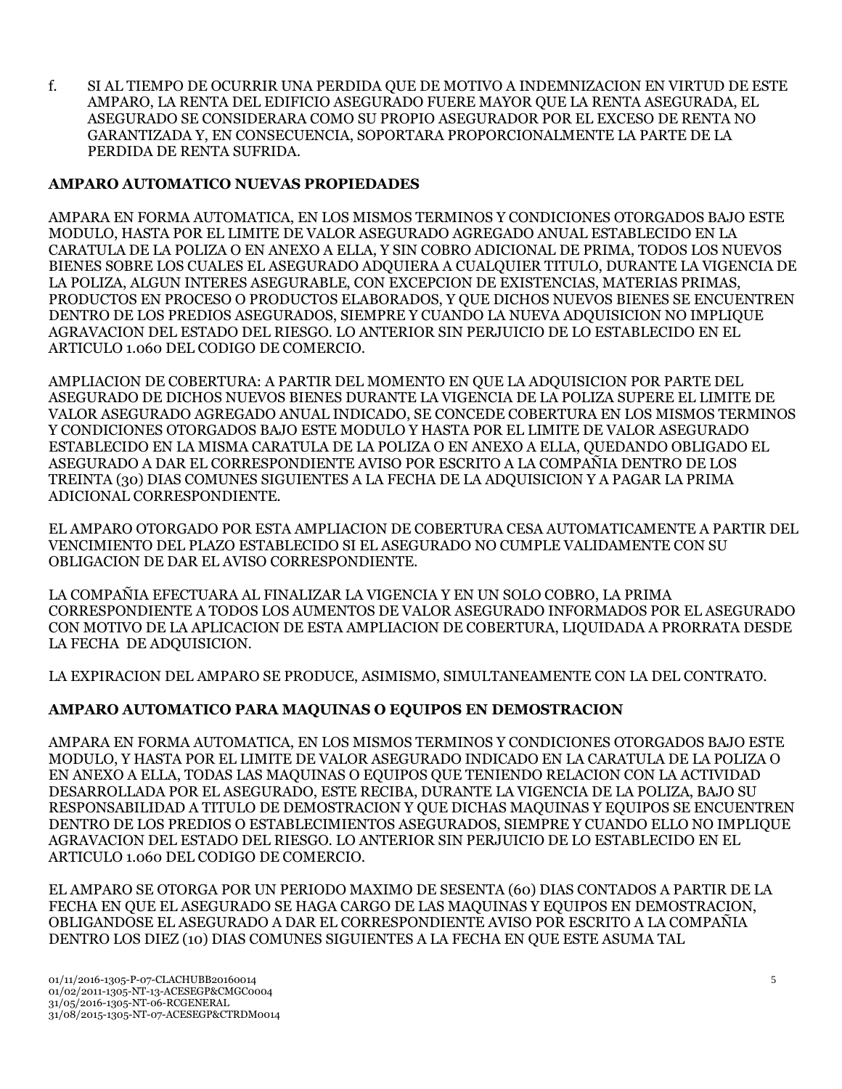f. SI AL TIEMPO DE OCURRIR UNA PERDIDA QUE DE MOTIVO A INDEMNIZACION EN VIRTUD DE ESTE AMPARO, LA RENTA DEL EDIFICIO ASEGURADO FUERE MAYOR QUE LA RENTA ASEGURADA, EL ASEGURADO SE CONSIDERARA COMO SU PROPIO ASEGURADOR POR EL EXCESO DE RENTA NO GARANTIZADA Y, EN CONSECUENCIA, SOPORTARA PROPORCIONALMENTE LA PARTE DE LA PERDIDA DE RENTA SUFRIDA.

## **AMPARO AUTOMATICO NUEVAS PROPIEDADES**

AMPARA EN FORMA AUTOMATICA, EN LOS MISMOS TERMINOS Y CONDICIONES OTORGADOS BAJO ESTE MODULO, HASTA POR EL LIMITE DE VALOR ASEGURADO AGREGADO ANUAL ESTABLECIDO EN LA CARATULA DE LA POLIZA O EN ANEXO A ELLA, Y SIN COBRO ADICIONAL DE PRIMA, TODOS LOS NUEVOS BIENES SOBRE LOS CUALES EL ASEGURADO ADQUIERA A CUALQUIER TITULO, DURANTE LA VIGENCIA DE LA POLIZA, ALGUN INTERES ASEGURABLE, CON EXCEPCION DE EXISTENCIAS, MATERIAS PRIMAS, PRODUCTOS EN PROCESO O PRODUCTOS ELABORADOS, Y QUE DICHOS NUEVOS BIENES SE ENCUENTREN DENTRO DE LOS PREDIOS ASEGURADOS, SIEMPRE Y CUANDO LA NUEVA ADQUISICION NO IMPLIQUE AGRAVACION DEL ESTADO DEL RIESGO. LO ANTERIOR SIN PERJUICIO DE LO ESTABLECIDO EN EL ARTICULO 1.060 DEL CODIGO DE COMERCIO.

AMPLIACION DE COBERTURA: A PARTIR DEL MOMENTO EN QUE LA ADQUISICION POR PARTE DEL ASEGURADO DE DICHOS NUEVOS BIENES DURANTE LA VIGENCIA DE LA POLIZA SUPERE EL LIMITE DE VALOR ASEGURADO AGREGADO ANUAL INDICADO, SE CONCEDE COBERTURA EN LOS MISMOS TERMINOS Y CONDICIONES OTORGADOS BAJO ESTE MODULO Y HASTA POR EL LIMITE DE VALOR ASEGURADO ESTABLECIDO EN LA MISMA CARATULA DE LA POLIZA O EN ANEXO A ELLA, QUEDANDO OBLIGADO EL ASEGURADO A DAR EL CORRESPONDIENTE AVISO POR ESCRITO A LA COMPAÑIA DENTRO DE LOS TREINTA (30) DIAS COMUNES SIGUIENTES A LA FECHA DE LA ADQUISICION Y A PAGAR LA PRIMA ADICIONAL CORRESPONDIENTE.

EL AMPARO OTORGADO POR ESTA AMPLIACION DE COBERTURA CESA AUTOMATICAMENTE A PARTIR DEL VENCIMIENTO DEL PLAZO ESTABLECIDO SI EL ASEGURADO NO CUMPLE VALIDAMENTE CON SU OBLIGACION DE DAR EL AVISO CORRESPONDIENTE.

LA COMPAÑIA EFECTUARA AL FINALIZAR LA VIGENCIA Y EN UN SOLO COBRO, LA PRIMA CORRESPONDIENTE A TODOS LOS AUMENTOS DE VALOR ASEGURADO INFORMADOS POR EL ASEGURADO CON MOTIVO DE LA APLICACION DE ESTA AMPLIACION DE COBERTURA, LIQUIDADA A PRORRATA DESDE LA FECHA DE ADQUISICION.

LA EXPIRACION DEL AMPARO SE PRODUCE, ASIMISMO, SIMULTANEAMENTE CON LA DEL CONTRATO.

## **AMPARO AUTOMATICO PARA MAQUINAS O EQUIPOS EN DEMOSTRACION**

AMPARA EN FORMA AUTOMATICA, EN LOS MISMOS TERMINOS Y CONDICIONES OTORGADOS BAJO ESTE MODULO, Y HASTA POR EL LIMITE DE VALOR ASEGURADO INDICADO EN LA CARATULA DE LA POLIZA O EN ANEXO A ELLA, TODAS LAS MAQUINAS O EQUIPOS QUE TENIENDO RELACION CON LA ACTIVIDAD DESARROLLADA POR EL ASEGURADO, ESTE RECIBA, DURANTE LA VIGENCIA DE LA POLIZA, BAJO SU RESPONSABILIDAD A TITULO DE DEMOSTRACION Y QUE DICHAS MAQUINAS Y EQUIPOS SE ENCUENTREN DENTRO DE LOS PREDIOS O ESTABLECIMIENTOS ASEGURADOS, SIEMPRE Y CUANDO ELLO NO IMPLIQUE AGRAVACION DEL ESTADO DEL RIESGO. LO ANTERIOR SIN PERJUICIO DE LO ESTABLECIDO EN EL ARTICULO 1.060 DEL CODIGO DE COMERCIO.

EL AMPARO SE OTORGA POR UN PERIODO MAXIMO DE SESENTA (60) DIAS CONTADOS A PARTIR DE LA FECHA EN QUE EL ASEGURADO SE HAGA CARGO DE LAS MAQUINAS Y EQUIPOS EN DEMOSTRACION, OBLIGANDOSE EL ASEGURADO A DAR EL CORRESPONDIENTE AVISO POR ESCRITO A LA COMPAÑIA DENTRO LOS DIEZ (10) DIAS COMUNES SIGUIENTES A LA FECHA EN QUE ESTE ASUMA TAL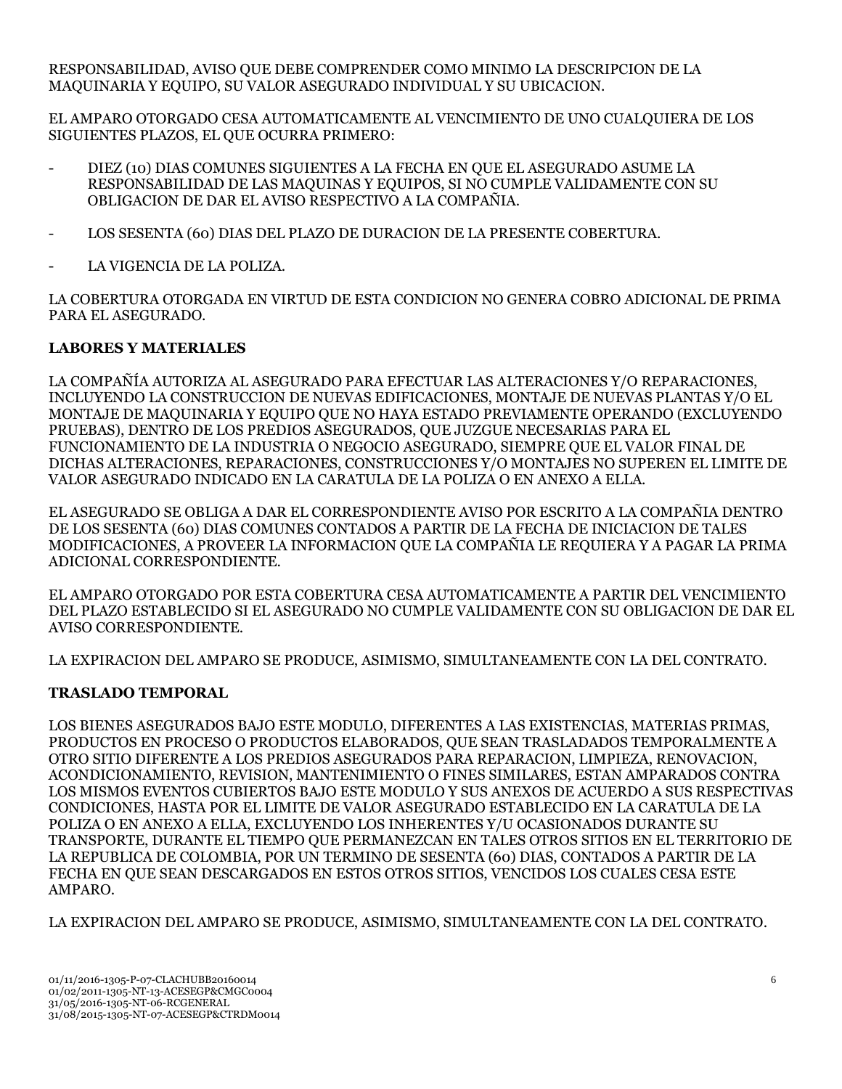RESPONSABILIDAD, AVISO QUE DEBE COMPRENDER COMO MINIMO LA DESCRIPCION DE LA MAQUINARIA Y EQUIPO, SU VALOR ASEGURADO INDIVIDUAL Y SU UBICACION.

EL AMPARO OTORGADO CESA AUTOMATICAMENTE AL VENCIMIENTO DE UNO CUALQUIERA DE LOS SIGUIENTES PLAZOS, EL QUE OCURRA PRIMERO:

- DIEZ (10) DIAS COMUNES SIGUIENTES A LA FECHA EN QUE EL ASEGURADO ASUME LA RESPONSABILIDAD DE LAS MAQUINAS Y EQUIPOS, SI NO CUMPLE VALIDAMENTE CON SU OBLIGACION DE DAR EL AVISO RESPECTIVO A LA COMPAÑIA.
- LOS SESENTA (60) DIAS DEL PLAZO DE DURACION DE LA PRESENTE COBERTURA.
- LA VIGENCIA DE LA POLIZA.

LA COBERTURA OTORGADA EN VIRTUD DE ESTA CONDICION NO GENERA COBRO ADICIONAL DE PRIMA PARA EL ASEGURADO.

### **LABORES Y MATERIALES**

LA COMPAÑÍA AUTORIZA AL ASEGURADO PARA EFECTUAR LAS ALTERACIONES Y/O REPARACIONES, INCLUYENDO LA CONSTRUCCION DE NUEVAS EDIFICACIONES, MONTAJE DE NUEVAS PLANTAS Y/O EL MONTAJE DE MAQUINARIA Y EQUIPO QUE NO HAYA ESTADO PREVIAMENTE OPERANDO (EXCLUYENDO PRUEBAS), DENTRO DE LOS PREDIOS ASEGURADOS, QUE JUZGUE NECESARIAS PARA EL FUNCIONAMIENTO DE LA INDUSTRIA O NEGOCIO ASEGURADO, SIEMPRE QUE EL VALOR FINAL DE DICHAS ALTERACIONES, REPARACIONES, CONSTRUCCIONES Y/O MONTAJES NO SUPEREN EL LIMITE DE VALOR ASEGURADO INDICADO EN LA CARATULA DE LA POLIZA O EN ANEXO A ELLA.

EL ASEGURADO SE OBLIGA A DAR EL CORRESPONDIENTE AVISO POR ESCRITO A LA COMPAÑIA DENTRO DE LOS SESENTA (60) DIAS COMUNES CONTADOS A PARTIR DE LA FECHA DE INICIACION DE TALES MODIFICACIONES, A PROVEER LA INFORMACION QUE LA COMPAÑIA LE REQUIERA Y A PAGAR LA PRIMA ADICIONAL CORRESPONDIENTE.

EL AMPARO OTORGADO POR ESTA COBERTURA CESA AUTOMATICAMENTE A PARTIR DEL VENCIMIENTO DEL PLAZO ESTABLECIDO SI EL ASEGURADO NO CUMPLE VALIDAMENTE CON SU OBLIGACION DE DAR EL AVISO CORRESPONDIENTE.

LA EXPIRACION DEL AMPARO SE PRODUCE, ASIMISMO, SIMULTANEAMENTE CON LA DEL CONTRATO.

## **TRASLADO TEMPORAL**

LOS BIENES ASEGURADOS BAJO ESTE MODULO, DIFERENTES A LAS EXISTENCIAS, MATERIAS PRIMAS, PRODUCTOS EN PROCESO O PRODUCTOS ELABORADOS, QUE SEAN TRASLADADOS TEMPORALMENTE A OTRO SITIO DIFERENTE A LOS PREDIOS ASEGURADOS PARA REPARACION, LIMPIEZA, RENOVACION, ACONDICIONAMIENTO, REVISION, MANTENIMIENTO O FINES SIMILARES, ESTAN AMPARADOS CONTRA LOS MISMOS EVENTOS CUBIERTOS BAJO ESTE MODULO Y SUS ANEXOS DE ACUERDO A SUS RESPECTIVAS CONDICIONES, HASTA POR EL LIMITE DE VALOR ASEGURADO ESTABLECIDO EN LA CARATULA DE LA POLIZA O EN ANEXO A ELLA, EXCLUYENDO LOS INHERENTES Y/U OCASIONADOS DURANTE SU TRANSPORTE, DURANTE EL TIEMPO QUE PERMANEZCAN EN TALES OTROS SITIOS EN EL TERRITORIO DE LA REPUBLICA DE COLOMBIA, POR UN TERMINO DE SESENTA (60) DIAS, CONTADOS A PARTIR DE LA FECHA EN QUE SEAN DESCARGADOS EN ESTOS OTROS SITIOS, VENCIDOS LOS CUALES CESA ESTE AMPARO.

LA EXPIRACION DEL AMPARO SE PRODUCE, ASIMISMO, SIMULTANEAMENTE CON LA DEL CONTRATO.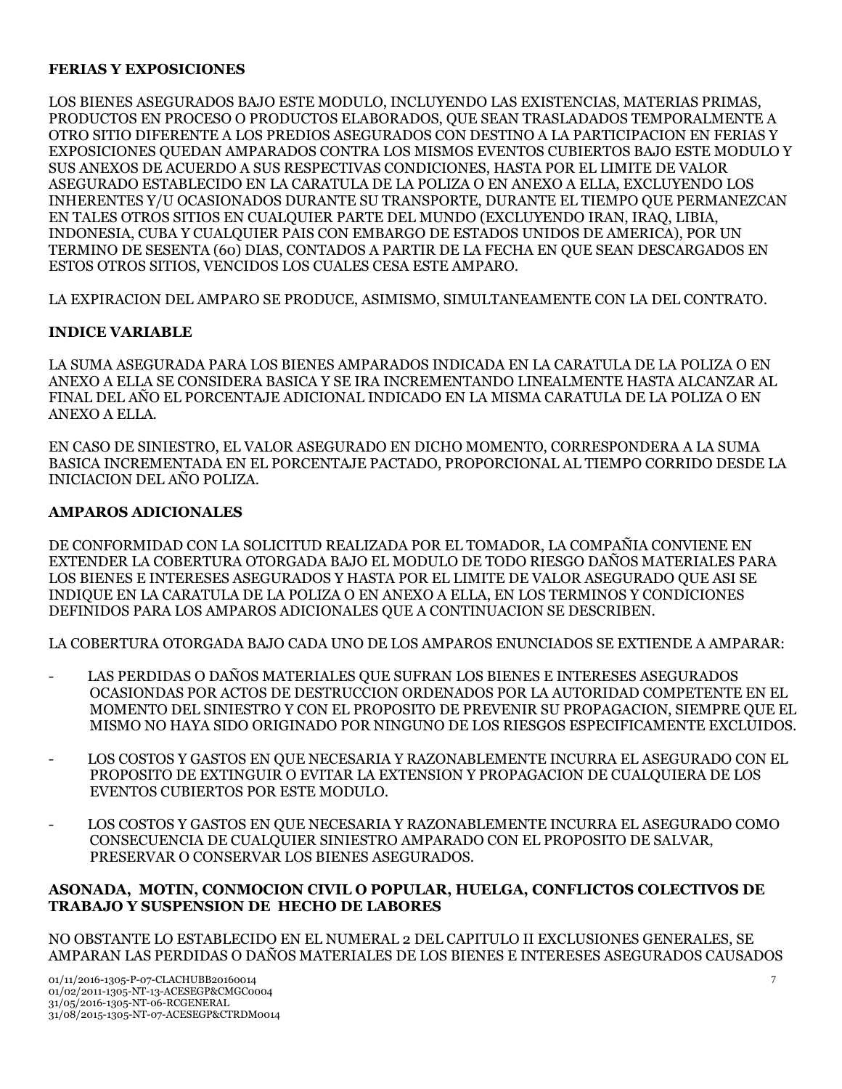### **FERIAS Y EXPOSICIONES**

LOS BIENES ASEGURADOS BAJO ESTE MODULO, INCLUYENDO LAS EXISTENCIAS, MATERIAS PRIMAS, PRODUCTOS EN PROCESO O PRODUCTOS ELABORADOS, QUE SEAN TRASLADADOS TEMPORALMENTE A OTRO SITIO DIFERENTE A LOS PREDIOS ASEGURADOS CON DESTINO A LA PARTICIPACION EN FERIAS Y EXPOSICIONES QUEDAN AMPARADOS CONTRA LOS MISMOS EVENTOS CUBIERTOS BAJO ESTE MODULO Y SUS ANEXOS DE ACUERDO A SUS RESPECTIVAS CONDICIONES, HASTA POR EL LIMITE DE VALOR ASEGURADO ESTABLECIDO EN LA CARATULA DE LA POLIZA O EN ANEXO A ELLA, EXCLUYENDO LOS INHERENTES Y/U OCASIONADOS DURANTE SU TRANSPORTE, DURANTE EL TIEMPO QUE PERMANEZCAN EN TALES OTROS SITIOS EN CUALQUIER PARTE DEL MUNDO (EXCLUYENDO IRAN, IRAQ, LIBIA, INDONESIA, CUBA Y CUALQUIER PAIS CON EMBARGO DE ESTADOS UNIDOS DE AMERICA), POR UN TERMINO DE SESENTA (60) DIAS, CONTADOS A PARTIR DE LA FECHA EN QUE SEAN DESCARGADOS EN ESTOS OTROS SITIOS, VENCIDOS LOS CUALES CESA ESTE AMPARO.

LA EXPIRACION DEL AMPARO SE PRODUCE, ASIMISMO, SIMULTANEAMENTE CON LA DEL CONTRATO.

### **INDICE VARIABLE**

LA SUMA ASEGURADA PARA LOS BIENES AMPARADOS INDICADA EN LA CARATULA DE LA POLIZA O EN ANEXO A ELLA SE CONSIDERA BASICA Y SE IRA INCREMENTANDO LINEALMENTE HASTA ALCANZAR AL FINAL DEL AÑO EL PORCENTAJE ADICIONAL INDICADO EN LA MISMA CARATULA DE LA POLIZA O EN ANEXO A ELLA.

EN CASO DE SINIESTRO, EL VALOR ASEGURADO EN DICHO MOMENTO, CORRESPONDERA A LA SUMA BASICA INCREMENTADA EN EL PORCENTAJE PACTADO, PROPORCIONAL AL TIEMPO CORRIDO DESDE LA INICIACION DEL AÑO POLIZA.

#### **AMPAROS ADICIONALES**

DE CONFORMIDAD CON LA SOLICITUD REALIZADA POR EL TOMADOR, LA COMPAÑIA CONVIENE EN EXTENDER LA COBERTURA OTORGADA BAJO EL MODULO DE TODO RIESGO DAÑOS MATERIALES PARA LOS BIENES E INTERESES ASEGURADOS Y HASTA POR EL LIMITE DE VALOR ASEGURADO QUE ASI SE INDIQUE EN LA CARATULA DE LA POLIZA O EN ANEXO A ELLA, EN LOS TERMINOS Y CONDICIONES DEFINIDOS PARA LOS AMPAROS ADICIONALES QUE A CONTINUACION SE DESCRIBEN.

LA COBERTURA OTORGADA BAJO CADA UNO DE LOS AMPAROS ENUNCIADOS SE EXTIENDE A AMPARAR:

- LAS PERDIDAS O DAÑOS MATERIALES QUE SUFRAN LOS BIENES E INTERESES ASEGURADOS OCASIONDAS POR ACTOS DE DESTRUCCION ORDENADOS POR LA AUTORIDAD COMPETENTE EN EL MOMENTO DEL SINIESTRO Y CON EL PROPOSITO DE PREVENIR SU PROPAGACION, SIEMPRE QUE EL MISMO NO HAYA SIDO ORIGINADO POR NINGUNO DE LOS RIESGOS ESPECIFICAMENTE EXCLUIDOS.
- LOS COSTOS Y GASTOS EN OUE NECESARIA Y RAZONABLEMENTE INCURRA EL ASEGURADO CON EL PROPOSITO DE EXTINGUIR O EVITAR LA EXTENSION Y PROPAGACION DE CUALQUIERA DE LOS EVENTOS CUBIERTOS POR ESTE MODULO.
- LOS COSTOS Y GASTOS EN QUE NECESARIA Y RAZONABLEMENTE INCURRA EL ASEGURADO COMO CONSECUENCIA DE CUALQUIER SINIESTRO AMPARADO CON EL PROPOSITO DE SALVAR, PRESERVAR O CONSERVAR LOS BIENES ASEGURADOS.

### **ASONADA, MOTIN, CONMOCION CIVIL O POPULAR, HUELGA, CONFLICTOS COLECTIVOS DE TRABAJO Y SUSPENSION DE HECHO DE LABORES**

NO OBSTANTE LO ESTABLECIDO EN EL NUMERAL 2 DEL CAPITULO II EXCLUSIONES GENERALES, SE AMPARAN LAS PERDIDAS O DAÑOS MATERIALES DE LOS BIENES E INTERESES ASEGURADOS CAUSADOS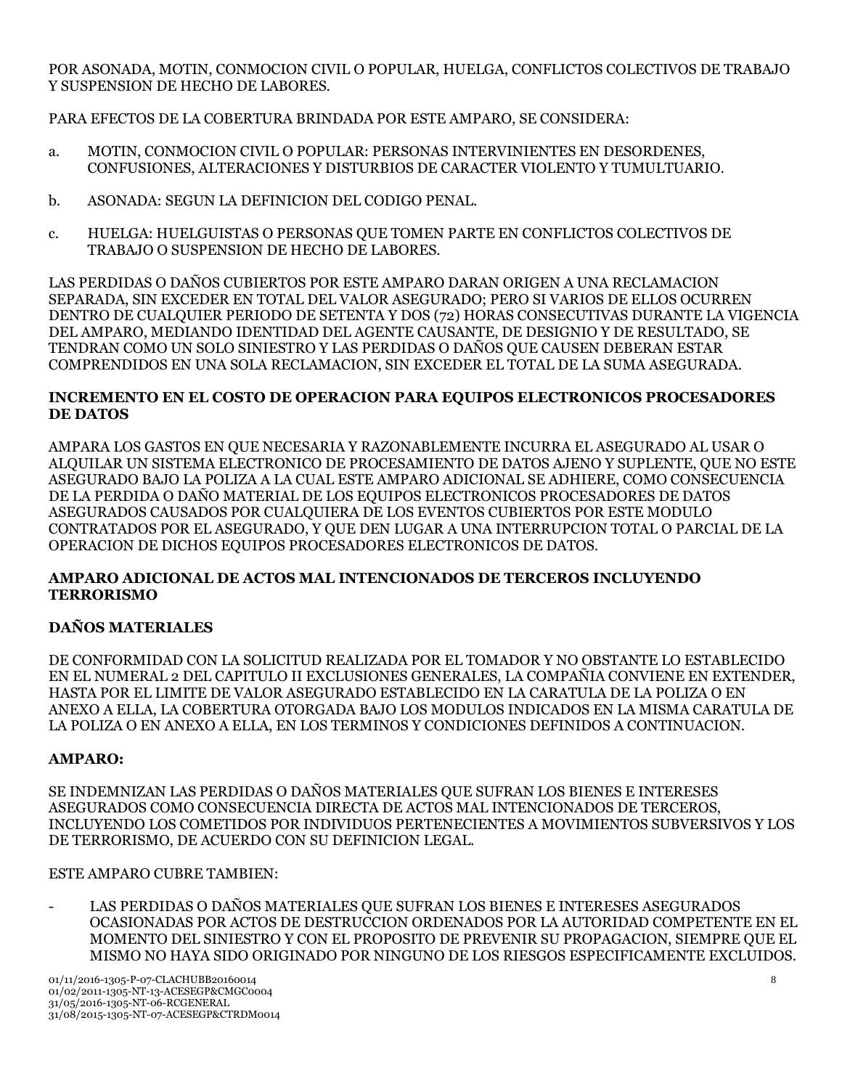POR ASONADA, MOTIN, CONMOCION CIVIL O POPULAR, HUELGA, CONFLICTOS COLECTIVOS DE TRABAJO Y SUSPENSION DE HECHO DE LABORES.

PARA EFECTOS DE LA COBERTURA BRINDADA POR ESTE AMPARO, SE CONSIDERA:

- a. MOTIN, CONMOCION CIVIL O POPULAR: PERSONAS INTERVINIENTES EN DESORDENES, CONFUSIONES, ALTERACIONES Y DISTURBIOS DE CARACTER VIOLENTO Y TUMULTUARIO.
- b. ASONADA: SEGUN LA DEFINICION DEL CODIGO PENAL.
- c. HUELGA: HUELGUISTAS O PERSONAS QUE TOMEN PARTE EN CONFLICTOS COLECTIVOS DE TRABAJO O SUSPENSION DE HECHO DE LABORES.

LAS PERDIDAS O DAÑOS CUBIERTOS POR ESTE AMPARO DARAN ORIGEN A UNA RECLAMACION SEPARADA, SIN EXCEDER EN TOTAL DEL VALOR ASEGURADO; PERO SI VARIOS DE ELLOS OCURREN DENTRO DE CUALQUIER PERIODO DE SETENTA Y DOS (72) HORAS CONSECUTIVAS DURANTE LA VIGENCIA DEL AMPARO, MEDIANDO IDENTIDAD DEL AGENTE CAUSANTE, DE DESIGNIO Y DE RESULTADO, SE TENDRAN COMO UN SOLO SINIESTRO Y LAS PERDIDAS O DAÑOS QUE CAUSEN DEBERAN ESTAR COMPRENDIDOS EN UNA SOLA RECLAMACION, SIN EXCEDER EL TOTAL DE LA SUMA ASEGURADA.

## **INCREMENTO EN EL COSTO DE OPERACION PARA EQUIPOS ELECTRONICOS PROCESADORES DE DATOS**

AMPARA LOS GASTOS EN QUE NECESARIA Y RAZONABLEMENTE INCURRA EL ASEGURADO AL USAR O ALQUILAR UN SISTEMA ELECTRONICO DE PROCESAMIENTO DE DATOS AJENO Y SUPLENTE, QUE NO ESTE ASEGURADO BAJO LA POLIZA A LA CUAL ESTE AMPARO ADICIONAL SE ADHIERE, COMO CONSECUENCIA DE LA PERDIDA O DAÑO MATERIAL DE LOS EQUIPOS ELECTRONICOS PROCESADORES DE DATOS ASEGURADOS CAUSADOS POR CUALQUIERA DE LOS EVENTOS CUBIERTOS POR ESTE MODULO CONTRATADOS POR EL ASEGURADO, Y QUE DEN LUGAR A UNA INTERRUPCION TOTAL O PARCIAL DE LA OPERACION DE DICHOS EQUIPOS PROCESADORES ELECTRONICOS DE DATOS.

## **AMPARO ADICIONAL DE ACTOS MAL INTENCIONADOS DE TERCEROS INCLUYENDO TERRORISMO**

## **DAÑOS MATERIALES**

DE CONFORMIDAD CON LA SOLICITUD REALIZADA POR EL TOMADOR Y NO OBSTANTE LO ESTABLECIDO EN EL NUMERAL 2 DEL CAPITULO II EXCLUSIONES GENERALES, LA COMPAÑIA CONVIENE EN EXTENDER, HASTA POR EL LIMITE DE VALOR ASEGURADO ESTABLECIDO EN LA CARATULA DE LA POLIZA O EN ANEXO A ELLA, LA COBERTURA OTORGADA BAJO LOS MODULOS INDICADOS EN LA MISMA CARATULA DE LA POLIZA O EN ANEXO A ELLA, EN LOS TERMINOS Y CONDICIONES DEFINIDOS A CONTINUACION.

## **AMPARO:**

SE INDEMNIZAN LAS PERDIDAS O DAÑOS MATERIALES QUE SUFRAN LOS BIENES E INTERESES ASEGURADOS COMO CONSECUENCIA DIRECTA DE ACTOS MAL INTENCIONADOS DE TERCEROS, INCLUYENDO LOS COMETIDOS POR INDIVIDUOS PERTENECIENTES A MOVIMIENTOS SUBVERSIVOS Y LOS DE TERRORISMO, DE ACUERDO CON SU DEFINICION LEGAL.

ESTE AMPARO CUBRE TAMBIEN:

LAS PERDIDAS O DAÑOS MATERIALES QUE SUFRAN LOS BIENES E INTERESES ASEGURADOS OCASIONADAS POR ACTOS DE DESTRUCCION ORDENADOS POR LA AUTORIDAD COMPETENTE EN EL MOMENTO DEL SINIESTRO Y CON EL PROPOSITO DE PREVENIR SU PROPAGACION, SIEMPRE QUE EL MISMO NO HAYA SIDO ORIGINADO POR NINGUNO DE LOS RIESGOS ESPECIFICAMENTE EXCLUIDOS.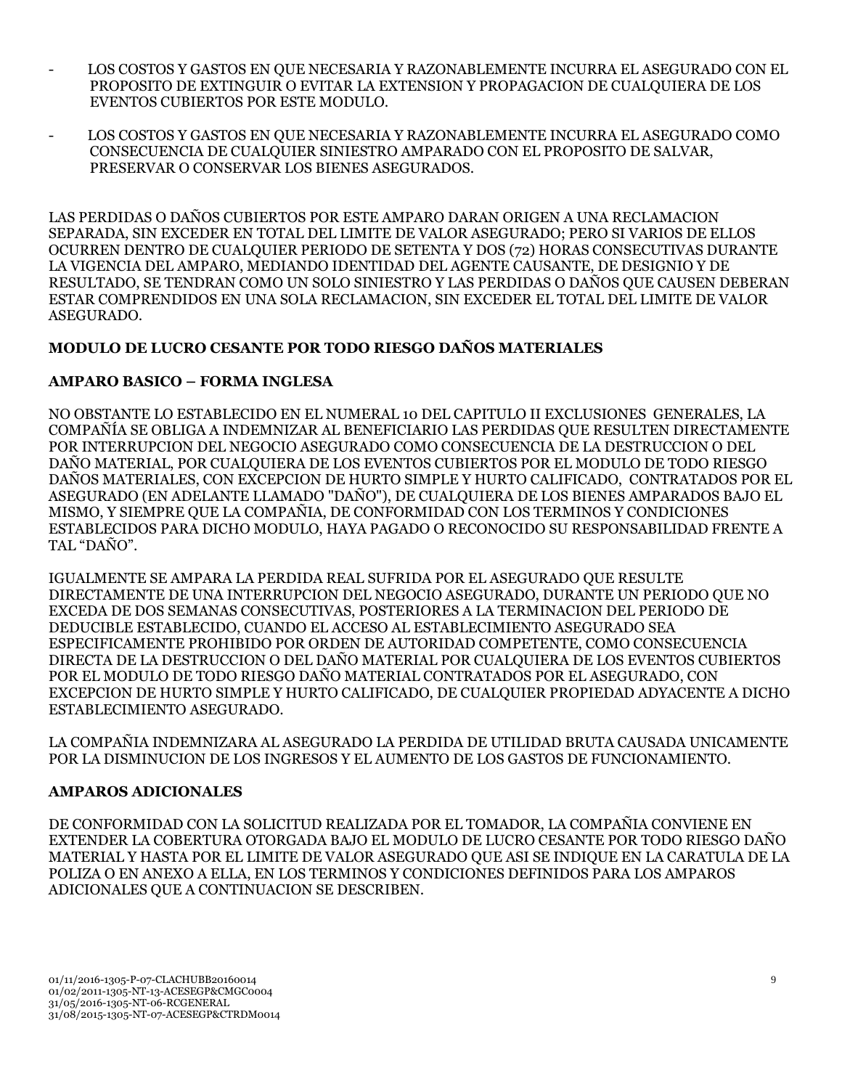- LOS COSTOS Y GASTOS EN OUE NECESARIA Y RAZONABLEMENTE INCURRA EL ASEGURADO CON EL PROPOSITO DE EXTINGUIR O EVITAR LA EXTENSION Y PROPAGACION DE CUALQUIERA DE LOS EVENTOS CUBIERTOS POR ESTE MODULO.
- LOS COSTOS Y GASTOS EN QUE NECESARIA Y RAZONABLEMENTE INCURRA EL ASEGURADO COMO CONSECUENCIA DE CUALQUIER SINIESTRO AMPARADO CON EL PROPOSITO DE SALVAR, PRESERVAR O CONSERVAR LOS BIENES ASEGURADOS.

LAS PERDIDAS O DAÑOS CUBIERTOS POR ESTE AMPARO DARAN ORIGEN A UNA RECLAMACION SEPARADA, SIN EXCEDER EN TOTAL DEL LIMITE DE VALOR ASEGURADO; PERO SI VARIOS DE ELLOS OCURREN DENTRO DE CUALQUIER PERIODO DE SETENTA Y DOS (72) HORAS CONSECUTIVAS DURANTE LA VIGENCIA DEL AMPARO, MEDIANDO IDENTIDAD DEL AGENTE CAUSANTE, DE DESIGNIO Y DE RESULTADO, SE TENDRAN COMO UN SOLO SINIESTRO Y LAS PERDIDAS O DAÑOS QUE CAUSEN DEBERAN ESTAR COMPRENDIDOS EN UNA SOLA RECLAMACION, SIN EXCEDER EL TOTAL DEL LIMITE DE VALOR ASEGURADO.

## **MODULO DE LUCRO CESANTE POR TODO RIESGO DAÑOS MATERIALES**

## **AMPARO BASICO – FORMA INGLESA**

NO OBSTANTE LO ESTABLECIDO EN EL NUMERAL 10 DEL CAPITULO II EXCLUSIONES GENERALES, LA COMPAÑÍA SE OBLIGA A INDEMNIZAR AL BENEFICIARIO LAS PERDIDAS QUE RESULTEN DIRECTAMENTE POR INTERRUPCION DEL NEGOCIO ASEGURADO COMO CONSECUENCIA DE LA DESTRUCCION O DEL DAÑO MATERIAL, POR CUALQUIERA DE LOS EVENTOS CUBIERTOS POR EL MODULO DE TODO RIESGO DAÑOS MATERIALES, CON EXCEPCION DE HURTO SIMPLE Y HURTO CALIFICADO, CONTRATADOS POR EL ASEGURADO (EN ADELANTE LLAMADO "DAÑO"), DE CUALQUIERA DE LOS BIENES AMPARADOS BAJO EL MISMO, Y SIEMPRE QUE LA COMPAÑIA, DE CONFORMIDAD CON LOS TERMINOS Y CONDICIONES ESTABLECIDOS PARA DICHO MODULO, HAYA PAGADO O RECONOCIDO SU RESPONSABILIDAD FRENTE A TAL "DAÑO".

IGUALMENTE SE AMPARA LA PERDIDA REAL SUFRIDA POR EL ASEGURADO QUE RESULTE DIRECTAMENTE DE UNA INTERRUPCION DEL NEGOCIO ASEGURADO, DURANTE UN PERIODO QUE NO EXCEDA DE DOS SEMANAS CONSECUTIVAS, POSTERIORES A LA TERMINACION DEL PERIODO DE DEDUCIBLE ESTABLECIDO, CUANDO EL ACCESO AL ESTABLECIMIENTO ASEGURADO SEA ESPECIFICAMENTE PROHIBIDO POR ORDEN DE AUTORIDAD COMPETENTE, COMO CONSECUENCIA DIRECTA DE LA DESTRUCCION O DEL DAÑO MATERIAL POR CUALQUIERA DE LOS EVENTOS CUBIERTOS POR EL MODULO DE TODO RIESGO DAÑO MATERIAL CONTRATADOS POR EL ASEGURADO, CON EXCEPCION DE HURTO SIMPLE Y HURTO CALIFICADO, DE CUALQUIER PROPIEDAD ADYACENTE A DICHO ESTABLECIMIENTO ASEGURADO.

LA COMPAÑIA INDEMNIZARA AL ASEGURADO LA PERDIDA DE UTILIDAD BRUTA CAUSADA UNICAMENTE POR LA DISMINUCION DE LOS INGRESOS Y EL AUMENTO DE LOS GASTOS DE FUNCIONAMIENTO.

## **AMPAROS ADICIONALES**

DE CONFORMIDAD CON LA SOLICITUD REALIZADA POR EL TOMADOR, LA COMPAÑIA CONVIENE EN EXTENDER LA COBERTURA OTORGADA BAJO EL MODULO DE LUCRO CESANTE POR TODO RIESGO DAÑO MATERIAL Y HASTA POR EL LIMITE DE VALOR ASEGURADO QUE ASI SE INDIQUE EN LA CARATULA DE LA POLIZA O EN ANEXO A ELLA, EN LOS TERMINOS Y CONDICIONES DEFINIDOS PARA LOS AMPAROS ADICIONALES QUE A CONTINUACION SE DESCRIBEN.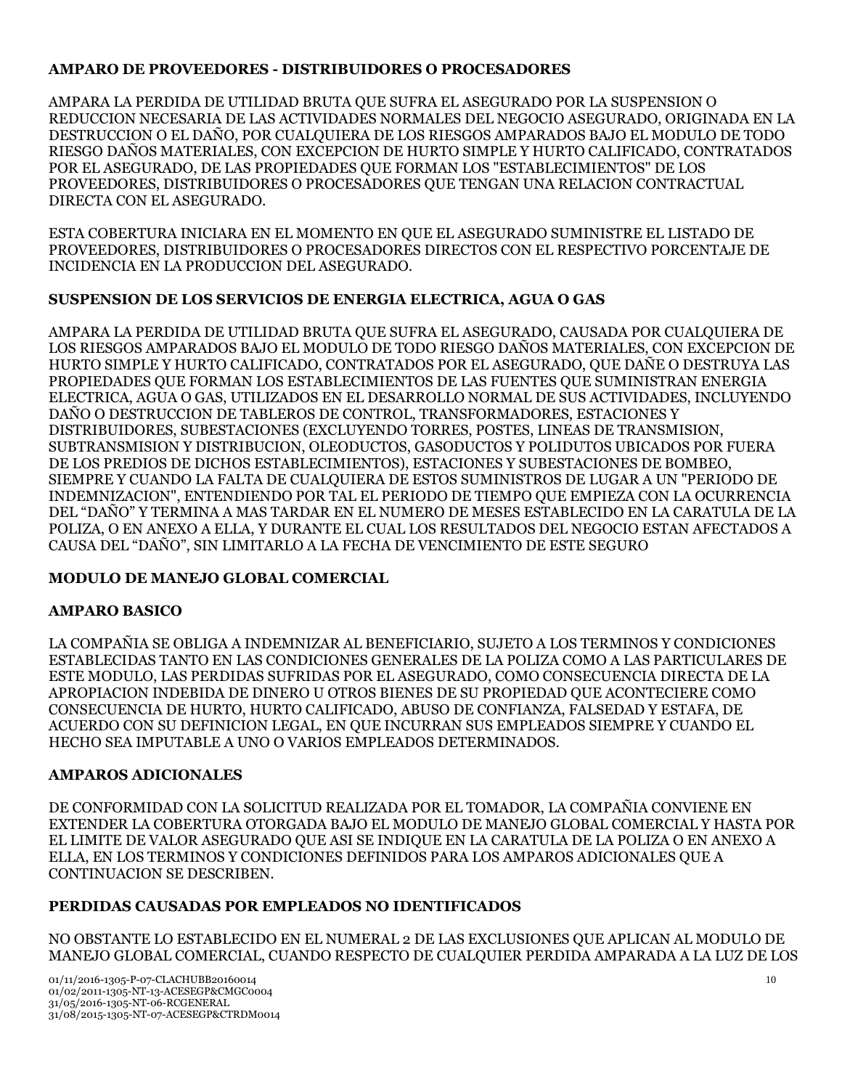## **AMPARO DE PROVEEDORES - DISTRIBUIDORES O PROCESADORES**

AMPARA LA PERDIDA DE UTILIDAD BRUTA QUE SUFRA EL ASEGURADO POR LA SUSPENSION O REDUCCION NECESARIA DE LAS ACTIVIDADES NORMALES DEL NEGOCIO ASEGURADO, ORIGINADA EN LA DESTRUCCION O EL DAÑO, POR CUALQUIERA DE LOS RIESGOS AMPARADOS BAJO EL MODULO DE TODO RIESGO DAÑOS MATERIALES, CON EXCEPCION DE HURTO SIMPLE Y HURTO CALIFICADO, CONTRATADOS POR EL ASEGURADO, DE LAS PROPIEDADES QUE FORMAN LOS "ESTABLECIMIENTOS" DE LOS PROVEEDORES, DISTRIBUIDORES O PROCESADORES QUE TENGAN UNA RELACION CONTRACTUAL DIRECTA CON EL ASEGURADO.

ESTA COBERTURA INICIARA EN EL MOMENTO EN QUE EL ASEGURADO SUMINISTRE EL LISTADO DE PROVEEDORES, DISTRIBUIDORES O PROCESADORES DIRECTOS CON EL RESPECTIVO PORCENTAJE DE INCIDENCIA EN LA PRODUCCION DEL ASEGURADO.

## **SUSPENSION DE LOS SERVICIOS DE ENERGIA ELECTRICA, AGUA O GAS**

AMPARA LA PERDIDA DE UTILIDAD BRUTA QUE SUFRA EL ASEGURADO, CAUSADA POR CUALQUIERA DE LOS RIESGOS AMPARADOS BAJO EL MODULO DE TODO RIESGO DAÑOS MATERIALES, CON EXCEPCION DE HURTO SIMPLE Y HURTO CALIFICADO, CONTRATADOS POR EL ASEGURADO, QUE DAÑE O DESTRUYA LAS PROPIEDADES QUE FORMAN LOS ESTABLECIMIENTOS DE LAS FUENTES QUE SUMINISTRAN ENERGIA ELECTRICA, AGUA O GAS, UTILIZADOS EN EL DESARROLLO NORMAL DE SUS ACTIVIDADES, INCLUYENDO DAÑO O DESTRUCCION DE TABLEROS DE CONTROL, TRANSFORMADORES, ESTACIONES Y DISTRIBUIDORES, SUBESTACIONES (EXCLUYENDO TORRES, POSTES, LINEAS DE TRANSMISION, SUBTRANSMISION Y DISTRIBUCION, OLEODUCTOS, GASODUCTOS Y POLIDUTOS UBICADOS POR FUERA DE LOS PREDIOS DE DICHOS ESTABLECIMIENTOS), ESTACIONES Y SUBESTACIONES DE BOMBEO, SIEMPRE Y CUANDO LA FALTA DE CUALQUIERA DE ESTOS SUMINISTROS DE LUGAR A UN "PERIODO DE INDEMNIZACION", ENTENDIENDO POR TAL EL PERIODO DE TIEMPO QUE EMPIEZA CON LA OCURRENCIA DEL "DAÑO" Y TERMINA A MAS TARDAR EN EL NUMERO DE MESES ESTABLECIDO EN LA CARATULA DE LA POLIZA, O EN ANEXO A ELLA, Y DURANTE EL CUAL LOS RESULTADOS DEL NEGOCIO ESTAN AFECTADOS A CAUSA DEL "DAÑO", SIN LIMITARLO A LA FECHA DE VENCIMIENTO DE ESTE SEGURO

## **MODULO DE MANEJO GLOBAL COMERCIAL**

## **AMPARO BASICO**

LA COMPAÑIA SE OBLIGA A INDEMNIZAR AL BENEFICIARIO, SUJETO A LOS TERMINOS Y CONDICIONES ESTABLECIDAS TANTO EN LAS CONDICIONES GENERALES DE LA POLIZA COMO A LAS PARTICULARES DE ESTE MODULO, LAS PERDIDAS SUFRIDAS POR EL ASEGURADO, COMO CONSECUENCIA DIRECTA DE LA APROPIACION INDEBIDA DE DINERO U OTROS BIENES DE SU PROPIEDAD QUE ACONTECIERE COMO CONSECUENCIA DE HURTO, HURTO CALIFICADO, ABUSO DE CONFIANZA, FALSEDAD Y ESTAFA, DE ACUERDO CON SU DEFINICION LEGAL, EN QUE INCURRAN SUS EMPLEADOS SIEMPRE Y CUANDO EL HECHO SEA IMPUTABLE A UNO O VARIOS EMPLEADOS DETERMINADOS.

## **AMPAROS ADICIONALES**

DE CONFORMIDAD CON LA SOLICITUD REALIZADA POR EL TOMADOR, LA COMPAÑIA CONVIENE EN EXTENDER LA COBERTURA OTORGADA BAJO EL MODULO DE MANEJO GLOBAL COMERCIAL Y HASTA POR EL LIMITE DE VALOR ASEGURADO QUE ASI SE INDIQUE EN LA CARATULA DE LA POLIZA O EN ANEXO A ELLA, EN LOS TERMINOS Y CONDICIONES DEFINIDOS PARA LOS AMPAROS ADICIONALES QUE A CONTINUACION SE DESCRIBEN.

## **PERDIDAS CAUSADAS POR EMPLEADOS NO IDENTIFICADOS**

NO OBSTANTE LO ESTABLECIDO EN EL NUMERAL 2 DE LAS EXCLUSIONES QUE APLICAN AL MODULO DE MANEJO GLOBAL COMERCIAL, CUANDO RESPECTO DE CUALQUIER PERDIDA AMPARADA A LA LUZ DE LOS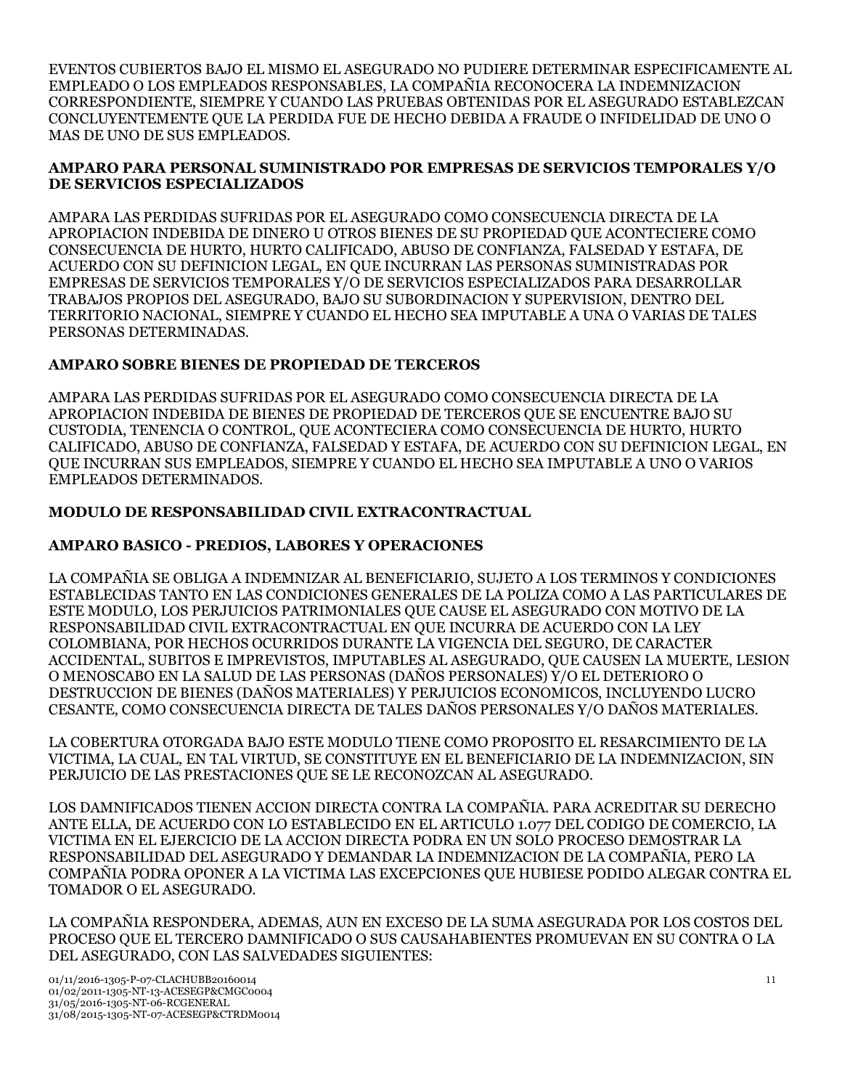EVENTOS CUBIERTOS BAJO EL MISMO EL ASEGURADO NO PUDIERE DETERMINAR ESPECIFICAMENTE AL EMPLEADO O LOS EMPLEADOS RESPONSABLES, LA COMPAÑIA RECONOCERA LA INDEMNIZACION CORRESPONDIENTE, SIEMPRE Y CUANDO LAS PRUEBAS OBTENIDAS POR EL ASEGURADO ESTABLEZCAN CONCLUYENTEMENTE QUE LA PERDIDA FUE DE HECHO DEBIDA A FRAUDE O INFIDELIDAD DE UNO O MAS DE UNO DE SUS EMPLEADOS.

### **AMPARO PARA PERSONAL SUMINISTRADO POR EMPRESAS DE SERVICIOS TEMPORALES Y/O DE SERVICIOS ESPECIALIZADOS**

AMPARA LAS PERDIDAS SUFRIDAS POR EL ASEGURADO COMO CONSECUENCIA DIRECTA DE LA APROPIACION INDEBIDA DE DINERO U OTROS BIENES DE SU PROPIEDAD QUE ACONTECIERE COMO CONSECUENCIA DE HURTO, HURTO CALIFICADO, ABUSO DE CONFIANZA, FALSEDAD Y ESTAFA, DE ACUERDO CON SU DEFINICION LEGAL, EN QUE INCURRAN LAS PERSONAS SUMINISTRADAS POR EMPRESAS DE SERVICIOS TEMPORALES Y/O DE SERVICIOS ESPECIALIZADOS PARA DESARROLLAR TRABAJOS PROPIOS DEL ASEGURADO, BAJO SU SUBORDINACION Y SUPERVISION, DENTRO DEL TERRITORIO NACIONAL, SIEMPRE Y CUANDO EL HECHO SEA IMPUTABLE A UNA O VARIAS DE TALES PERSONAS DETERMINADAS.

## **AMPARO SOBRE BIENES DE PROPIEDAD DE TERCEROS**

AMPARA LAS PERDIDAS SUFRIDAS POR EL ASEGURADO COMO CONSECUENCIA DIRECTA DE LA APROPIACION INDEBIDA DE BIENES DE PROPIEDAD DE TERCEROS QUE SE ENCUENTRE BAJO SU CUSTODIA, TENENCIA O CONTROL, QUE ACONTECIERA COMO CONSECUENCIA DE HURTO, HURTO CALIFICADO, ABUSO DE CONFIANZA, FALSEDAD Y ESTAFA, DE ACUERDO CON SU DEFINICION LEGAL, EN QUE INCURRAN SUS EMPLEADOS, SIEMPRE Y CUANDO EL HECHO SEA IMPUTABLE A UNO O VARIOS EMPLEADOS DETERMINADOS.

## **MODULO DE RESPONSABILIDAD CIVIL EXTRACONTRACTUAL**

## **AMPARO BASICO - PREDIOS, LABORES Y OPERACIONES**

LA COMPAÑIA SE OBLIGA A INDEMNIZAR AL BENEFICIARIO, SUJETO A LOS TERMINOS Y CONDICIONES ESTABLECIDAS TANTO EN LAS CONDICIONES GENERALES DE LA POLIZA COMO A LAS PARTICULARES DE ESTE MODULO, LOS PERJUICIOS PATRIMONIALES QUE CAUSE EL ASEGURADO CON MOTIVO DE LA RESPONSABILIDAD CIVIL EXTRACONTRACTUAL EN QUE INCURRA DE ACUERDO CON LA LEY COLOMBIANA, POR HECHOS OCURRIDOS DURANTE LA VIGENCIA DEL SEGURO, DE CARACTER ACCIDENTAL, SUBITOS E IMPREVISTOS, IMPUTABLES AL ASEGURADO, QUE CAUSEN LA MUERTE, LESION O MENOSCABO EN LA SALUD DE LAS PERSONAS (DAÑOS PERSONALES) Y/O EL DETERIORO O DESTRUCCION DE BIENES (DAÑOS MATERIALES) Y PERJUICIOS ECONOMICOS, INCLUYENDO LUCRO CESANTE, COMO CONSECUENCIA DIRECTA DE TALES DAÑOS PERSONALES Y/O DAÑOS MATERIALES.

LA COBERTURA OTORGADA BAJO ESTE MODULO TIENE COMO PROPOSITO EL RESARCIMIENTO DE LA VICTIMA, LA CUAL, EN TAL VIRTUD, SE CONSTITUYE EN EL BENEFICIARIO DE LA INDEMNIZACION, SIN PERJUICIO DE LAS PRESTACIONES QUE SE LE RECONOZCAN AL ASEGURADO.

LOS DAMNIFICADOS TIENEN ACCION DIRECTA CONTRA LA COMPAÑIA. PARA ACREDITAR SU DERECHO ANTE ELLA, DE ACUERDO CON LO ESTABLECIDO EN EL ARTICULO 1.077 DEL CODIGO DE COMERCIO, LA VICTIMA EN EL EJERCICIO DE LA ACCION DIRECTA PODRA EN UN SOLO PROCESO DEMOSTRAR LA RESPONSABILIDAD DEL ASEGURADO Y DEMANDAR LA INDEMNIZACION DE LA COMPAÑIA, PERO LA COMPAÑIA PODRA OPONER A LA VICTIMA LAS EXCEPCIONES QUE HUBIESE PODIDO ALEGAR CONTRA EL TOMADOR O EL ASEGURADO.

LA COMPAÑIA RESPONDERA, ADEMAS, AUN EN EXCESO DE LA SUMA ASEGURADA POR LOS COSTOS DEL PROCESO QUE EL TERCERO DAMNIFICADO O SUS CAUSAHABIENTES PROMUEVAN EN SU CONTRA O LA DEL ASEGURADO, CON LAS SALVEDADES SIGUIENTES: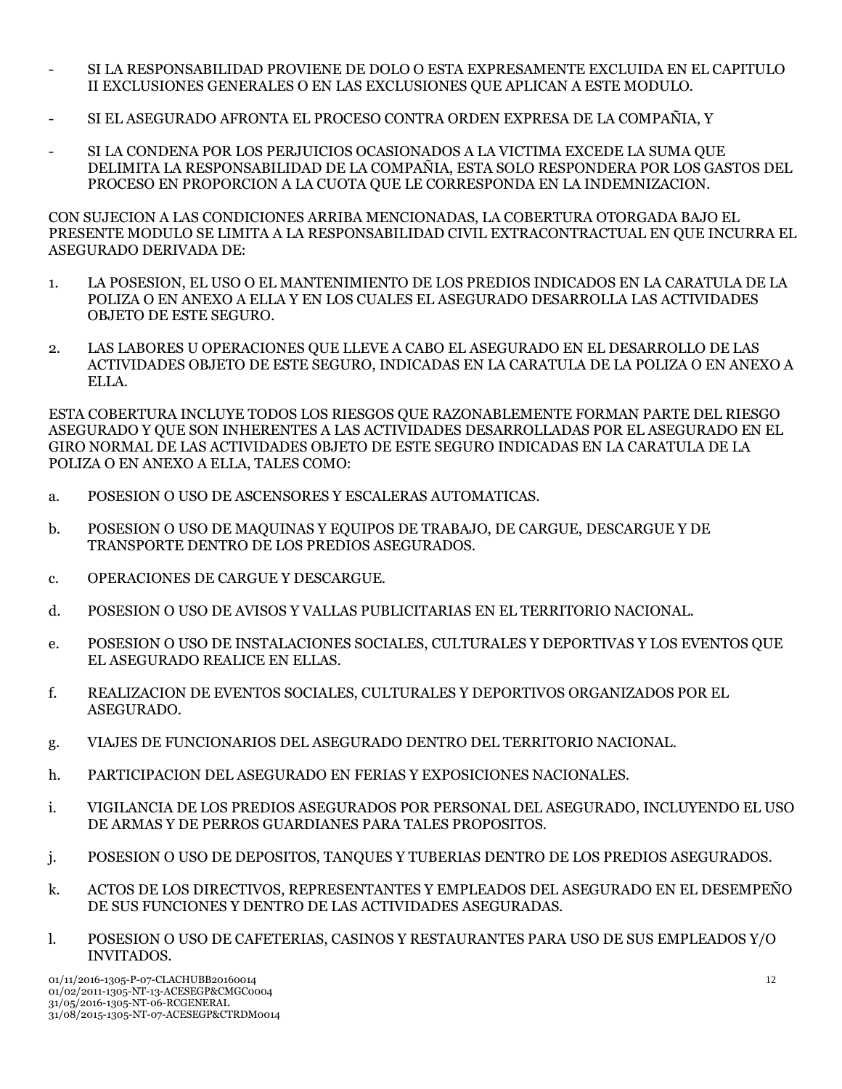- SI LA RESPONSABILIDAD PROVIENE DE DOLO O ESTA EXPRESAMENTE EXCLUIDA EN EL CAPITULO II EXCLUSIONES GENERALES O EN LAS EXCLUSIONES QUE APLICAN A ESTE MODULO.
- SI EL ASEGURADO AFRONTA EL PROCESO CONTRA ORDEN EXPRESA DE LA COMPAÑIA, Y
- SI LA CONDENA POR LOS PERJUICIOS OCASIONADOS A LA VICTIMA EXCEDE LA SUMA QUE DELIMITA LA RESPONSABILIDAD DE LA COMPAÑIA, ESTA SOLO RESPONDERA POR LOS GASTOS DEL PROCESO EN PROPORCION A LA CUOTA QUE LE CORRESPONDA EN LA INDEMNIZACION.

CON SUJECION A LAS CONDICIONES ARRIBA MENCIONADAS, LA COBERTURA OTORGADA BAJO EL PRESENTE MODULO SE LIMITA A LA RESPONSABILIDAD CIVIL EXTRACONTRACTUAL EN QUE INCURRA EL ASEGURADO DERIVADA DE:

- 1. LA POSESION, EL USO O EL MANTENIMIENTO DE LOS PREDIOS INDICADOS EN LA CARATULA DE LA POLIZA O EN ANEXO A ELLA Y EN LOS CUALES EL ASEGURADO DESARROLLA LAS ACTIVIDADES OBJETO DE ESTE SEGURO.
- 2. LAS LABORES U OPERACIONES QUE LLEVE A CABO EL ASEGURADO EN EL DESARROLLO DE LAS ACTIVIDADES OBJETO DE ESTE SEGURO, INDICADAS EN LA CARATULA DE LA POLIZA O EN ANEXO A ELLA.

ESTA COBERTURA INCLUYE TODOS LOS RIESGOS QUE RAZONABLEMENTE FORMAN PARTE DEL RIESGO ASEGURADO Y QUE SON INHERENTES A LAS ACTIVIDADES DESARROLLADAS POR EL ASEGURADO EN EL GIRO NORMAL DE LAS ACTIVIDADES OBJETO DE ESTE SEGURO INDICADAS EN LA CARATULA DE LA POLIZA O EN ANEXO A ELLA, TALES COMO:

- a. POSESION O USO DE ASCENSORES Y ESCALERAS AUTOMATICAS.
- b. POSESION O USO DE MAQUINAS Y EQUIPOS DE TRABAJO, DE CARGUE, DESCARGUE Y DE TRANSPORTE DENTRO DE LOS PREDIOS ASEGURADOS.
- c. OPERACIONES DE CARGUE Y DESCARGUE.
- d. POSESION O USO DE AVISOS Y VALLAS PUBLICITARIAS EN EL TERRITORIO NACIONAL.
- e. POSESION O USO DE INSTALACIONES SOCIALES, CULTURALES Y DEPORTIVAS Y LOS EVENTOS QUE EL ASEGURADO REALICE EN ELLAS.
- f. REALIZACION DE EVENTOS SOCIALES, CULTURALES Y DEPORTIVOS ORGANIZADOS POR EL ASEGURADO.
- g. VIAJES DE FUNCIONARIOS DEL ASEGURADO DENTRO DEL TERRITORIO NACIONAL.
- h. PARTICIPACION DEL ASEGURADO EN FERIAS Y EXPOSICIONES NACIONALES.
- i. VIGILANCIA DE LOS PREDIOS ASEGURADOS POR PERSONAL DEL ASEGURADO, INCLUYENDO EL USO DE ARMAS Y DE PERROS GUARDIANES PARA TALES PROPOSITOS.
- j. POSESION O USO DE DEPOSITOS, TANQUES Y TUBERIAS DENTRO DE LOS PREDIOS ASEGURADOS.
- k. ACTOS DE LOS DIRECTIVOS, REPRESENTANTES Y EMPLEADOS DEL ASEGURADO EN EL DESEMPEÑO DE SUS FUNCIONES Y DENTRO DE LAS ACTIVIDADES ASEGURADAS.
- l. POSESION O USO DE CAFETERIAS, CASINOS Y RESTAURANTES PARA USO DE SUS EMPLEADOS Y/O INVITADOS.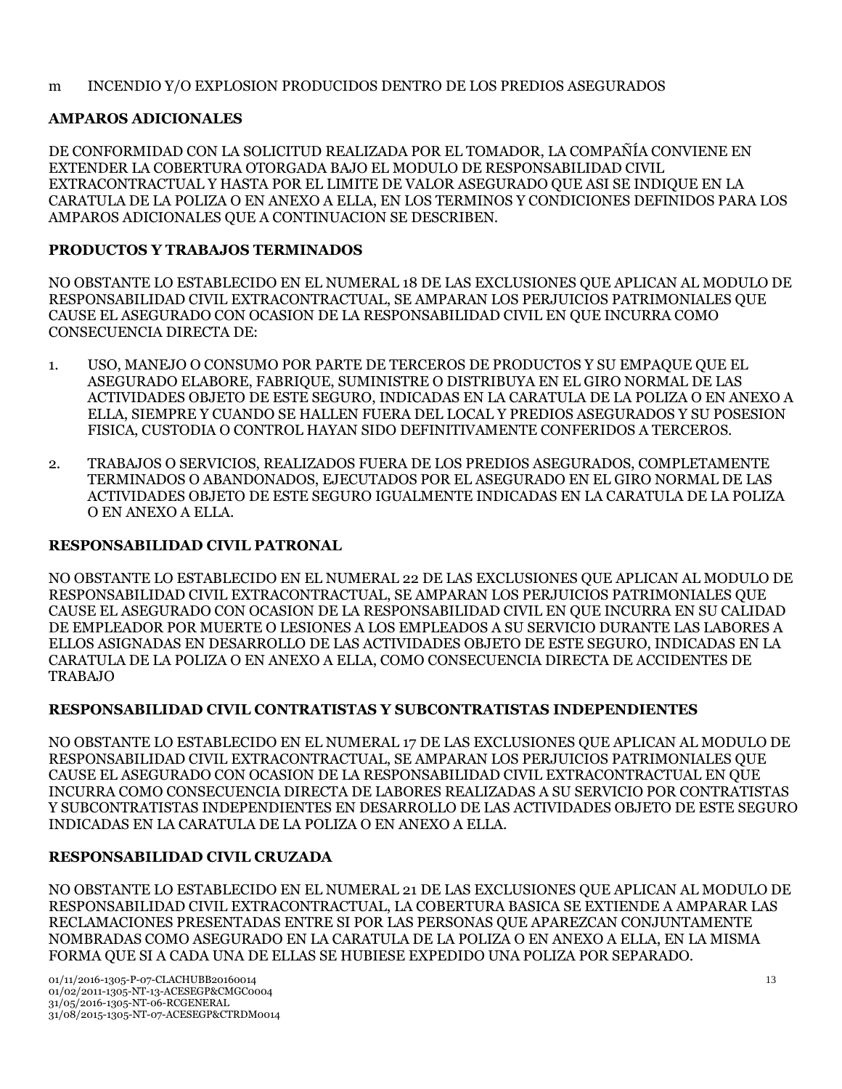### m INCENDIO Y/O EXPLOSION PRODUCIDOS DENTRO DE LOS PREDIOS ASEGURADOS

## **AMPAROS ADICIONALES**

DE CONFORMIDAD CON LA SOLICITUD REALIZADA POR EL TOMADOR, LA COMPAÑÍA CONVIENE EN EXTENDER LA COBERTURA OTORGADA BAJO EL MODULO DE RESPONSABILIDAD CIVIL EXTRACONTRACTUAL Y HASTA POR EL LIMITE DE VALOR ASEGURADO QUE ASI SE INDIQUE EN LA CARATULA DE LA POLIZA O EN ANEXO A ELLA, EN LOS TERMINOS Y CONDICIONES DEFINIDOS PARA LOS AMPAROS ADICIONALES QUE A CONTINUACION SE DESCRIBEN.

## **PRODUCTOS Y TRABAJOS TERMINADOS**

NO OBSTANTE LO ESTABLECIDO EN EL NUMERAL 18 DE LAS EXCLUSIONES QUE APLICAN AL MODULO DE RESPONSABILIDAD CIVIL EXTRACONTRACTUAL, SE AMPARAN LOS PERJUICIOS PATRIMONIALES QUE CAUSE EL ASEGURADO CON OCASION DE LA RESPONSABILIDAD CIVIL EN QUE INCURRA COMO CONSECUENCIA DIRECTA DE:

- 1. USO, MANEJO O CONSUMO POR PARTE DE TERCEROS DE PRODUCTOS Y SU EMPAQUE QUE EL ASEGURADO ELABORE, FABRIQUE, SUMINISTRE O DISTRIBUYA EN EL GIRO NORMAL DE LAS ACTIVIDADES OBJETO DE ESTE SEGURO, INDICADAS EN LA CARATULA DE LA POLIZA O EN ANEXO A ELLA, SIEMPRE Y CUANDO SE HALLEN FUERA DEL LOCAL Y PREDIOS ASEGURADOS Y SU POSESION FISICA, CUSTODIA O CONTROL HAYAN SIDO DEFINITIVAMENTE CONFERIDOS A TERCEROS.
- 2. TRABAJOS O SERVICIOS, REALIZADOS FUERA DE LOS PREDIOS ASEGURADOS, COMPLETAMENTE TERMINADOS O ABANDONADOS, EJECUTADOS POR EL ASEGURADO EN EL GIRO NORMAL DE LAS ACTIVIDADES OBJETO DE ESTE SEGURO IGUALMENTE INDICADAS EN LA CARATULA DE LA POLIZA O EN ANEXO A ELLA.

## **RESPONSABILIDAD CIVIL PATRONAL**

NO OBSTANTE LO ESTABLECIDO EN EL NUMERAL 22 DE LAS EXCLUSIONES QUE APLICAN AL MODULO DE RESPONSABILIDAD CIVIL EXTRACONTRACTUAL, SE AMPARAN LOS PERJUICIOS PATRIMONIALES QUE CAUSE EL ASEGURADO CON OCASION DE LA RESPONSABILIDAD CIVIL EN QUE INCURRA EN SU CALIDAD DE EMPLEADOR POR MUERTE O LESIONES A LOS EMPLEADOS A SU SERVICIO DURANTE LAS LABORES A ELLOS ASIGNADAS EN DESARROLLO DE LAS ACTIVIDADES OBJETO DE ESTE SEGURO, INDICADAS EN LA CARATULA DE LA POLIZA O EN ANEXO A ELLA, COMO CONSECUENCIA DIRECTA DE ACCIDENTES DE TRABAJO

## **RESPONSABILIDAD CIVIL CONTRATISTAS Y SUBCONTRATISTAS INDEPENDIENTES**

NO OBSTANTE LO ESTABLECIDO EN EL NUMERAL 17 DE LAS EXCLUSIONES QUE APLICAN AL MODULO DE RESPONSABILIDAD CIVIL EXTRACONTRACTUAL, SE AMPARAN LOS PERJUICIOS PATRIMONIALES QUE CAUSE EL ASEGURADO CON OCASION DE LA RESPONSABILIDAD CIVIL EXTRACONTRACTUAL EN QUE INCURRA COMO CONSECUENCIA DIRECTA DE LABORES REALIZADAS A SU SERVICIO POR CONTRATISTAS Y SUBCONTRATISTAS INDEPENDIENTES EN DESARROLLO DE LAS ACTIVIDADES OBJETO DE ESTE SEGURO INDICADAS EN LA CARATULA DE LA POLIZA O EN ANEXO A ELLA.

## **RESPONSABILIDAD CIVIL CRUZADA**

NO OBSTANTE LO ESTABLECIDO EN EL NUMERAL 21 DE LAS EXCLUSIONES QUE APLICAN AL MODULO DE RESPONSABILIDAD CIVIL EXTRACONTRACTUAL, LA COBERTURA BASICA SE EXTIENDE A AMPARAR LAS RECLAMACIONES PRESENTADAS ENTRE SI POR LAS PERSONAS QUE APAREZCAN CONJUNTAMENTE NOMBRADAS COMO ASEGURADO EN LA CARATULA DE LA POLIZA O EN ANEXO A ELLA, EN LA MISMA FORMA QUE SI A CADA UNA DE ELLAS SE HUBIESE EXPEDIDO UNA POLIZA POR SEPARADO.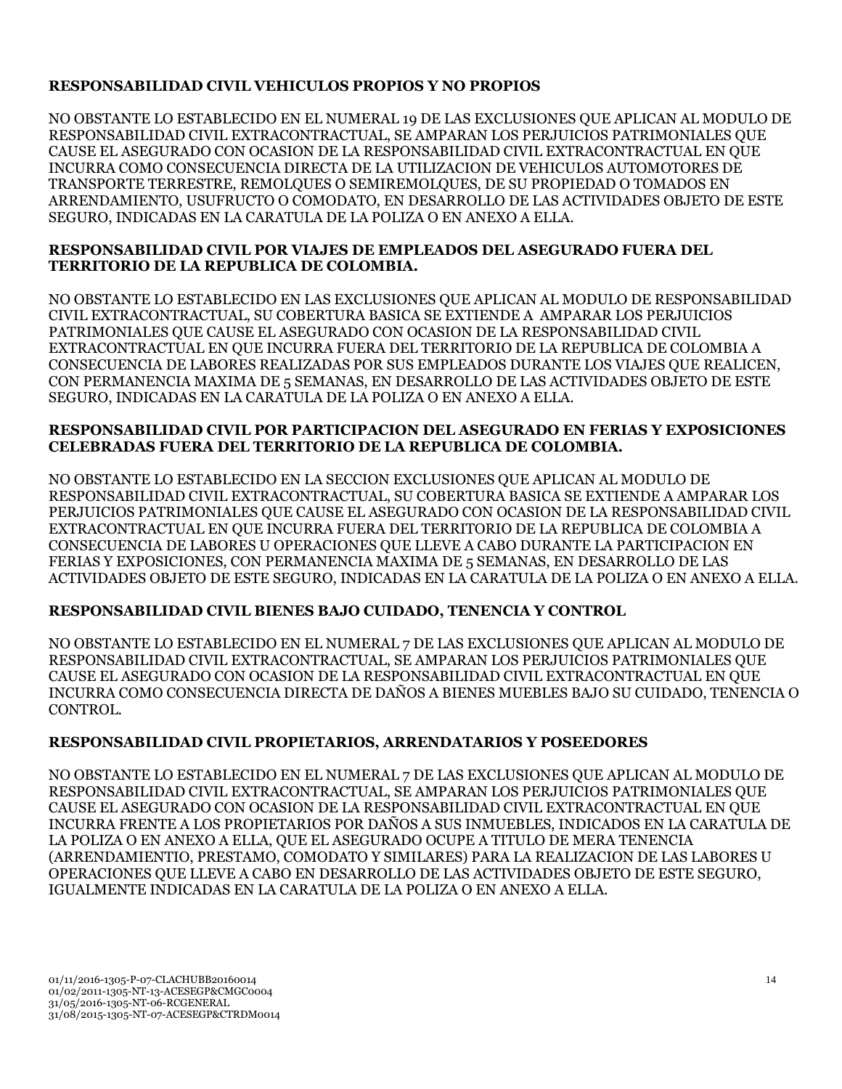## **RESPONSABILIDAD CIVIL VEHICULOS PROPIOS Y NO PROPIOS**

NO OBSTANTE LO ESTABLECIDO EN EL NUMERAL 19 DE LAS EXCLUSIONES QUE APLICAN AL MODULO DE RESPONSABILIDAD CIVIL EXTRACONTRACTUAL, SE AMPARAN LOS PERJUICIOS PATRIMONIALES QUE CAUSE EL ASEGURADO CON OCASION DE LA RESPONSABILIDAD CIVIL EXTRACONTRACTUAL EN QUE INCURRA COMO CONSECUENCIA DIRECTA DE LA UTILIZACION DE VEHICULOS AUTOMOTORES DE TRANSPORTE TERRESTRE, REMOLQUES O SEMIREMOLQUES, DE SU PROPIEDAD O TOMADOS EN ARRENDAMIENTO, USUFRUCTO O COMODATO, EN DESARROLLO DE LAS ACTIVIDADES OBJETO DE ESTE SEGURO, INDICADAS EN LA CARATULA DE LA POLIZA O EN ANEXO A ELLA.

## **RESPONSABILIDAD CIVIL POR VIAJES DE EMPLEADOS DEL ASEGURADO FUERA DEL TERRITORIO DE LA REPUBLICA DE COLOMBIA.**

NO OBSTANTE LO ESTABLECIDO EN LAS EXCLUSIONES QUE APLICAN AL MODULO DE RESPONSABILIDAD CIVIL EXTRACONTRACTUAL, SU COBERTURA BASICA SE EXTIENDE A AMPARAR LOS PERJUICIOS PATRIMONIALES QUE CAUSE EL ASEGURADO CON OCASION DE LA RESPONSABILIDAD CIVIL EXTRACONTRACTUAL EN QUE INCURRA FUERA DEL TERRITORIO DE LA REPUBLICA DE COLOMBIA A CONSECUENCIA DE LABORES REALIZADAS POR SUS EMPLEADOS DURANTE LOS VIAJES QUE REALICEN, CON PERMANENCIA MAXIMA DE 5 SEMANAS, EN DESARROLLO DE LAS ACTIVIDADES OBJETO DE ESTE SEGURO, INDICADAS EN LA CARATULA DE LA POLIZA O EN ANEXO A ELLA.

## **RESPONSABILIDAD CIVIL POR PARTICIPACION DEL ASEGURADO EN FERIAS Y EXPOSICIONES CELEBRADAS FUERA DEL TERRITORIO DE LA REPUBLICA DE COLOMBIA.**

NO OBSTANTE LO ESTABLECIDO EN LA SECCION EXCLUSIONES QUE APLICAN AL MODULO DE RESPONSABILIDAD CIVIL EXTRACONTRACTUAL, SU COBERTURA BASICA SE EXTIENDE A AMPARAR LOS PERJUICIOS PATRIMONIALES QUE CAUSE EL ASEGURADO CON OCASION DE LA RESPONSABILIDAD CIVIL EXTRACONTRACTUAL EN QUE INCURRA FUERA DEL TERRITORIO DE LA REPUBLICA DE COLOMBIA A CONSECUENCIA DE LABORES U OPERACIONES QUE LLEVE A CABO DURANTE LA PARTICIPACION EN FERIAS Y EXPOSICIONES, CON PERMANENCIA MAXIMA DE 5 SEMANAS, EN DESARROLLO DE LAS ACTIVIDADES OBJETO DE ESTE SEGURO, INDICADAS EN LA CARATULA DE LA POLIZA O EN ANEXO A ELLA.

## **RESPONSABILIDAD CIVIL BIENES BAJO CUIDADO, TENENCIA Y CONTROL**

NO OBSTANTE LO ESTABLECIDO EN EL NUMERAL 7 DE LAS EXCLUSIONES QUE APLICAN AL MODULO DE RESPONSABILIDAD CIVIL EXTRACONTRACTUAL, SE AMPARAN LOS PERJUICIOS PATRIMONIALES QUE CAUSE EL ASEGURADO CON OCASION DE LA RESPONSABILIDAD CIVIL EXTRACONTRACTUAL EN QUE INCURRA COMO CONSECUENCIA DIRECTA DE DAÑOS A BIENES MUEBLES BAJO SU CUIDADO, TENENCIA O CONTROL.

## **RESPONSABILIDAD CIVIL PROPIETARIOS, ARRENDATARIOS Y POSEEDORES**

NO OBSTANTE LO ESTABLECIDO EN EL NUMERAL 7 DE LAS EXCLUSIONES QUE APLICAN AL MODULO DE RESPONSABILIDAD CIVIL EXTRACONTRACTUAL, SE AMPARAN LOS PERJUICIOS PATRIMONIALES QUE CAUSE EL ASEGURADO CON OCASION DE LA RESPONSABILIDAD CIVIL EXTRACONTRACTUAL EN QUE INCURRA FRENTE A LOS PROPIETARIOS POR DAÑOS A SUS INMUEBLES, INDICADOS EN LA CARATULA DE LA POLIZA O EN ANEXO A ELLA, QUE EL ASEGURADO OCUPE A TITULO DE MERA TENENCIA (ARRENDAMIENTIO, PRESTAMO, COMODATO Y SIMILARES) PARA LA REALIZACION DE LAS LABORES U OPERACIONES QUE LLEVE A CABO EN DESARROLLO DE LAS ACTIVIDADES OBJETO DE ESTE SEGURO, IGUALMENTE INDICADAS EN LA CARATULA DE LA POLIZA O EN ANEXO A ELLA.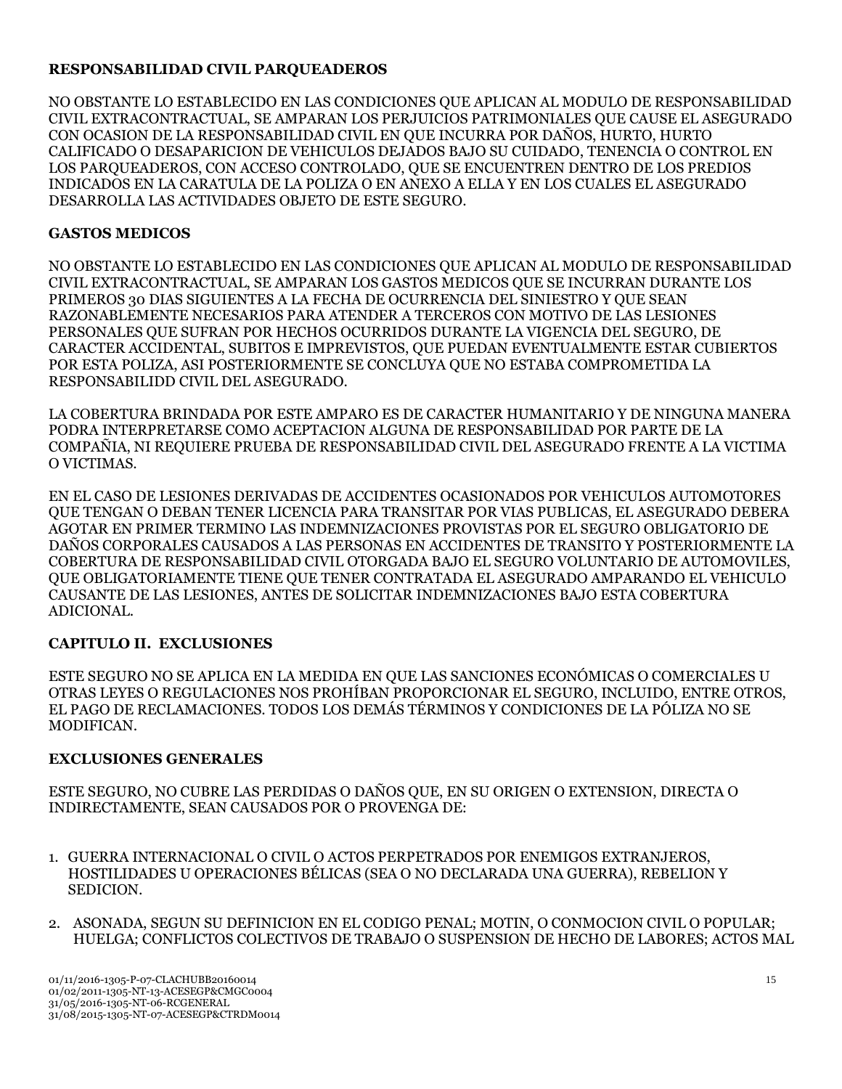## **RESPONSABILIDAD CIVIL PARQUEADEROS**

NO OBSTANTE LO ESTABLECIDO EN LAS CONDICIONES QUE APLICAN AL MODULO DE RESPONSABILIDAD CIVIL EXTRACONTRACTUAL, SE AMPARAN LOS PERJUICIOS PATRIMONIALES QUE CAUSE EL ASEGURADO CON OCASION DE LA RESPONSABILIDAD CIVIL EN QUE INCURRA POR DAÑOS, HURTO, HURTO CALIFICADO O DESAPARICION DE VEHICULOS DEJADOS BAJO SU CUIDADO, TENENCIA O CONTROL EN LOS PARQUEADEROS, CON ACCESO CONTROLADO, QUE SE ENCUENTREN DENTRO DE LOS PREDIOS INDICADOS EN LA CARATULA DE LA POLIZA O EN ANEXO A ELLA Y EN LOS CUALES EL ASEGURADO DESARROLLA LAS ACTIVIDADES OBJETO DE ESTE SEGURO.

## **GASTOS MEDICOS**

NO OBSTANTE LO ESTABLECIDO EN LAS CONDICIONES QUE APLICAN AL MODULO DE RESPONSABILIDAD CIVIL EXTRACONTRACTUAL, SE AMPARAN LOS GASTOS MEDICOS QUE SE INCURRAN DURANTE LOS PRIMEROS 30 DIAS SIGUIENTES A LA FECHA DE OCURRENCIA DEL SINIESTRO Y QUE SEAN RAZONABLEMENTE NECESARIOS PARA ATENDER A TERCEROS CON MOTIVO DE LAS LESIONES PERSONALES QUE SUFRAN POR HECHOS OCURRIDOS DURANTE LA VIGENCIA DEL SEGURO, DE CARACTER ACCIDENTAL, SUBITOS E IMPREVISTOS, QUE PUEDAN EVENTUALMENTE ESTAR CUBIERTOS POR ESTA POLIZA, ASI POSTERIORMENTE SE CONCLUYA QUE NO ESTABA COMPROMETIDA LA RESPONSABILIDD CIVIL DEL ASEGURADO.

LA COBERTURA BRINDADA POR ESTE AMPARO ES DE CARACTER HUMANITARIO Y DE NINGUNA MANERA PODRA INTERPRETARSE COMO ACEPTACION ALGUNA DE RESPONSABILIDAD POR PARTE DE LA COMPAÑIA, NI REQUIERE PRUEBA DE RESPONSABILIDAD CIVIL DEL ASEGURADO FRENTE A LA VICTIMA O VICTIMAS.

EN EL CASO DE LESIONES DERIVADAS DE ACCIDENTES OCASIONADOS POR VEHICULOS AUTOMOTORES QUE TENGAN O DEBAN TENER LICENCIA PARA TRANSITAR POR VIAS PUBLICAS, EL ASEGURADO DEBERA AGOTAR EN PRIMER TERMINO LAS INDEMNIZACIONES PROVISTAS POR EL SEGURO OBLIGATORIO DE DAÑOS CORPORALES CAUSADOS A LAS PERSONAS EN ACCIDENTES DE TRANSITO Y POSTERIORMENTE LA COBERTURA DE RESPONSABILIDAD CIVIL OTORGADA BAJO EL SEGURO VOLUNTARIO DE AUTOMOVILES, QUE OBLIGATORIAMENTE TIENE QUE TENER CONTRATADA EL ASEGURADO AMPARANDO EL VEHICULO CAUSANTE DE LAS LESIONES, ANTES DE SOLICITAR INDEMNIZACIONES BAJO ESTA COBERTURA ADICIONAL.

## **CAPITULO II. EXCLUSIONES**

ESTE SEGURO NO SE APLICA EN LA MEDIDA EN QUE LAS SANCIONES ECONÓMICAS O COMERCIALES U OTRAS LEYES O REGULACIONES NOS PROHÍBAN PROPORCIONAR EL SEGURO, INCLUIDO, ENTRE OTROS, EL PAGO DE RECLAMACIONES. TODOS LOS DEMÁS TÉRMINOS Y CONDICIONES DE LA PÓLIZA NO SE MODIFICAN.

## **EXCLUSIONES GENERALES**

ESTE SEGURO, NO CUBRE LAS PERDIDAS O DAÑOS QUE, EN SU ORIGEN O EXTENSION, DIRECTA O INDIRECTAMENTE, SEAN CAUSADOS POR O PROVENGA DE:

- 1. GUERRA INTERNACIONAL O CIVIL O ACTOS PERPETRADOS POR ENEMIGOS EXTRANJEROS, HOSTILIDADES U OPERACIONES BÉLICAS (SEA O NO DECLARADA UNA GUERRA), REBELION Y SEDICION.
- 2. ASONADA, SEGUN SU DEFINICION EN EL CODIGO PENAL; MOTIN, O CONMOCION CIVIL O POPULAR; HUELGA; CONFLICTOS COLECTIVOS DE TRABAJO O SUSPENSION DE HECHO DE LABORES; ACTOS MAL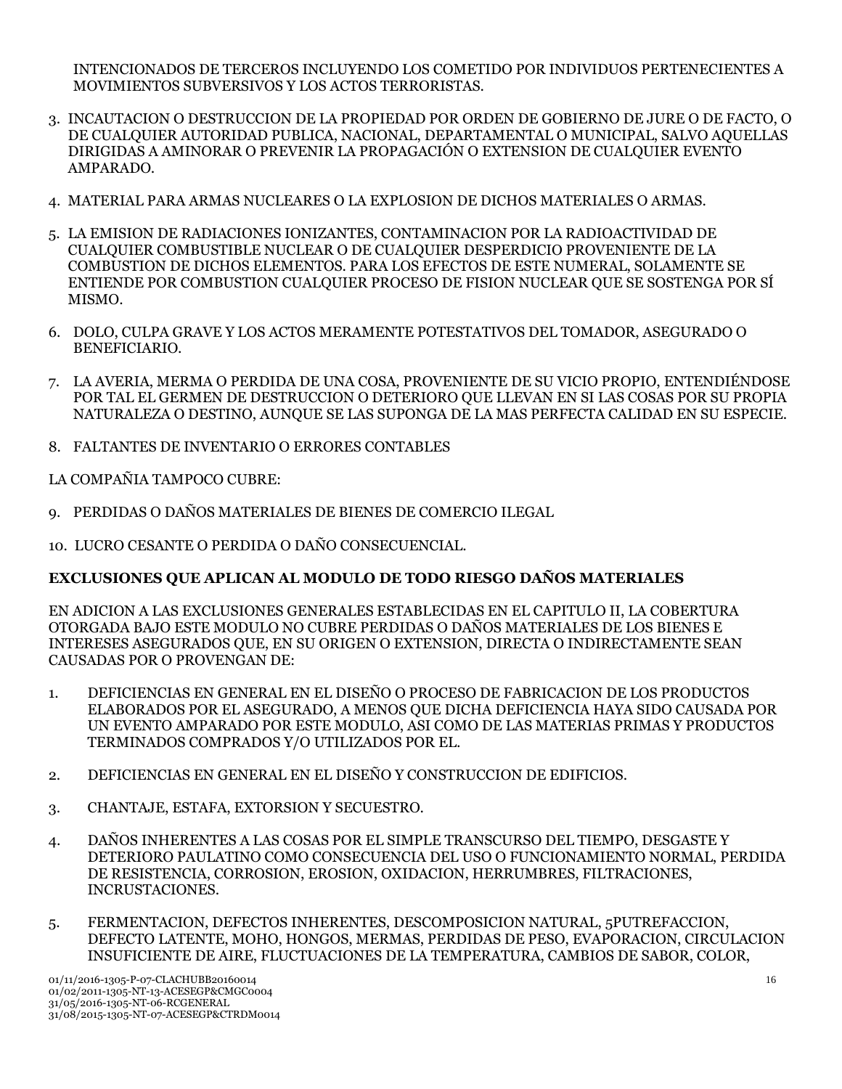INTENCIONADOS DE TERCEROS INCLUYENDO LOS COMETIDO POR INDIVIDUOS PERTENECIENTES A MOVIMIENTOS SUBVERSIVOS Y LOS ACTOS TERRORISTAS.

- 3. INCAUTACION O DESTRUCCION DE LA PROPIEDAD POR ORDEN DE GOBIERNO DE JURE O DE FACTO, O DE CUALQUIER AUTORIDAD PUBLICA, NACIONAL, DEPARTAMENTAL O MUNICIPAL, SALVO AQUELLAS DIRIGIDAS A AMINORAR O PREVENIR LA PROPAGACIÓN O EXTENSION DE CUALQUIER EVENTO AMPARADO.
- 4. MATERIAL PARA ARMAS NUCLEARES O LA EXPLOSION DE DICHOS MATERIALES O ARMAS.
- 5. LA EMISION DE RADIACIONES IONIZANTES, CONTAMINACION POR LA RADIOACTIVIDAD DE CUALQUIER COMBUSTIBLE NUCLEAR O DE CUALQUIER DESPERDICIO PROVENIENTE DE LA COMBUSTION DE DICHOS ELEMENTOS. PARA LOS EFECTOS DE ESTE NUMERAL, SOLAMENTE SE ENTIENDE POR COMBUSTION CUALQUIER PROCESO DE FISION NUCLEAR QUE SE SOSTENGA POR SÍ MISMO.
- 6. DOLO, CULPA GRAVE Y LOS ACTOS MERAMENTE POTESTATIVOS DEL TOMADOR, ASEGURADO O BENEFICIARIO.
- 7. LA AVERIA, MERMA O PERDIDA DE UNA COSA, PROVENIENTE DE SU VICIO PROPIO, ENTENDIÉNDOSE POR TAL EL GERMEN DE DESTRUCCION O DETERIORO QUE LLEVAN EN SI LAS COSAS POR SU PROPIA NATURALEZA O DESTINO, AUNQUE SE LAS SUPONGA DE LA MAS PERFECTA CALIDAD EN SU ESPECIE.
- 8. FALTANTES DE INVENTARIO O ERRORES CONTABLES

LA COMPAÑIA TAMPOCO CUBRE:

- 9. PERDIDAS O DAÑOS MATERIALES DE BIENES DE COMERCIO ILEGAL
- 10. LUCRO CESANTE O PERDIDA O DAÑO CONSECUENCIAL.

## **EXCLUSIONES QUE APLICAN AL MODULO DE TODO RIESGO DAÑOS MATERIALES**

EN ADICION A LAS EXCLUSIONES GENERALES ESTABLECIDAS EN EL CAPITULO II, LA COBERTURA OTORGADA BAJO ESTE MODULO NO CUBRE PERDIDAS O DAÑOS MATERIALES DE LOS BIENES E INTERESES ASEGURADOS QUE, EN SU ORIGEN O EXTENSION, DIRECTA O INDIRECTAMENTE SEAN CAUSADAS POR O PROVENGAN DE:

- 1. DEFICIENCIAS EN GENERAL EN EL DISEÑO O PROCESO DE FABRICACION DE LOS PRODUCTOS ELABORADOS POR EL ASEGURADO, A MENOS QUE DICHA DEFICIENCIA HAYA SIDO CAUSADA POR UN EVENTO AMPARADO POR ESTE MODULO, ASI COMO DE LAS MATERIAS PRIMAS Y PRODUCTOS TERMINADOS COMPRADOS Y/O UTILIZADOS POR EL.
- 2. DEFICIENCIAS EN GENERAL EN EL DISEÑO Y CONSTRUCCION DE EDIFICIOS.
- 3. CHANTAJE, ESTAFA, EXTORSION Y SECUESTRO.
- 4. DAÑOS INHERENTES A LAS COSAS POR EL SIMPLE TRANSCURSO DEL TIEMPO, DESGASTE Y DETERIORO PAULATINO COMO CONSECUENCIA DEL USO O FUNCIONAMIENTO NORMAL, PERDIDA DE RESISTENCIA, CORROSION, EROSION, OXIDACION, HERRUMBRES, FILTRACIONES, INCRUSTACIONES.
- 5. FERMENTACION, DEFECTOS INHERENTES, DESCOMPOSICION NATURAL, 5PUTREFACCION, DEFECTO LATENTE, MOHO, HONGOS, MERMAS, PERDIDAS DE PESO, EVAPORACION, CIRCULACION INSUFICIENTE DE AIRE, FLUCTUACIONES DE LA TEMPERATURA, CAMBIOS DE SABOR, COLOR,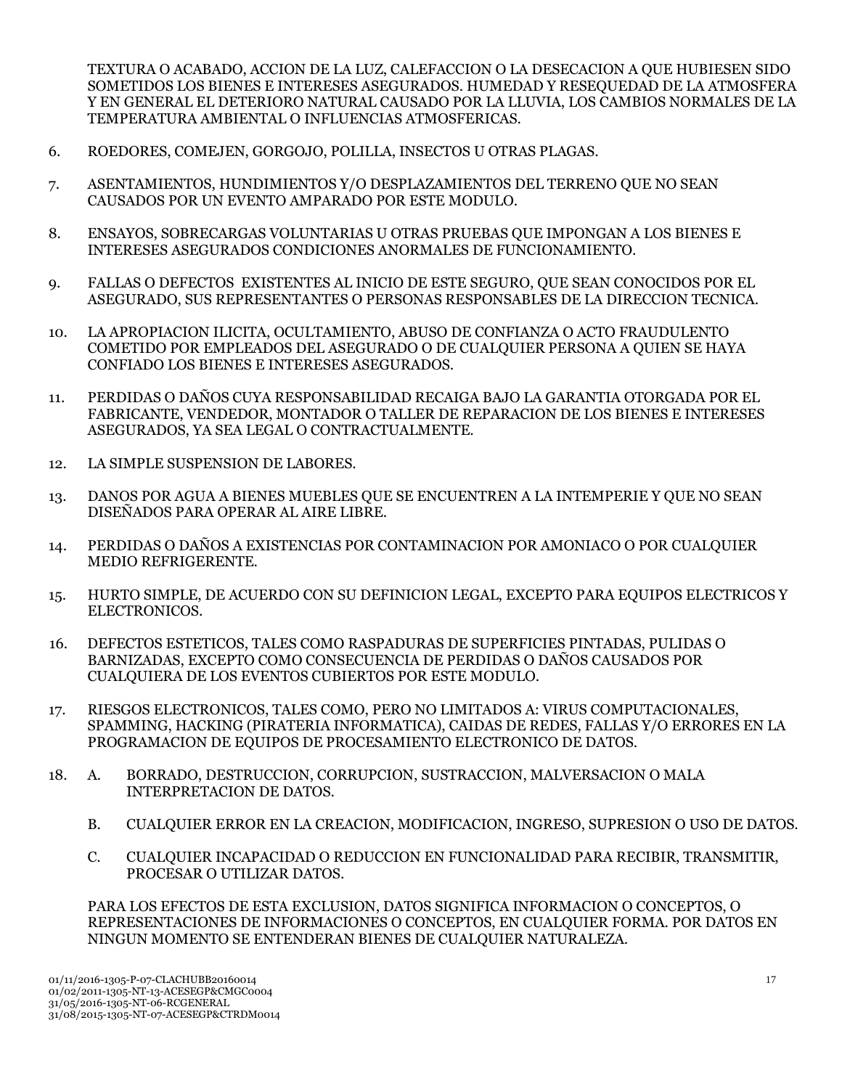TEXTURA O ACABADO, ACCION DE LA LUZ, CALEFACCION O LA DESECACION A QUE HUBIESEN SIDO SOMETIDOS LOS BIENES E INTERESES ASEGURADOS. HUMEDAD Y RESEQUEDAD DE LA ATMOSFERA Y EN GENERAL EL DETERIORO NATURAL CAUSADO POR LA LLUVIA, LOS CAMBIOS NORMALES DE LA TEMPERATURA AMBIENTAL O INFLUENCIAS ATMOSFERICAS.

- 6. ROEDORES, COMEJEN, GORGOJO, POLILLA, INSECTOS U OTRAS PLAGAS.
- 7. ASENTAMIENTOS, HUNDIMIENTOS Y/O DESPLAZAMIENTOS DEL TERRENO QUE NO SEAN CAUSADOS POR UN EVENTO AMPARADO POR ESTE MODULO.
- 8. ENSAYOS, SOBRECARGAS VOLUNTARIAS U OTRAS PRUEBAS QUE IMPONGAN A LOS BIENES E INTERESES ASEGURADOS CONDICIONES ANORMALES DE FUNCIONAMIENTO.
- 9. FALLAS O DEFECTOS EXISTENTES AL INICIO DE ESTE SEGURO, QUE SEAN CONOCIDOS POR EL ASEGURADO, SUS REPRESENTANTES O PERSONAS RESPONSABLES DE LA DIRECCION TECNICA.
- 10. LA APROPIACION ILICITA, OCULTAMIENTO, ABUSO DE CONFIANZA O ACTO FRAUDULENTO COMETIDO POR EMPLEADOS DEL ASEGURADO O DE CUALQUIER PERSONA A QUIEN SE HAYA CONFIADO LOS BIENES E INTERESES ASEGURADOS.
- 11. PERDIDAS O DAÑOS CUYA RESPONSABILIDAD RECAIGA BAJO LA GARANTIA OTORGADA POR EL FABRICANTE, VENDEDOR, MONTADOR O TALLER DE REPARACION DE LOS BIENES E INTERESES ASEGURADOS, YA SEA LEGAL O CONTRACTUALMENTE.
- 12. LA SIMPLE SUSPENSION DE LABORES.
- 13. DANOS POR AGUA A BIENES MUEBLES QUE SE ENCUENTREN A LA INTEMPERIE Y QUE NO SEAN DISEÑADOS PARA OPERAR AL AIRE LIBRE.
- 14. PERDIDAS O DAÑOS A EXISTENCIAS POR CONTAMINACION POR AMONIACO O POR CUALQUIER MEDIO REFRIGERENTE.
- 15. HURTO SIMPLE, DE ACUERDO CON SU DEFINICION LEGAL, EXCEPTO PARA EQUIPOS ELECTRICOS Y ELECTRONICOS.
- 16. DEFECTOS ESTETICOS, TALES COMO RASPADURAS DE SUPERFICIES PINTADAS, PULIDAS O BARNIZADAS, EXCEPTO COMO CONSECUENCIA DE PERDIDAS O DAÑOS CAUSADOS POR CUALQUIERA DE LOS EVENTOS CUBIERTOS POR ESTE MODULO.
- 17. RIESGOS ELECTRONICOS, TALES COMO, PERO NO LIMITADOS A: VIRUS COMPUTACIONALES, SPAMMING, HACKING (PIRATERIA INFORMATICA), CAIDAS DE REDES, FALLAS Y/O ERRORES EN LA PROGRAMACION DE EQUIPOS DE PROCESAMIENTO ELECTRONICO DE DATOS.
- 18. A. BORRADO, DESTRUCCION, CORRUPCION, SUSTRACCION, MALVERSACION O MALA INTERPRETACION DE DATOS.
	- B. CUALQUIER ERROR EN LA CREACION, MODIFICACION, INGRESO, SUPRESION O USO DE DATOS.
	- C. CUALQUIER INCAPACIDAD O REDUCCION EN FUNCIONALIDAD PARA RECIBIR, TRANSMITIR, PROCESAR O UTILIZAR DATOS.

PARA LOS EFECTOS DE ESTA EXCLUSION, DATOS SIGNIFICA INFORMACION O CONCEPTOS, O REPRESENTACIONES DE INFORMACIONES O CONCEPTOS, EN CUALQUIER FORMA. POR DATOS EN NINGUN MOMENTO SE ENTENDERAN BIENES DE CUALQUIER NATURALEZA.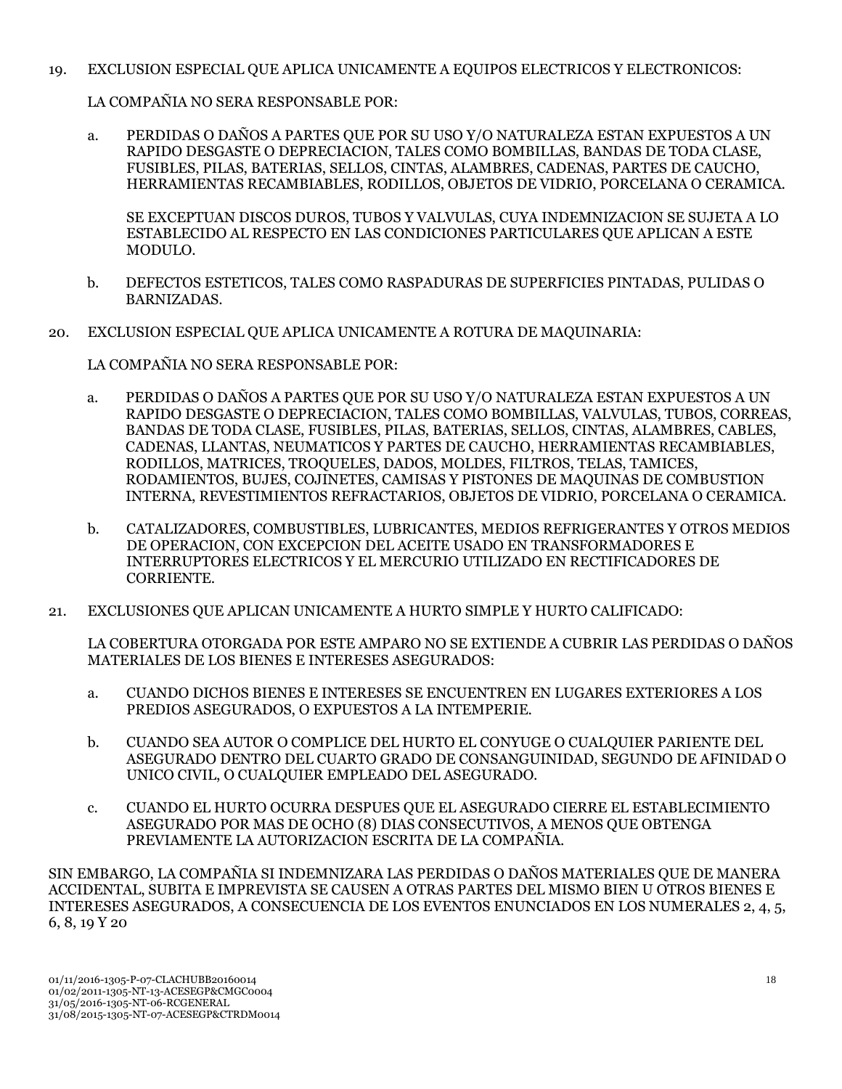19. EXCLUSION ESPECIAL QUE APLICA UNICAMENTE A EQUIPOS ELECTRICOS Y ELECTRONICOS:

LA COMPAÑIA NO SERA RESPONSABLE POR:

a. PERDIDAS O DAÑOS A PARTES QUE POR SU USO Y/O NATURALEZA ESTAN EXPUESTOS A UN RAPIDO DESGASTE O DEPRECIACION, TALES COMO BOMBILLAS, BANDAS DE TODA CLASE, FUSIBLES, PILAS, BATERIAS, SELLOS, CINTAS, ALAMBRES, CADENAS, PARTES DE CAUCHO, HERRAMIENTAS RECAMBIABLES, RODILLOS, OBJETOS DE VIDRIO, PORCELANA O CERAMICA.

SE EXCEPTUAN DISCOS DUROS, TUBOS Y VALVULAS, CUYA INDEMNIZACION SE SUJETA A LO ESTABLECIDO AL RESPECTO EN LAS CONDICIONES PARTICULARES QUE APLICAN A ESTE MODULO.

- b. DEFECTOS ESTETICOS, TALES COMO RASPADURAS DE SUPERFICIES PINTADAS, PULIDAS O BARNIZADAS.
- 20. EXCLUSION ESPECIAL QUE APLICA UNICAMENTE A ROTURA DE MAQUINARIA:

LA COMPAÑIA NO SERA RESPONSABLE POR:

- a. PERDIDAS O DAÑOS A PARTES QUE POR SU USO Y/O NATURALEZA ESTAN EXPUESTOS A UN RAPIDO DESGASTE O DEPRECIACION, TALES COMO BOMBILLAS, VALVULAS, TUBOS, CORREAS, BANDAS DE TODA CLASE, FUSIBLES, PILAS, BATERIAS, SELLOS, CINTAS, ALAMBRES, CABLES, CADENAS, LLANTAS, NEUMATICOS Y PARTES DE CAUCHO, HERRAMIENTAS RECAMBIABLES, RODILLOS, MATRICES, TROQUELES, DADOS, MOLDES, FILTROS, TELAS, TAMICES, RODAMIENTOS, BUJES, COJINETES, CAMISAS Y PISTONES DE MAQUINAS DE COMBUSTION INTERNA, REVESTIMIENTOS REFRACTARIOS, OBJETOS DE VIDRIO, PORCELANA O CERAMICA.
- b. CATALIZADORES, COMBUSTIBLES, LUBRICANTES, MEDIOS REFRIGERANTES Y OTROS MEDIOS DE OPERACION, CON EXCEPCION DEL ACEITE USADO EN TRANSFORMADORES E INTERRUPTORES ELECTRICOS Y EL MERCURIO UTILIZADO EN RECTIFICADORES DE CORRIENTE.
- 21. EXCLUSIONES QUE APLICAN UNICAMENTE A HURTO SIMPLE Y HURTO CALIFICADO:

LA COBERTURA OTORGADA POR ESTE AMPARO NO SE EXTIENDE A CUBRIR LAS PERDIDAS O DAÑOS MATERIALES DE LOS BIENES E INTERESES ASEGURADOS:

- a. CUANDO DICHOS BIENES E INTERESES SE ENCUENTREN EN LUGARES EXTERIORES A LOS PREDIOS ASEGURADOS, O EXPUESTOS A LA INTEMPERIE.
- b. CUANDO SEA AUTOR O COMPLICE DEL HURTO EL CONYUGE O CUALQUIER PARIENTE DEL ASEGURADO DENTRO DEL CUARTO GRADO DE CONSANGUINIDAD, SEGUNDO DE AFINIDAD O UNICO CIVIL, O CUALQUIER EMPLEADO DEL ASEGURADO.
- c. CUANDO EL HURTO OCURRA DESPUES QUE EL ASEGURADO CIERRE EL ESTABLECIMIENTO ASEGURADO POR MAS DE OCHO (8) DIAS CONSECUTIVOS, A MENOS QUE OBTENGA PREVIAMENTE LA AUTORIZACION ESCRITA DE LA COMPAÑIA.

SIN EMBARGO, LA COMPAÑIA SI INDEMNIZARA LAS PERDIDAS O DAÑOS MATERIALES QUE DE MANERA ACCIDENTAL, SUBITA E IMPREVISTA SE CAUSEN A OTRAS PARTES DEL MISMO BIEN U OTROS BIENES E INTERESES ASEGURADOS, A CONSECUENCIA DE LOS EVENTOS ENUNCIADOS EN LOS NUMERALES 2, 4, 5, 6, 8, 19 Y 20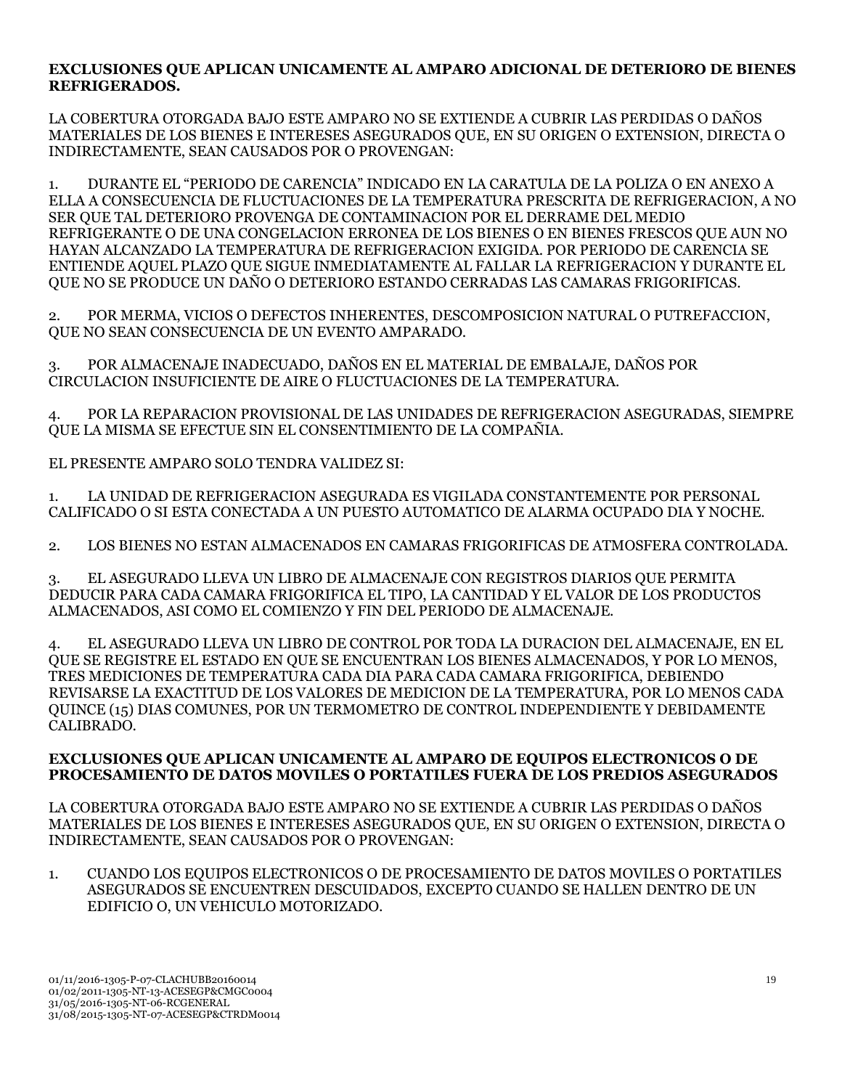### **EXCLUSIONES QUE APLICAN UNICAMENTE AL AMPARO ADICIONAL DE DETERIORO DE BIENES REFRIGERADOS.**

LA COBERTURA OTORGADA BAJO ESTE AMPARO NO SE EXTIENDE A CUBRIR LAS PERDIDAS O DAÑOS MATERIALES DE LOS BIENES E INTERESES ASEGURADOS QUE, EN SU ORIGEN O EXTENSION, DIRECTA O INDIRECTAMENTE, SEAN CAUSADOS POR O PROVENGAN:

1. DURANTE EL "PERIODO DE CARENCIA" INDICADO EN LA CARATULA DE LA POLIZA O EN ANEXO A ELLA A CONSECUENCIA DE FLUCTUACIONES DE LA TEMPERATURA PRESCRITA DE REFRIGERACION, A NO SER QUE TAL DETERIORO PROVENGA DE CONTAMINACION POR EL DERRAME DEL MEDIO REFRIGERANTE O DE UNA CONGELACION ERRONEA DE LOS BIENES O EN BIENES FRESCOS QUE AUN NO HAYAN ALCANZADO LA TEMPERATURA DE REFRIGERACION EXIGIDA. POR PERIODO DE CARENCIA SE ENTIENDE AQUEL PLAZO QUE SIGUE INMEDIATAMENTE AL FALLAR LA REFRIGERACION Y DURANTE EL QUE NO SE PRODUCE UN DAÑO O DETERIORO ESTANDO CERRADAS LAS CAMARAS FRIGORIFICAS.

2. POR MERMA, VICIOS O DEFECTOS INHERENTES, DESCOMPOSICION NATURAL O PUTREFACCION, QUE NO SEAN CONSECUENCIA DE UN EVENTO AMPARADO.

3. POR ALMACENAJE INADECUADO, DAÑOS EN EL MATERIAL DE EMBALAJE, DAÑOS POR CIRCULACION INSUFICIENTE DE AIRE O FLUCTUACIONES DE LA TEMPERATURA.

4. POR LA REPARACION PROVISIONAL DE LAS UNIDADES DE REFRIGERACION ASEGURADAS, SIEMPRE QUE LA MISMA SE EFECTUE SIN EL CONSENTIMIENTO DE LA COMPAÑIA.

EL PRESENTE AMPARO SOLO TENDRA VALIDEZ SI:

1. LA UNIDAD DE REFRIGERACION ASEGURADA ES VIGILADA CONSTANTEMENTE POR PERSONAL CALIFICADO O SI ESTA CONECTADA A UN PUESTO AUTOMATICO DE ALARMA OCUPADO DIA Y NOCHE.

2. LOS BIENES NO ESTAN ALMACENADOS EN CAMARAS FRIGORIFICAS DE ATMOSFERA CONTROLADA.

3. EL ASEGURADO LLEVA UN LIBRO DE ALMACENAJE CON REGISTROS DIARIOS QUE PERMITA DEDUCIR PARA CADA CAMARA FRIGORIFICA EL TIPO, LA CANTIDAD Y EL VALOR DE LOS PRODUCTOS ALMACENADOS, ASI COMO EL COMIENZO Y FIN DEL PERIODO DE ALMACENAJE.

4. EL ASEGURADO LLEVA UN LIBRO DE CONTROL POR TODA LA DURACION DEL ALMACENAJE, EN EL QUE SE REGISTRE EL ESTADO EN QUE SE ENCUENTRAN LOS BIENES ALMACENADOS, Y POR LO MENOS, TRES MEDICIONES DE TEMPERATURA CADA DIA PARA CADA CAMARA FRIGORIFICA, DEBIENDO REVISARSE LA EXACTITUD DE LOS VALORES DE MEDICION DE LA TEMPERATURA, POR LO MENOS CADA QUINCE (15) DIAS COMUNES, POR UN TERMOMETRO DE CONTROL INDEPENDIENTE Y DEBIDAMENTE CALIBRADO.

#### **EXCLUSIONES QUE APLICAN UNICAMENTE AL AMPARO DE EQUIPOS ELECTRONICOS O DE PROCESAMIENTO DE DATOS MOVILES O PORTATILES FUERA DE LOS PREDIOS ASEGURADOS**

LA COBERTURA OTORGADA BAJO ESTE AMPARO NO SE EXTIENDE A CUBRIR LAS PERDIDAS O DAÑOS MATERIALES DE LOS BIENES E INTERESES ASEGURADOS QUE, EN SU ORIGEN O EXTENSION, DIRECTA O INDIRECTAMENTE, SEAN CAUSADOS POR O PROVENGAN:

1. CUANDO LOS EQUIPOS ELECTRONICOS O DE PROCESAMIENTO DE DATOS MOVILES O PORTATILES ASEGURADOS SE ENCUENTREN DESCUIDADOS, EXCEPTO CUANDO SE HALLEN DENTRO DE UN EDIFICIO O, UN VEHICULO MOTORIZADO.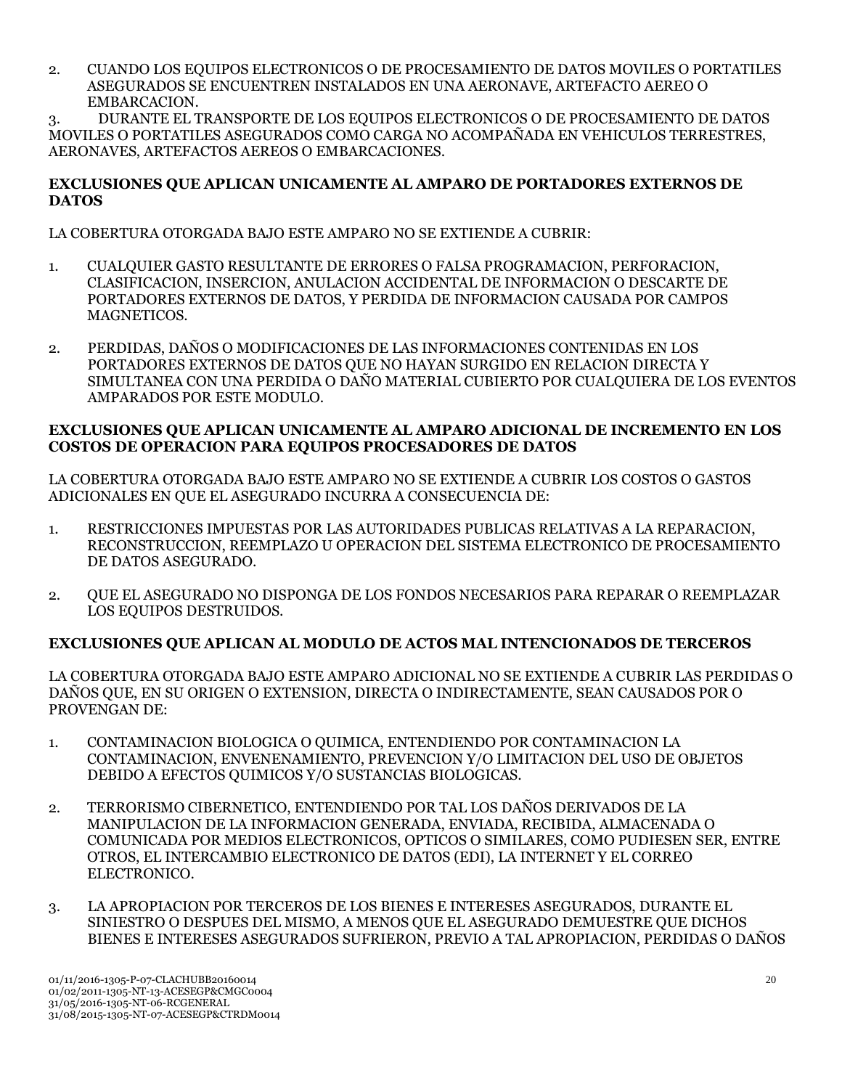2. CUANDO LOS EQUIPOS ELECTRONICOS O DE PROCESAMIENTO DE DATOS MOVILES O PORTATILES ASEGURADOS SE ENCUENTREN INSTALADOS EN UNA AERONAVE, ARTEFACTO AEREO O EMBARCACION.

3. DURANTE EL TRANSPORTE DE LOS EQUIPOS ELECTRONICOS O DE PROCESAMIENTO DE DATOS MOVILES O PORTATILES ASEGURADOS COMO CARGA NO ACOMPAÑADA EN VEHICULOS TERRESTRES, AERONAVES, ARTEFACTOS AEREOS O EMBARCACIONES.

### **EXCLUSIONES QUE APLICAN UNICAMENTE AL AMPARO DE PORTADORES EXTERNOS DE DATOS**

LA COBERTURA OTORGADA BAJO ESTE AMPARO NO SE EXTIENDE A CUBRIR:

- 1. CUALQUIER GASTO RESULTANTE DE ERRORES O FALSA PROGRAMACION, PERFORACION, CLASIFICACION, INSERCION, ANULACION ACCIDENTAL DE INFORMACION O DESCARTE DE PORTADORES EXTERNOS DE DATOS, Y PERDIDA DE INFORMACION CAUSADA POR CAMPOS MAGNETICOS.
- 2. PERDIDAS, DAÑOS O MODIFICACIONES DE LAS INFORMACIONES CONTENIDAS EN LOS PORTADORES EXTERNOS DE DATOS QUE NO HAYAN SURGIDO EN RELACION DIRECTA Y SIMULTANEA CON UNA PERDIDA O DAÑO MATERIAL CUBIERTO POR CUALQUIERA DE LOS EVENTOS AMPARADOS POR ESTE MODULO.

### **EXCLUSIONES QUE APLICAN UNICAMENTE AL AMPARO ADICIONAL DE INCREMENTO EN LOS COSTOS DE OPERACION PARA EQUIPOS PROCESADORES DE DATOS**

LA COBERTURA OTORGADA BAJO ESTE AMPARO NO SE EXTIENDE A CUBRIR LOS COSTOS O GASTOS ADICIONALES EN QUE EL ASEGURADO INCURRA A CONSECUENCIA DE:

- 1. RESTRICCIONES IMPUESTAS POR LAS AUTORIDADES PUBLICAS RELATIVAS A LA REPARACION, RECONSTRUCCION, REEMPLAZO U OPERACION DEL SISTEMA ELECTRONICO DE PROCESAMIENTO DE DATOS ASEGURADO.
- 2. QUE EL ASEGURADO NO DISPONGA DE LOS FONDOS NECESARIOS PARA REPARAR O REEMPLAZAR LOS EQUIPOS DESTRUIDOS.

## **EXCLUSIONES QUE APLICAN AL MODULO DE ACTOS MAL INTENCIONADOS DE TERCEROS**

LA COBERTURA OTORGADA BAJO ESTE AMPARO ADICIONAL NO SE EXTIENDE A CUBRIR LAS PERDIDAS O DAÑOS QUE, EN SU ORIGEN O EXTENSION, DIRECTA O INDIRECTAMENTE, SEAN CAUSADOS POR O PROVENGAN DE:

- 1. CONTAMINACION BIOLOGICA O QUIMICA, ENTENDIENDO POR CONTAMINACION LA CONTAMINACION, ENVENENAMIENTO, PREVENCION Y/O LIMITACION DEL USO DE OBJETOS DEBIDO A EFECTOS QUIMICOS Y/O SUSTANCIAS BIOLOGICAS.
- 2. TERRORISMO CIBERNETICO, ENTENDIENDO POR TAL LOS DAÑOS DERIVADOS DE LA MANIPULACION DE LA INFORMACION GENERADA, ENVIADA, RECIBIDA, ALMACENADA O COMUNICADA POR MEDIOS ELECTRONICOS, OPTICOS O SIMILARES, COMO PUDIESEN SER, ENTRE OTROS, EL INTERCAMBIO ELECTRONICO DE DATOS (EDI), LA INTERNET Y EL CORREO ELECTRONICO.
- 3. LA APROPIACION POR TERCEROS DE LOS BIENES E INTERESES ASEGURADOS, DURANTE EL SINIESTRO O DESPUES DEL MISMO, A MENOS QUE EL ASEGURADO DEMUESTRE QUE DICHOS BIENES E INTERESES ASEGURADOS SUFRIERON, PREVIO A TAL APROPIACION, PERDIDAS O DAÑOS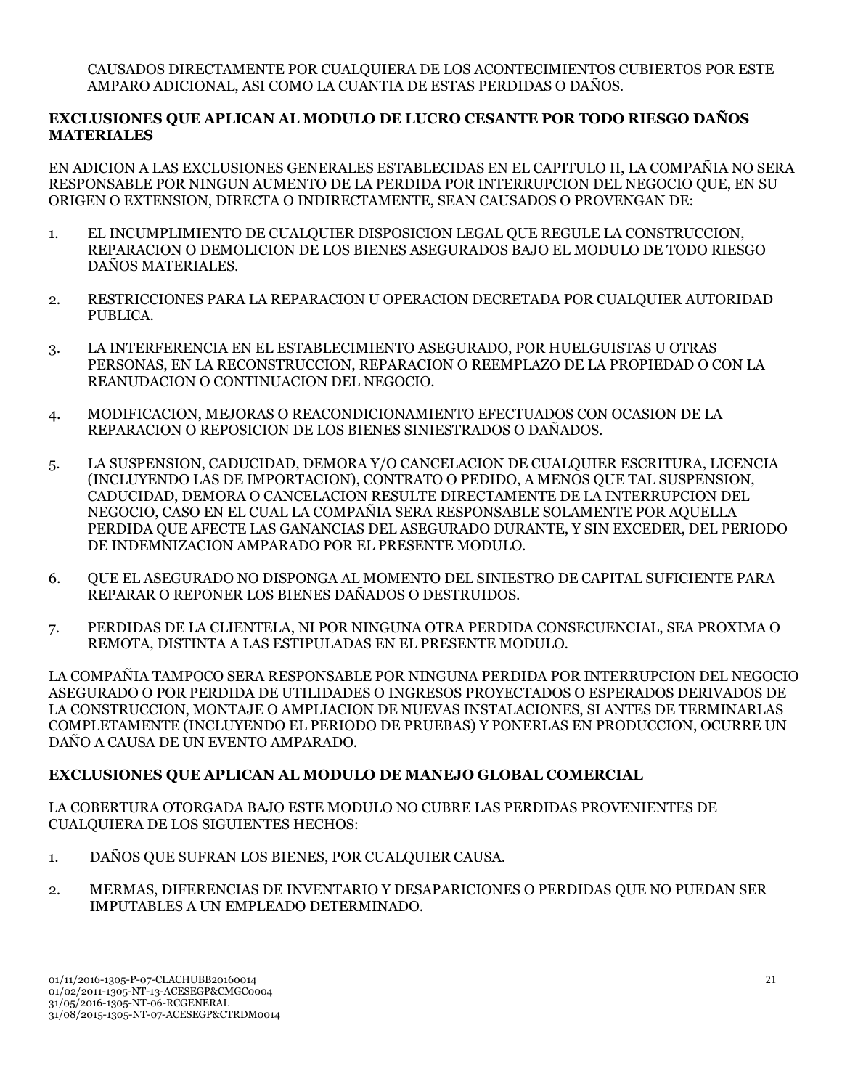CAUSADOS DIRECTAMENTE POR CUALQUIERA DE LOS ACONTECIMIENTOS CUBIERTOS POR ESTE AMPARO ADICIONAL, ASI COMO LA CUANTIA DE ESTAS PERDIDAS O DAÑOS.

### **EXCLUSIONES QUE APLICAN AL MODULO DE LUCRO CESANTE POR TODO RIESGO DAÑOS MATERIALES**

EN ADICION A LAS EXCLUSIONES GENERALES ESTABLECIDAS EN EL CAPITULO II, LA COMPAÑIA NO SERA RESPONSABLE POR NINGUN AUMENTO DE LA PERDIDA POR INTERRUPCION DEL NEGOCIO QUE, EN SU ORIGEN O EXTENSION, DIRECTA O INDIRECTAMENTE, SEAN CAUSADOS O PROVENGAN DE:

- 1. EL INCUMPLIMIENTO DE CUALQUIER DISPOSICION LEGAL QUE REGULE LA CONSTRUCCION, REPARACION O DEMOLICION DE LOS BIENES ASEGURADOS BAJO EL MODULO DE TODO RIESGO DAÑOS MATERIALES.
- 2. RESTRICCIONES PARA LA REPARACION U OPERACION DECRETADA POR CUALQUIER AUTORIDAD PUBLICA.
- 3. LA INTERFERENCIA EN EL ESTABLECIMIENTO ASEGURADO, POR HUELGUISTAS U OTRAS PERSONAS, EN LA RECONSTRUCCION, REPARACION O REEMPLAZO DE LA PROPIEDAD O CON LA REANUDACION O CONTINUACION DEL NEGOCIO.
- 4. MODIFICACION, MEJORAS O REACONDICIONAMIENTO EFECTUADOS CON OCASION DE LA REPARACION O REPOSICION DE LOS BIENES SINIESTRADOS O DAÑADOS.
- 5. LA SUSPENSION, CADUCIDAD, DEMORA Y/O CANCELACION DE CUALQUIER ESCRITURA, LICENCIA (INCLUYENDO LAS DE IMPORTACION), CONTRATO O PEDIDO, A MENOS QUE TAL SUSPENSION, CADUCIDAD, DEMORA O CANCELACION RESULTE DIRECTAMENTE DE LA INTERRUPCION DEL NEGOCIO, CASO EN EL CUAL LA COMPAÑIA SERA RESPONSABLE SOLAMENTE POR AQUELLA PERDIDA QUE AFECTE LAS GANANCIAS DEL ASEGURADO DURANTE, Y SIN EXCEDER, DEL PERIODO DE INDEMNIZACION AMPARADO POR EL PRESENTE MODULO.
- 6. QUE EL ASEGURADO NO DISPONGA AL MOMENTO DEL SINIESTRO DE CAPITAL SUFICIENTE PARA REPARAR O REPONER LOS BIENES DAÑADOS O DESTRUIDOS.
- 7. PERDIDAS DE LA CLIENTELA, NI POR NINGUNA OTRA PERDIDA CONSECUENCIAL, SEA PROXIMA O REMOTA, DISTINTA A LAS ESTIPULADAS EN EL PRESENTE MODULO.

LA COMPAÑIA TAMPOCO SERA RESPONSABLE POR NINGUNA PERDIDA POR INTERRUPCION DEL NEGOCIO ASEGURADO O POR PERDIDA DE UTILIDADES O INGRESOS PROYECTADOS O ESPERADOS DERIVADOS DE LA CONSTRUCCION, MONTAJE O AMPLIACION DE NUEVAS INSTALACIONES, SI ANTES DE TERMINARLAS COMPLETAMENTE (INCLUYENDO EL PERIODO DE PRUEBAS) Y PONERLAS EN PRODUCCION, OCURRE UN DAÑO A CAUSA DE UN EVENTO AMPARADO.

## **EXCLUSIONES QUE APLICAN AL MODULO DE MANEJO GLOBAL COMERCIAL**

LA COBERTURA OTORGADA BAJO ESTE MODULO NO CUBRE LAS PERDIDAS PROVENIENTES DE CUALQUIERA DE LOS SIGUIENTES HECHOS:

- 1. DAÑOS QUE SUFRAN LOS BIENES, POR CUALQUIER CAUSA.
- 2. MERMAS, DIFERENCIAS DE INVENTARIO Y DESAPARICIONES O PERDIDAS QUE NO PUEDAN SER IMPUTABLES A UN EMPLEADO DETERMINADO.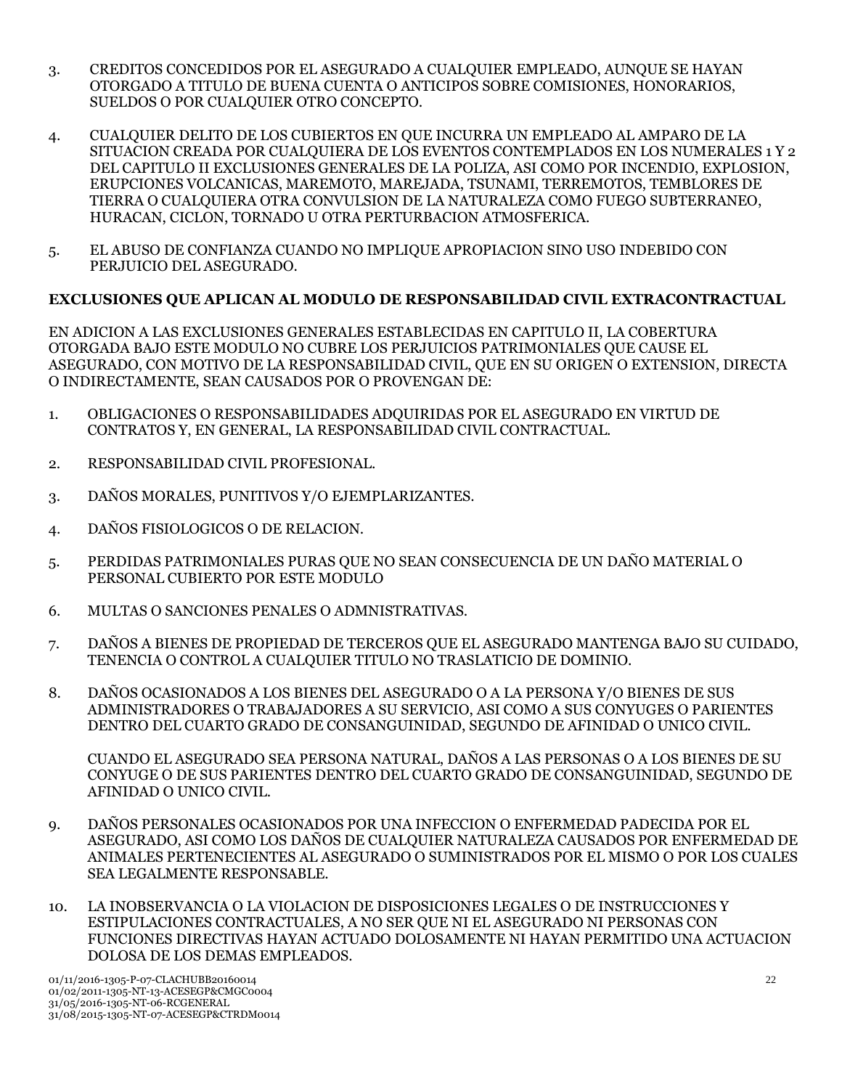- 3. CREDITOS CONCEDIDOS POR EL ASEGURADO A CUALQUIER EMPLEADO, AUNQUE SE HAYAN OTORGADO A TITULO DE BUENA CUENTA O ANTICIPOS SOBRE COMISIONES, HONORARIOS, SUELDOS O POR CUALQUIER OTRO CONCEPTO.
- 4. CUALQUIER DELITO DE LOS CUBIERTOS EN QUE INCURRA UN EMPLEADO AL AMPARO DE LA SITUACION CREADA POR CUALQUIERA DE LOS EVENTOS CONTEMPLADOS EN LOS NUMERALES 1 Y 2 DEL CAPITULO II EXCLUSIONES GENERALES DE LA POLIZA, ASI COMO POR INCENDIO, EXPLOSION, ERUPCIONES VOLCANICAS, MAREMOTO, MAREJADA, TSUNAMI, TERREMOTOS, TEMBLORES DE TIERRA O CUALQUIERA OTRA CONVULSION DE LA NATURALEZA COMO FUEGO SUBTERRANEO, HURACAN, CICLON, TORNADO U OTRA PERTURBACION ATMOSFERICA.
- 5. EL ABUSO DE CONFIANZA CUANDO NO IMPLIQUE APROPIACION SINO USO INDEBIDO CON PERJUICIO DEL ASEGURADO.

## **EXCLUSIONES QUE APLICAN AL MODULO DE RESPONSABILIDAD CIVIL EXTRACONTRACTUAL**

EN ADICION A LAS EXCLUSIONES GENERALES ESTABLECIDAS EN CAPITULO II, LA COBERTURA OTORGADA BAJO ESTE MODULO NO CUBRE LOS PERJUICIOS PATRIMONIALES QUE CAUSE EL ASEGURADO, CON MOTIVO DE LA RESPONSABILIDAD CIVIL, QUE EN SU ORIGEN O EXTENSION, DIRECTA O INDIRECTAMENTE, SEAN CAUSADOS POR O PROVENGAN DE:

- 1. OBLIGACIONES O RESPONSABILIDADES ADQUIRIDAS POR EL ASEGURADO EN VIRTUD DE CONTRATOS Y, EN GENERAL, LA RESPONSABILIDAD CIVIL CONTRACTUAL.
- 2. RESPONSABILIDAD CIVIL PROFESIONAL.
- 3. DAÑOS MORALES, PUNITIVOS Y/O EJEMPLARIZANTES.
- 4. DAÑOS FISIOLOGICOS O DE RELACION.
- 5. PERDIDAS PATRIMONIALES PURAS QUE NO SEAN CONSECUENCIA DE UN DAÑO MATERIAL O PERSONAL CUBIERTO POR ESTE MODULO
- 6. MULTAS O SANCIONES PENALES O ADMNISTRATIVAS.
- 7. DAÑOS A BIENES DE PROPIEDAD DE TERCEROS QUE EL ASEGURADO MANTENGA BAJO SU CUIDADO, TENENCIA O CONTROL A CUALQUIER TITULO NO TRASLATICIO DE DOMINIO.
- 8. DAÑOS OCASIONADOS A LOS BIENES DEL ASEGURADO O A LA PERSONA Y/O BIENES DE SUS ADMINISTRADORES O TRABAJADORES A SU SERVICIO, ASI COMO A SUS CONYUGES O PARIENTES DENTRO DEL CUARTO GRADO DE CONSANGUINIDAD, SEGUNDO DE AFINIDAD O UNICO CIVIL.

CUANDO EL ASEGURADO SEA PERSONA NATURAL, DAÑOS A LAS PERSONAS O A LOS BIENES DE SU CONYUGE O DE SUS PARIENTES DENTRO DEL CUARTO GRADO DE CONSANGUINIDAD, SEGUNDO DE AFINIDAD O UNICO CIVIL.

- 9. DAÑOS PERSONALES OCASIONADOS POR UNA INFECCION O ENFERMEDAD PADECIDA POR EL ASEGURADO, ASI COMO LOS DAÑOS DE CUALQUIER NATURALEZA CAUSADOS POR ENFERMEDAD DE ANIMALES PERTENECIENTES AL ASEGURADO O SUMINISTRADOS POR EL MISMO O POR LOS CUALES SEA LEGALMENTE RESPONSABLE.
- 10. LA INOBSERVANCIA O LA VIOLACION DE DISPOSICIONES LEGALES O DE INSTRUCCIONES Y ESTIPULACIONES CONTRACTUALES, A NO SER QUE NI EL ASEGURADO NI PERSONAS CON FUNCIONES DIRECTIVAS HAYAN ACTUADO DOLOSAMENTE NI HAYAN PERMITIDO UNA ACTUACION DOLOSA DE LOS DEMAS EMPLEADOS.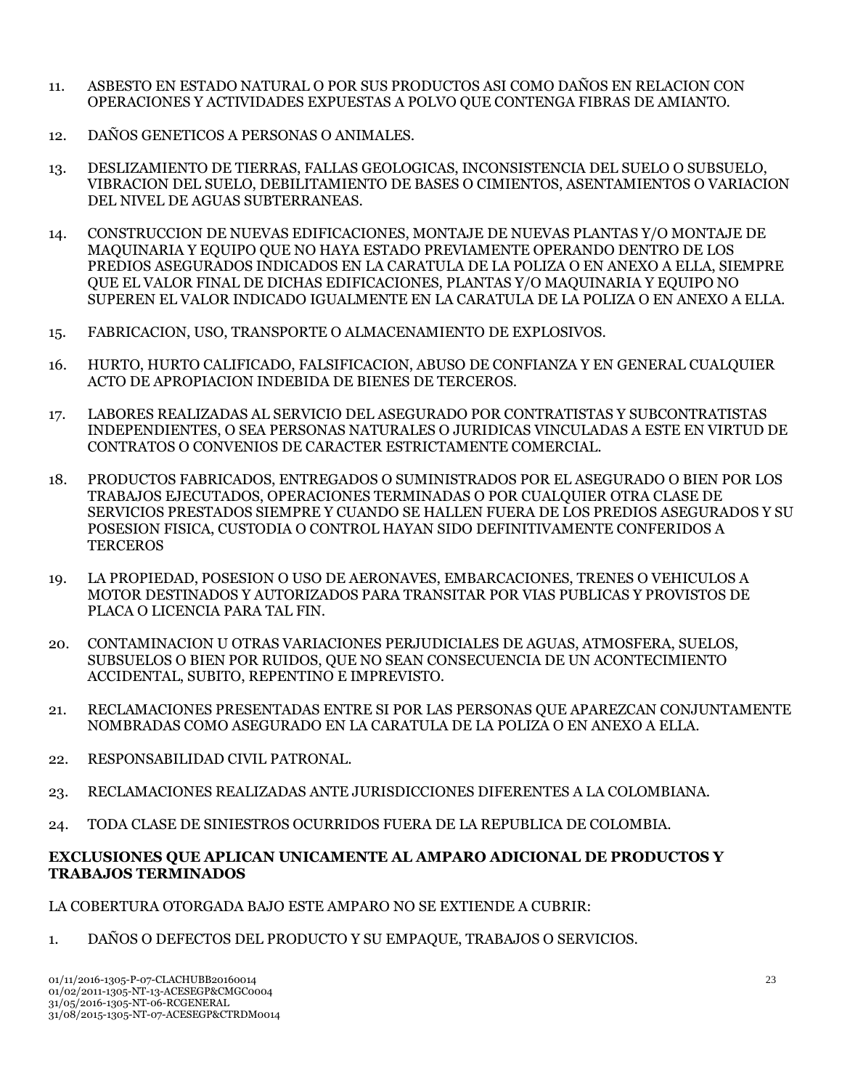- 11. ASBESTO EN ESTADO NATURAL O POR SUS PRODUCTOS ASI COMO DAÑOS EN RELACION CON OPERACIONES Y ACTIVIDADES EXPUESTAS A POLVO QUE CONTENGA FIBRAS DE AMIANTO.
- 12. DAÑOS GENETICOS A PERSONAS O ANIMALES.
- 13. DESLIZAMIENTO DE TIERRAS, FALLAS GEOLOGICAS, INCONSISTENCIA DEL SUELO O SUBSUELO, VIBRACION DEL SUELO, DEBILITAMIENTO DE BASES O CIMIENTOS, ASENTAMIENTOS O VARIACION DEL NIVEL DE AGUAS SUBTERRANEAS.
- 14. CONSTRUCCION DE NUEVAS EDIFICACIONES, MONTAJE DE NUEVAS PLANTAS Y/O MONTAJE DE MAQUINARIA Y EQUIPO QUE NO HAYA ESTADO PREVIAMENTE OPERANDO DENTRO DE LOS PREDIOS ASEGURADOS INDICADOS EN LA CARATULA DE LA POLIZA O EN ANEXO A ELLA, SIEMPRE QUE EL VALOR FINAL DE DICHAS EDIFICACIONES, PLANTAS Y/O MAQUINARIA Y EQUIPO NO SUPEREN EL VALOR INDICADO IGUALMENTE EN LA CARATULA DE LA POLIZA O EN ANEXO A ELLA.
- 15. FABRICACION, USO, TRANSPORTE O ALMACENAMIENTO DE EXPLOSIVOS.
- 16. HURTO, HURTO CALIFICADO, FALSIFICACION, ABUSO DE CONFIANZA Y EN GENERAL CUALQUIER ACTO DE APROPIACION INDEBIDA DE BIENES DE TERCEROS.
- 17. LABORES REALIZADAS AL SERVICIO DEL ASEGURADO POR CONTRATISTAS Y SUBCONTRATISTAS INDEPENDIENTES, O SEA PERSONAS NATURALES O JURIDICAS VINCULADAS A ESTE EN VIRTUD DE CONTRATOS O CONVENIOS DE CARACTER ESTRICTAMENTE COMERCIAL.
- 18. PRODUCTOS FABRICADOS, ENTREGADOS O SUMINISTRADOS POR EL ASEGURADO O BIEN POR LOS TRABAJOS EJECUTADOS, OPERACIONES TERMINADAS O POR CUALQUIER OTRA CLASE DE SERVICIOS PRESTADOS SIEMPRE Y CUANDO SE HALLEN FUERA DE LOS PREDIOS ASEGURADOS Y SU POSESION FISICA, CUSTODIA O CONTROL HAYAN SIDO DEFINITIVAMENTE CONFERIDOS A **TERCEROS**
- 19. LA PROPIEDAD, POSESION O USO DE AERONAVES, EMBARCACIONES, TRENES O VEHICULOS A MOTOR DESTINADOS Y AUTORIZADOS PARA TRANSITAR POR VIAS PUBLICAS Y PROVISTOS DE PLACA O LICENCIA PARA TAL FIN.
- 20. CONTAMINACION U OTRAS VARIACIONES PERJUDICIALES DE AGUAS, ATMOSFERA, SUELOS, SUBSUELOS O BIEN POR RUIDOS, QUE NO SEAN CONSECUENCIA DE UN ACONTECIMIENTO ACCIDENTAL, SUBITO, REPENTINO E IMPREVISTO.
- 21. RECLAMACIONES PRESENTADAS ENTRE SI POR LAS PERSONAS QUE APAREZCAN CONJUNTAMENTE NOMBRADAS COMO ASEGURADO EN LA CARATULA DE LA POLIZA O EN ANEXO A ELLA.
- 22. RESPONSABILIDAD CIVIL PATRONAL.
- 23. RECLAMACIONES REALIZADAS ANTE JURISDICCIONES DIFERENTES A LA COLOMBIANA.
- 24. TODA CLASE DE SINIESTROS OCURRIDOS FUERA DE LA REPUBLICA DE COLOMBIA.

### **EXCLUSIONES QUE APLICAN UNICAMENTE AL AMPARO ADICIONAL DE PRODUCTOS Y TRABAJOS TERMINADOS**

LA COBERTURA OTORGADA BAJO ESTE AMPARO NO SE EXTIENDE A CUBRIR:

1. DAÑOS O DEFECTOS DEL PRODUCTO Y SU EMPAQUE, TRABAJOS O SERVICIOS.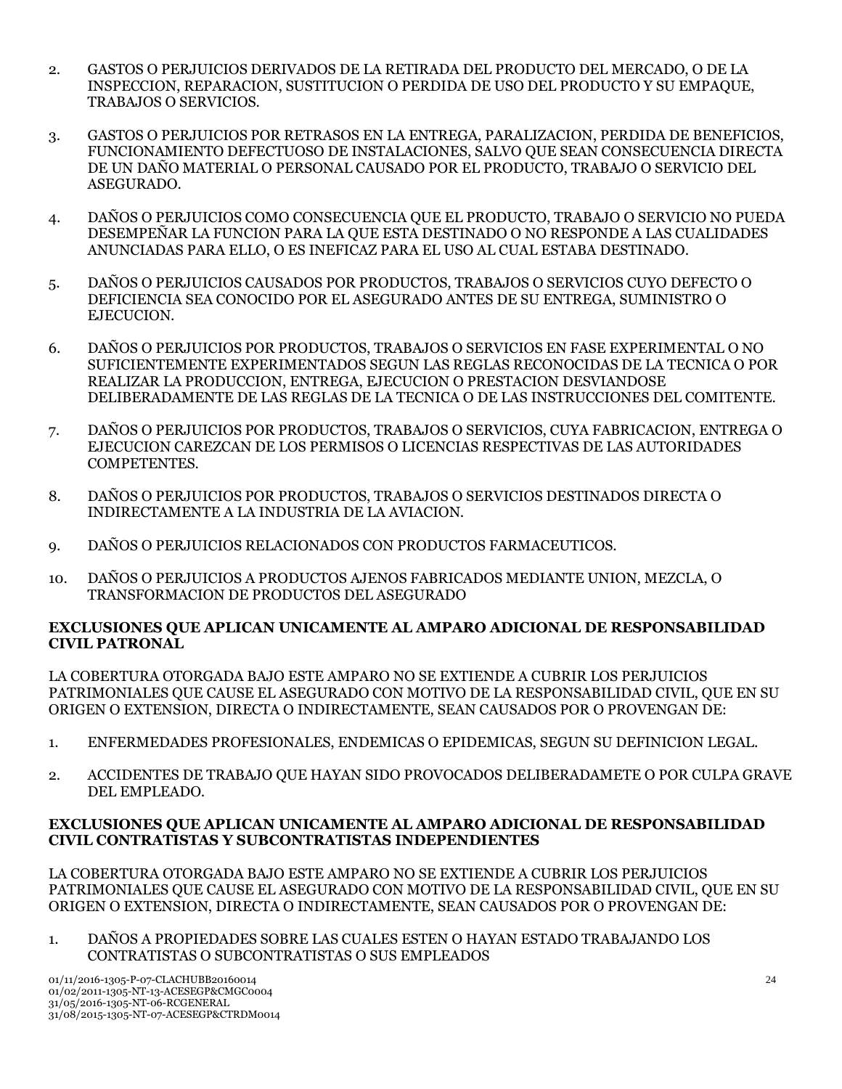- 2. GASTOS O PERJUICIOS DERIVADOS DE LA RETIRADA DEL PRODUCTO DEL MERCADO, O DE LA INSPECCION, REPARACION, SUSTITUCION O PERDIDA DE USO DEL PRODUCTO Y SU EMPAQUE, TRABAJOS O SERVICIOS.
- 3. GASTOS O PERJUICIOS POR RETRASOS EN LA ENTREGA, PARALIZACION, PERDIDA DE BENEFICIOS, FUNCIONAMIENTO DEFECTUOSO DE INSTALACIONES, SALVO QUE SEAN CONSECUENCIA DIRECTA DE UN DAÑO MATERIAL O PERSONAL CAUSADO POR EL PRODUCTO, TRABAJO O SERVICIO DEL ASEGURADO.
- 4. DAÑOS O PERJUICIOS COMO CONSECUENCIA QUE EL PRODUCTO, TRABAJO O SERVICIO NO PUEDA DESEMPEÑAR LA FUNCION PARA LA QUE ESTA DESTINADO O NO RESPONDE A LAS CUALIDADES ANUNCIADAS PARA ELLO, O ES INEFICAZ PARA EL USO AL CUAL ESTABA DESTINADO.
- 5. DAÑOS O PERJUICIOS CAUSADOS POR PRODUCTOS, TRABAJOS O SERVICIOS CUYO DEFECTO O DEFICIENCIA SEA CONOCIDO POR EL ASEGURADO ANTES DE SU ENTREGA, SUMINISTRO O EJECUCION.
- 6. DAÑOS O PERJUICIOS POR PRODUCTOS, TRABAJOS O SERVICIOS EN FASE EXPERIMENTAL O NO SUFICIENTEMENTE EXPERIMENTADOS SEGUN LAS REGLAS RECONOCIDAS DE LA TECNICA O POR REALIZAR LA PRODUCCION, ENTREGA, EJECUCION O PRESTACION DESVIANDOSE DELIBERADAMENTE DE LAS REGLAS DE LA TECNICA O DE LAS INSTRUCCIONES DEL COMITENTE.
- 7. DAÑOS O PERJUICIOS POR PRODUCTOS, TRABAJOS O SERVICIOS, CUYA FABRICACION, ENTREGA O EJECUCION CAREZCAN DE LOS PERMISOS O LICENCIAS RESPECTIVAS DE LAS AUTORIDADES COMPETENTES.
- 8. DAÑOS O PERJUICIOS POR PRODUCTOS, TRABAJOS O SERVICIOS DESTINADOS DIRECTA O INDIRECTAMENTE A LA INDUSTRIA DE LA AVIACION.
- 9. DAÑOS O PERJUICIOS RELACIONADOS CON PRODUCTOS FARMACEUTICOS.
- 10. DAÑOS O PERJUICIOS A PRODUCTOS AJENOS FABRICADOS MEDIANTE UNION, MEZCLA, O TRANSFORMACION DE PRODUCTOS DEL ASEGURADO

### **EXCLUSIONES QUE APLICAN UNICAMENTE AL AMPARO ADICIONAL DE RESPONSABILIDAD CIVIL PATRONAL**

LA COBERTURA OTORGADA BAJO ESTE AMPARO NO SE EXTIENDE A CUBRIR LOS PERJUICIOS PATRIMONIALES QUE CAUSE EL ASEGURADO CON MOTIVO DE LA RESPONSABILIDAD CIVIL, QUE EN SU ORIGEN O EXTENSION, DIRECTA O INDIRECTAMENTE, SEAN CAUSADOS POR O PROVENGAN DE:

- 1. ENFERMEDADES PROFESIONALES, ENDEMICAS O EPIDEMICAS, SEGUN SU DEFINICION LEGAL.
- 2. ACCIDENTES DE TRABAJO QUE HAYAN SIDO PROVOCADOS DELIBERADAMETE O POR CULPA GRAVE DEL EMPLEADO.

### **EXCLUSIONES QUE APLICAN UNICAMENTE AL AMPARO ADICIONAL DE RESPONSABILIDAD CIVIL CONTRATISTAS Y SUBCONTRATISTAS INDEPENDIENTES**

LA COBERTURA OTORGADA BAJO ESTE AMPARO NO SE EXTIENDE A CUBRIR LOS PERJUICIOS PATRIMONIALES QUE CAUSE EL ASEGURADO CON MOTIVO DE LA RESPONSABILIDAD CIVIL, QUE EN SU ORIGEN O EXTENSION, DIRECTA O INDIRECTAMENTE, SEAN CAUSADOS POR O PROVENGAN DE:

1. DAÑOS A PROPIEDADES SOBRE LAS CUALES ESTEN O HAYAN ESTADO TRABAJANDO LOS CONTRATISTAS O SUBCONTRATISTAS O SUS EMPLEADOS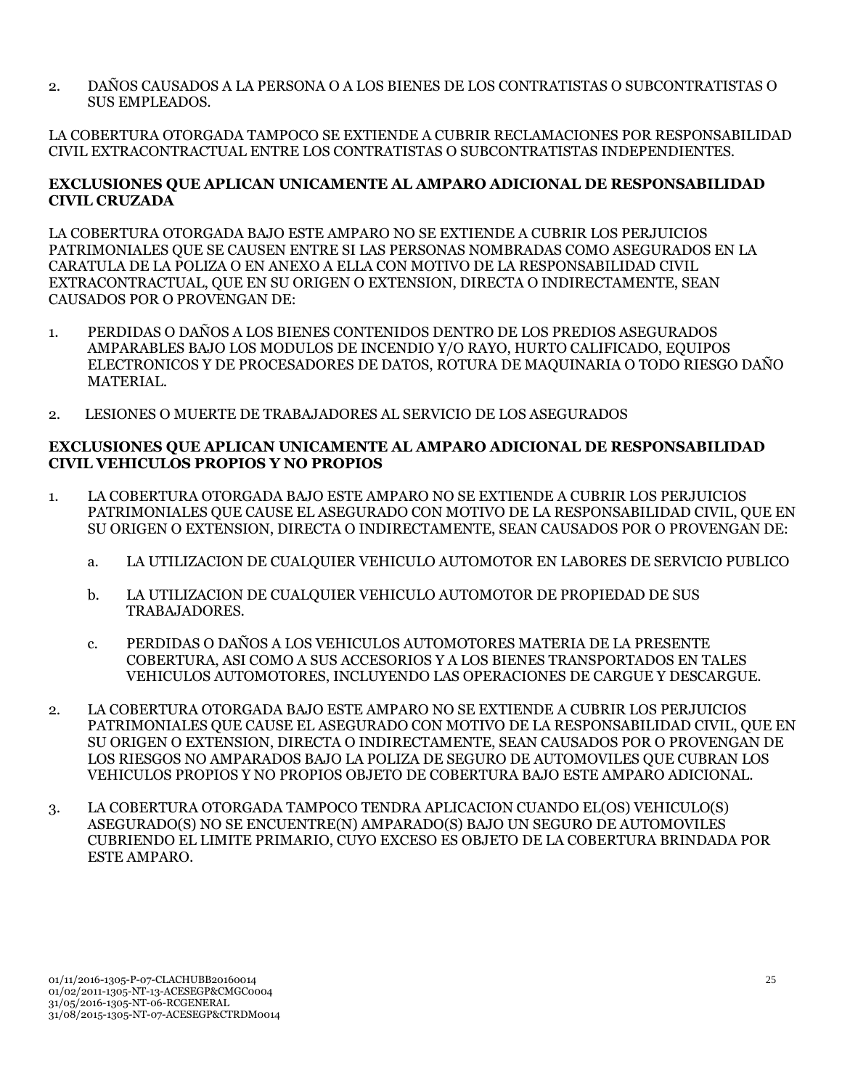2. DAÑOS CAUSADOS A LA PERSONA O A LOS BIENES DE LOS CONTRATISTAS O SUBCONTRATISTAS O SUS EMPLEADOS.

LA COBERTURA OTORGADA TAMPOCO SE EXTIENDE A CUBRIR RECLAMACIONES POR RESPONSABILIDAD CIVIL EXTRACONTRACTUAL ENTRE LOS CONTRATISTAS O SUBCONTRATISTAS INDEPENDIENTES.

### **EXCLUSIONES QUE APLICAN UNICAMENTE AL AMPARO ADICIONAL DE RESPONSABILIDAD CIVIL CRUZADA**

LA COBERTURA OTORGADA BAJO ESTE AMPARO NO SE EXTIENDE A CUBRIR LOS PERJUICIOS PATRIMONIALES QUE SE CAUSEN ENTRE SI LAS PERSONAS NOMBRADAS COMO ASEGURADOS EN LA CARATULA DE LA POLIZA O EN ANEXO A ELLA CON MOTIVO DE LA RESPONSABILIDAD CIVIL EXTRACONTRACTUAL, QUE EN SU ORIGEN O EXTENSION, DIRECTA O INDIRECTAMENTE, SEAN CAUSADOS POR O PROVENGAN DE:

- 1. PERDIDAS O DAÑOS A LOS BIENES CONTENIDOS DENTRO DE LOS PREDIOS ASEGURADOS AMPARABLES BAJO LOS MODULOS DE INCENDIO Y/O RAYO, HURTO CALIFICADO, EQUIPOS ELECTRONICOS Y DE PROCESADORES DE DATOS, ROTURA DE MAQUINARIA O TODO RIESGO DAÑO MATERIAL.
- 2. LESIONES O MUERTE DE TRABAJADORES AL SERVICIO DE LOS ASEGURADOS

#### **EXCLUSIONES QUE APLICAN UNICAMENTE AL AMPARO ADICIONAL DE RESPONSABILIDAD CIVIL VEHICULOS PROPIOS Y NO PROPIOS**

- 1. LA COBERTURA OTORGADA BAJO ESTE AMPARO NO SE EXTIENDE A CUBRIR LOS PERJUICIOS PATRIMONIALES QUE CAUSE EL ASEGURADO CON MOTIVO DE LA RESPONSABILIDAD CIVIL, QUE EN SU ORIGEN O EXTENSION, DIRECTA O INDIRECTAMENTE, SEAN CAUSADOS POR O PROVENGAN DE:
	- a. LA UTILIZACION DE CUALQUIER VEHICULO AUTOMOTOR EN LABORES DE SERVICIO PUBLICO
	- b. LA UTILIZACION DE CUALQUIER VEHICULO AUTOMOTOR DE PROPIEDAD DE SUS TRABAJADORES.
	- c. PERDIDAS O DAÑOS A LOS VEHICULOS AUTOMOTORES MATERIA DE LA PRESENTE COBERTURA, ASI COMO A SUS ACCESORIOS Y A LOS BIENES TRANSPORTADOS EN TALES VEHICULOS AUTOMOTORES, INCLUYENDO LAS OPERACIONES DE CARGUE Y DESCARGUE.
- 2. LA COBERTURA OTORGADA BAJO ESTE AMPARO NO SE EXTIENDE A CUBRIR LOS PERJUICIOS PATRIMONIALES QUE CAUSE EL ASEGURADO CON MOTIVO DE LA RESPONSABILIDAD CIVIL, QUE EN SU ORIGEN O EXTENSION, DIRECTA O INDIRECTAMENTE, SEAN CAUSADOS POR O PROVENGAN DE LOS RIESGOS NO AMPARADOS BAJO LA POLIZA DE SEGURO DE AUTOMOVILES QUE CUBRAN LOS VEHICULOS PROPIOS Y NO PROPIOS OBJETO DE COBERTURA BAJO ESTE AMPARO ADICIONAL.
- 3. LA COBERTURA OTORGADA TAMPOCO TENDRA APLICACION CUANDO EL(OS) VEHICULO(S) ASEGURADO(S) NO SE ENCUENTRE(N) AMPARADO(S) BAJO UN SEGURO DE AUTOMOVILES CUBRIENDO EL LIMITE PRIMARIO, CUYO EXCESO ES OBJETO DE LA COBERTURA BRINDADA POR ESTE AMPARO.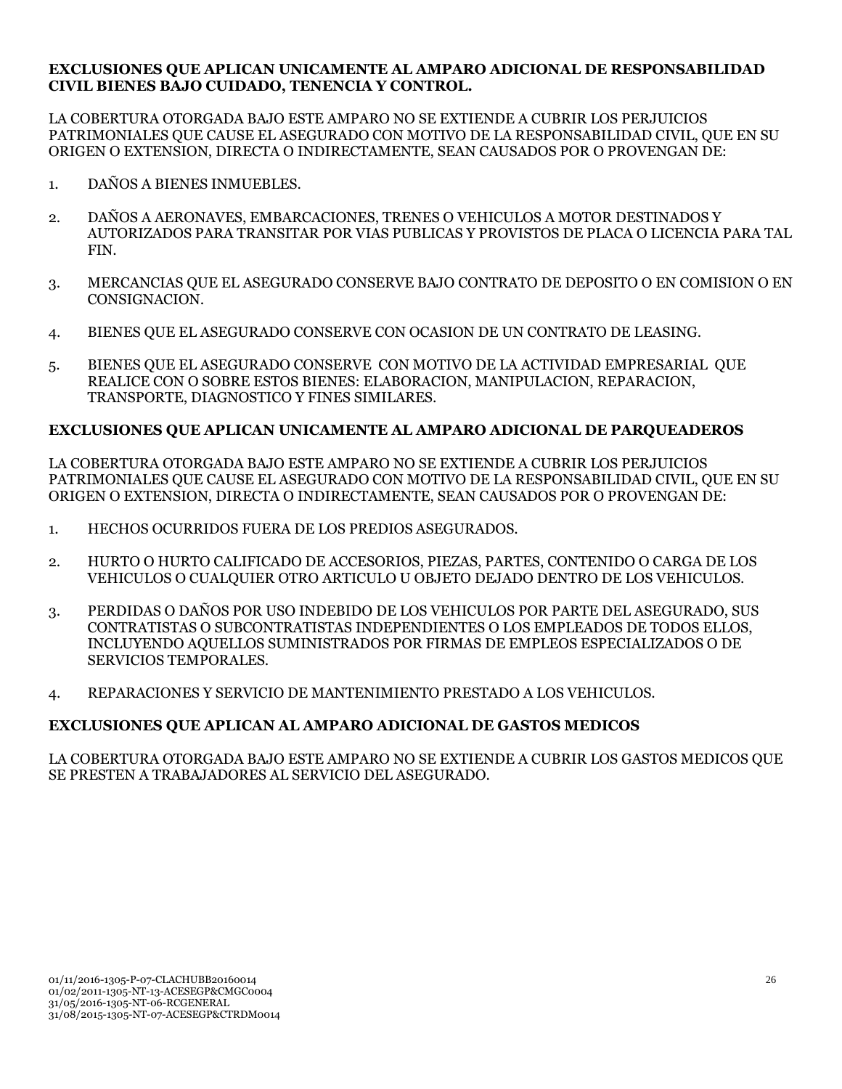#### **EXCLUSIONES QUE APLICAN UNICAMENTE AL AMPARO ADICIONAL DE RESPONSABILIDAD CIVIL BIENES BAJO CUIDADO, TENENCIA Y CONTROL.**

LA COBERTURA OTORGADA BAJO ESTE AMPARO NO SE EXTIENDE A CUBRIR LOS PERJUICIOS PATRIMONIALES QUE CAUSE EL ASEGURADO CON MOTIVO DE LA RESPONSABILIDAD CIVIL, QUE EN SU ORIGEN O EXTENSION, DIRECTA O INDIRECTAMENTE, SEAN CAUSADOS POR O PROVENGAN DE:

- 1. DAÑOS A BIENES INMUEBLES.
- 2. DAÑOS A AERONAVES, EMBARCACIONES, TRENES O VEHICULOS A MOTOR DESTINADOS Y AUTORIZADOS PARA TRANSITAR POR VIAS PUBLICAS Y PROVISTOS DE PLACA O LICENCIA PARA TAL FIN.
- 3. MERCANCIAS QUE EL ASEGURADO CONSERVE BAJO CONTRATO DE DEPOSITO O EN COMISION O EN CONSIGNACION.
- 4. BIENES QUE EL ASEGURADO CONSERVE CON OCASION DE UN CONTRATO DE LEASING.
- 5. BIENES QUE EL ASEGURADO CONSERVE CON MOTIVO DE LA ACTIVIDAD EMPRESARIAL QUE REALICE CON O SOBRE ESTOS BIENES: ELABORACION, MANIPULACION, REPARACION, TRANSPORTE, DIAGNOSTICO Y FINES SIMILARES.

### **EXCLUSIONES QUE APLICAN UNICAMENTE AL AMPARO ADICIONAL DE PARQUEADEROS**

LA COBERTURA OTORGADA BAJO ESTE AMPARO NO SE EXTIENDE A CUBRIR LOS PERJUICIOS PATRIMONIALES QUE CAUSE EL ASEGURADO CON MOTIVO DE LA RESPONSABILIDAD CIVIL, QUE EN SU ORIGEN O EXTENSION, DIRECTA O INDIRECTAMENTE, SEAN CAUSADOS POR O PROVENGAN DE:

- 1. HECHOS OCURRIDOS FUERA DE LOS PREDIOS ASEGURADOS.
- 2. HURTO O HURTO CALIFICADO DE ACCESORIOS, PIEZAS, PARTES, CONTENIDO O CARGA DE LOS VEHICULOS O CUALQUIER OTRO ARTICULO U OBJETO DEJADO DENTRO DE LOS VEHICULOS.
- 3. PERDIDAS O DAÑOS POR USO INDEBIDO DE LOS VEHICULOS POR PARTE DEL ASEGURADO, SUS CONTRATISTAS O SUBCONTRATISTAS INDEPENDIENTES O LOS EMPLEADOS DE TODOS ELLOS, INCLUYENDO AQUELLOS SUMINISTRADOS POR FIRMAS DE EMPLEOS ESPECIALIZADOS O DE SERVICIOS TEMPORALES.
- 4. REPARACIONES Y SERVICIO DE MANTENIMIENTO PRESTADO A LOS VEHICULOS.

## **EXCLUSIONES QUE APLICAN AL AMPARO ADICIONAL DE GASTOS MEDICOS**

LA COBERTURA OTORGADA BAJO ESTE AMPARO NO SE EXTIENDE A CUBRIR LOS GASTOS MEDICOS QUE SE PRESTEN A TRABAJADORES AL SERVICIO DEL ASEGURADO.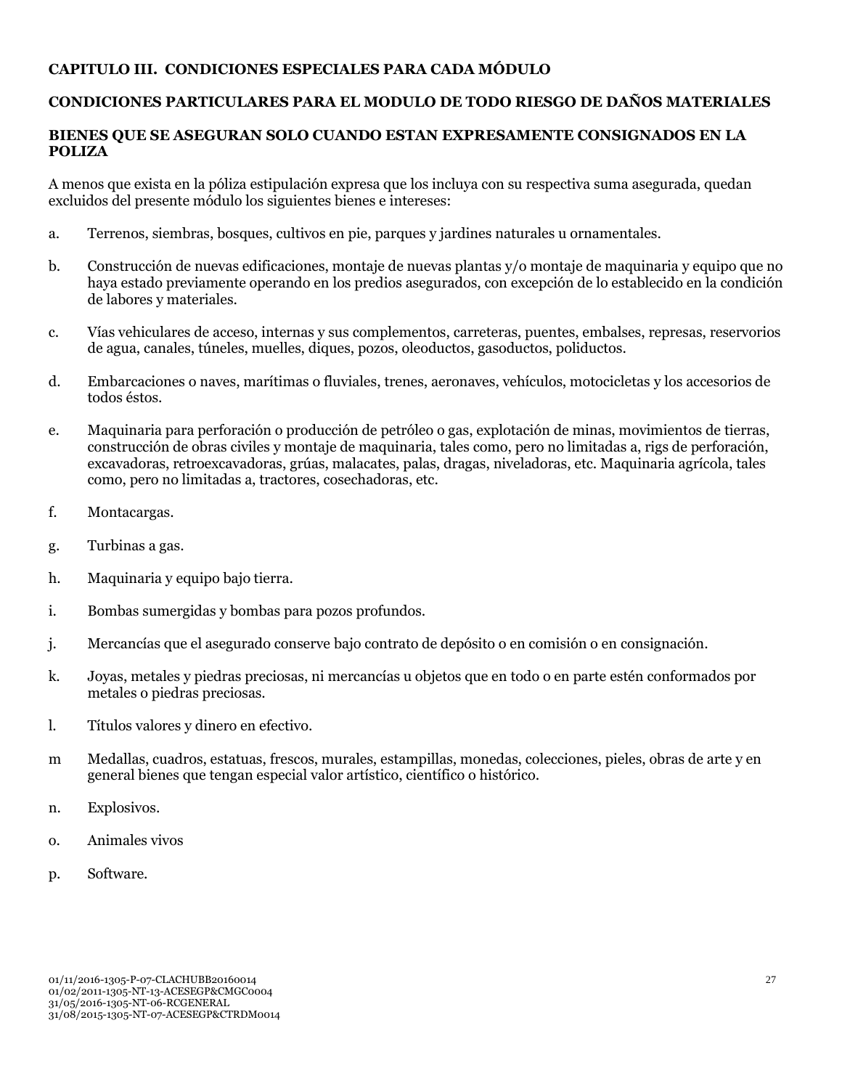## **CAPITULO III. CONDICIONES ESPECIALES PARA CADA MÓDULO**

## **CONDICIONES PARTICULARES PARA EL MODULO DE TODO RIESGO DE DAÑOS MATERIALES**

### **BIENES QUE SE ASEGURAN SOLO CUANDO ESTAN EXPRESAMENTE CONSIGNADOS EN LA POLIZA**

A menos que exista en la póliza estipulación expresa que los incluya con su respectiva suma asegurada, quedan excluidos del presente módulo los siguientes bienes e intereses:

- a. Terrenos, siembras, bosques, cultivos en pie, parques y jardines naturales u ornamentales.
- b. Construcción de nuevas edificaciones, montaje de nuevas plantas y/o montaje de maquinaria y equipo que no haya estado previamente operando en los predios asegurados, con excepción de lo establecido en la condición de labores y materiales.
- c. Vías vehiculares de acceso, internas y sus complementos, carreteras, puentes, embalses, represas, reservorios de agua, canales, túneles, muelles, diques, pozos, oleoductos, gasoductos, poliductos.
- d. Embarcaciones o naves, marítimas o fluviales, trenes, aeronaves, vehículos, motocicletas y los accesorios de todos éstos.
- e. Maquinaria para perforación o producción de petróleo o gas, explotación de minas, movimientos de tierras, construcción de obras civiles y montaje de maquinaria, tales como, pero no limitadas a, rigs de perforación, excavadoras, retroexcavadoras, grúas, malacates, palas, dragas, niveladoras, etc. Maquinaria agrícola, tales como, pero no limitadas a, tractores, cosechadoras, etc.
- f. Montacargas.
- g. Turbinas a gas.
- h. Maquinaria y equipo bajo tierra.
- i. Bombas sumergidas y bombas para pozos profundos.
- j. Mercancías que el asegurado conserve bajo contrato de depósito o en comisión o en consignación.
- k. Joyas, metales y piedras preciosas, ni mercancías u objetos que en todo o en parte estén conformados por metales o piedras preciosas.
- l. Títulos valores y dinero en efectivo.
- m Medallas, cuadros, estatuas, frescos, murales, estampillas, monedas, colecciones, pieles, obras de arte y en general bienes que tengan especial valor artístico, científico o histórico.
- n. Explosivos.
- o. Animales vivos
- p. Software.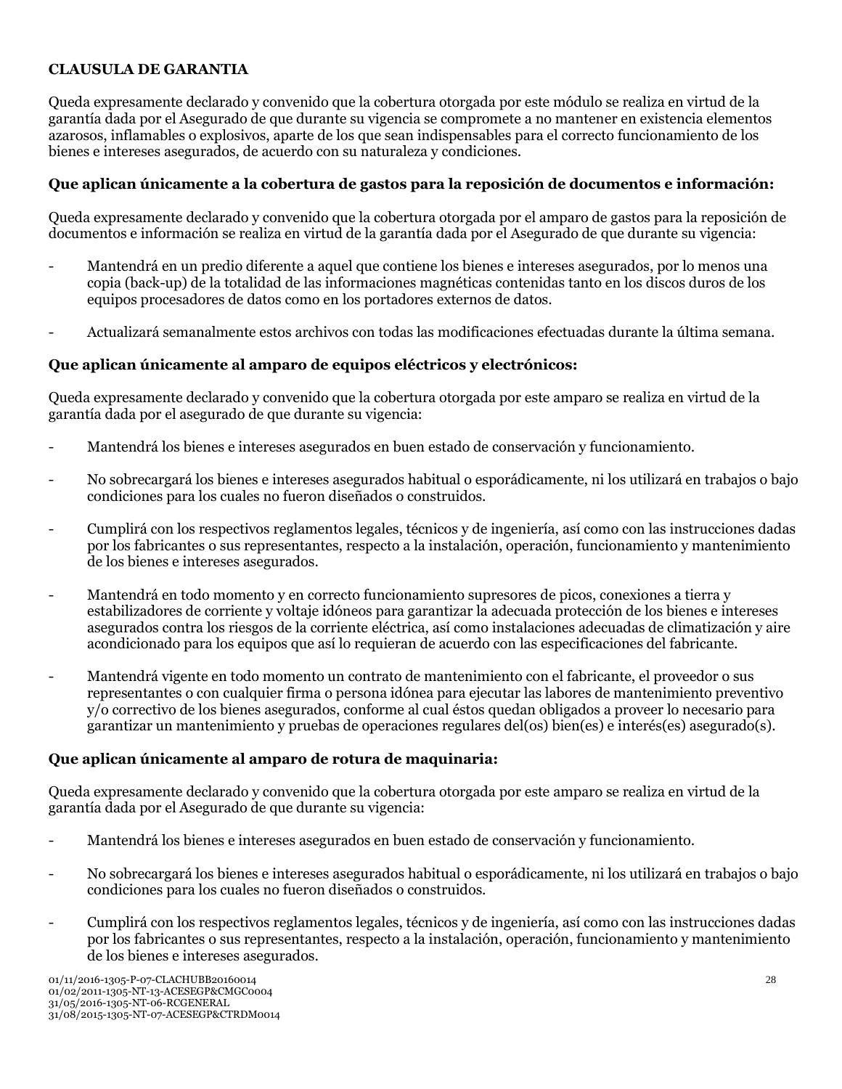## **CLAUSULA DE GARANTIA**

Queda expresamente declarado y convenido que la cobertura otorgada por este módulo se realiza en virtud de la garantía dada por el Asegurado de que durante su vigencia se compromete a no mantener en existencia elementos azarosos, inflamables o explosivos, aparte de los que sean indispensables para el correcto funcionamiento de los bienes e intereses asegurados, de acuerdo con su naturaleza y condiciones.

### **Que aplican únicamente a la cobertura de gastos para la reposición de documentos e información:**

Queda expresamente declarado y convenido que la cobertura otorgada por el amparo de gastos para la reposición de documentos e información se realiza en virtud de la garantía dada por el Asegurado de que durante su vigencia:

- Mantendrá en un predio diferente a aquel que contiene los bienes e intereses asegurados, por lo menos una copia (back-up) de la totalidad de las informaciones magnéticas contenidas tanto en los discos duros de los equipos procesadores de datos como en los portadores externos de datos.
- Actualizará semanalmente estos archivos con todas las modificaciones efectuadas durante la última semana.

#### **Que aplican únicamente al amparo de equipos eléctricos y electrónicos:**

Queda expresamente declarado y convenido que la cobertura otorgada por este amparo se realiza en virtud de la garantía dada por el asegurado de que durante su vigencia:

- Mantendrá los bienes e intereses asegurados en buen estado de conservación y funcionamiento.
- No sobrecargará los bienes e intereses asegurados habitual o esporádicamente, ni los utilizará en trabajos o bajo condiciones para los cuales no fueron diseñados o construidos.
- Cumplirá con los respectivos reglamentos legales, técnicos y de ingeniería, así como con las instrucciones dadas por los fabricantes o sus representantes, respecto a la instalación, operación, funcionamiento y mantenimiento de los bienes e intereses asegurados.
- Mantendrá en todo momento y en correcto funcionamiento supresores de picos, conexiones a tierra y estabilizadores de corriente y voltaje idóneos para garantizar la adecuada protección de los bienes e intereses asegurados contra los riesgos de la corriente eléctrica, así como instalaciones adecuadas de climatización y aire acondicionado para los equipos que así lo requieran de acuerdo con las especificaciones del fabricante.
- Mantendrá vigente en todo momento un contrato de mantenimiento con el fabricante, el proveedor o sus representantes o con cualquier firma o persona idónea para ejecutar las labores de mantenimiento preventivo y/o correctivo de los bienes asegurados, conforme al cual éstos quedan obligados a proveer lo necesario para garantizar un mantenimiento y pruebas de operaciones regulares del(os) bien(es) e interés(es) asegurado(s).

#### **Que aplican únicamente al amparo de rotura de maquinaria:**

Queda expresamente declarado y convenido que la cobertura otorgada por este amparo se realiza en virtud de la garantía dada por el Asegurado de que durante su vigencia:

- Mantendrá los bienes e intereses asegurados en buen estado de conservación y funcionamiento.
- No sobrecargará los bienes e intereses asegurados habitual o esporádicamente, ni los utilizará en trabajos o bajo condiciones para los cuales no fueron diseñados o construidos.
- Cumplirá con los respectivos reglamentos legales, técnicos y de ingeniería, así como con las instrucciones dadas por los fabricantes o sus representantes, respecto a la instalación, operación, funcionamiento y mantenimiento de los bienes e intereses asegurados.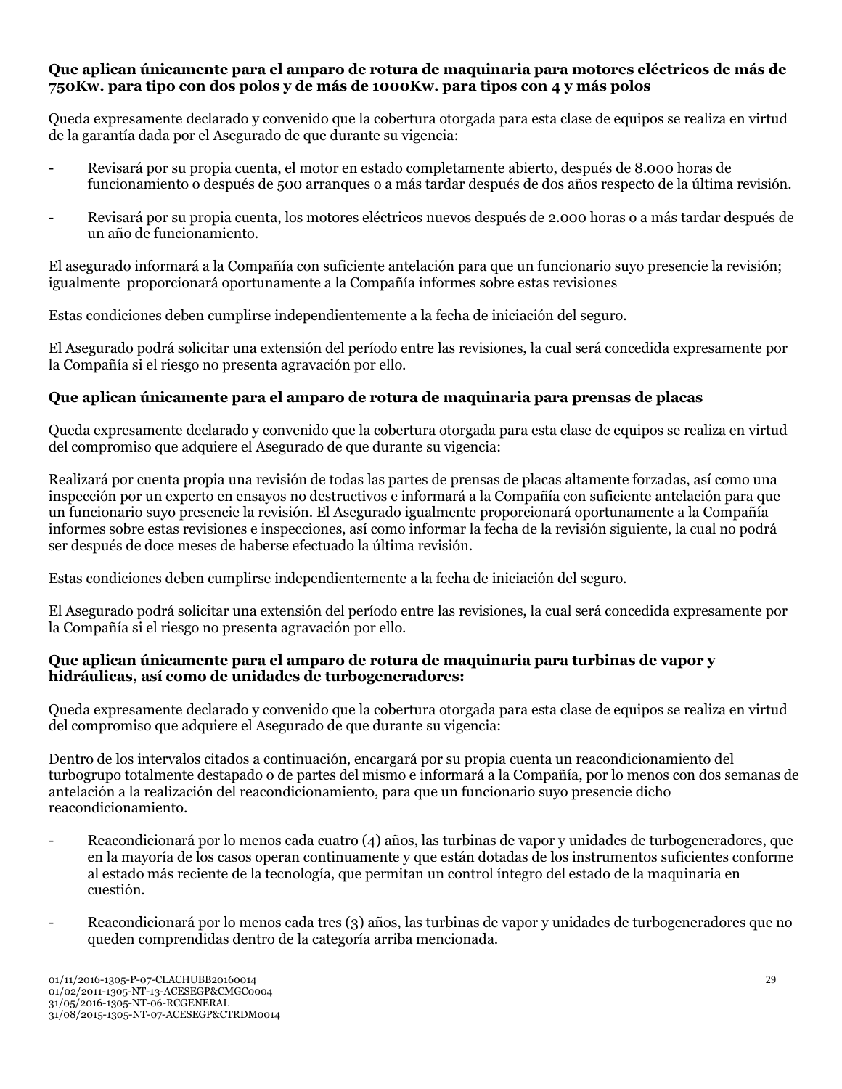### **Que aplican únicamente para el amparo de rotura de maquinaria para motores eléctricos de más de 750Kw. para tipo con dos polos y de más de 1000Kw. para tipos con 4 y más polos**

Queda expresamente declarado y convenido que la cobertura otorgada para esta clase de equipos se realiza en virtud de la garantía dada por el Asegurado de que durante su vigencia:

- Revisará por su propia cuenta, el motor en estado completamente abierto, después de 8.000 horas de funcionamiento o después de 500 arranques o a más tardar después de dos años respecto de la última revisión.
- Revisará por su propia cuenta, los motores eléctricos nuevos después de 2.000 horas o a más tardar después de un año de funcionamiento.

El asegurado informará a la Compañía con suficiente antelación para que un funcionario suyo presencie la revisión; igualmente proporcionará oportunamente a la Compañía informes sobre estas revisiones

Estas condiciones deben cumplirse independientemente a la fecha de iniciación del seguro.

El Asegurado podrá solicitar una extensión del período entre las revisiones, la cual será concedida expresamente por la Compañía si el riesgo no presenta agravación por ello.

## **Que aplican únicamente para el amparo de rotura de maquinaria para prensas de placas**

Queda expresamente declarado y convenido que la cobertura otorgada para esta clase de equipos se realiza en virtud del compromiso que adquiere el Asegurado de que durante su vigencia:

Realizará por cuenta propia una revisión de todas las partes de prensas de placas altamente forzadas, así como una inspección por un experto en ensayos no destructivos e informará a la Compañía con suficiente antelación para que un funcionario suyo presencie la revisión. El Asegurado igualmente proporcionará oportunamente a la Compañía informes sobre estas revisiones e inspecciones, así como informar la fecha de la revisión siguiente, la cual no podrá ser después de doce meses de haberse efectuado la última revisión.

Estas condiciones deben cumplirse independientemente a la fecha de iniciación del seguro.

El Asegurado podrá solicitar una extensión del período entre las revisiones, la cual será concedida expresamente por la Compañía si el riesgo no presenta agravación por ello.

### **Que aplican únicamente para el amparo de rotura de maquinaria para turbinas de vapor y hidráulicas, así como de unidades de turbogeneradores:**

Queda expresamente declarado y convenido que la cobertura otorgada para esta clase de equipos se realiza en virtud del compromiso que adquiere el Asegurado de que durante su vigencia:

Dentro de los intervalos citados a continuación, encargará por su propia cuenta un reacondicionamiento del turbogrupo totalmente destapado o de partes del mismo e informará a la Compañía, por lo menos con dos semanas de antelación a la realización del reacondicionamiento, para que un funcionario suyo presencie dicho reacondicionamiento.

- Reacondicionará por lo menos cada cuatro (4) años, las turbinas de vapor y unidades de turbogeneradores, que en la mayoría de los casos operan continuamente y que están dotadas de los instrumentos suficientes conforme al estado más reciente de la tecnología, que permitan un control íntegro del estado de la maquinaria en cuestión.
- Reacondicionará por lo menos cada tres (3) años, las turbinas de vapor y unidades de turbogeneradores que no queden comprendidas dentro de la categoría arriba mencionada.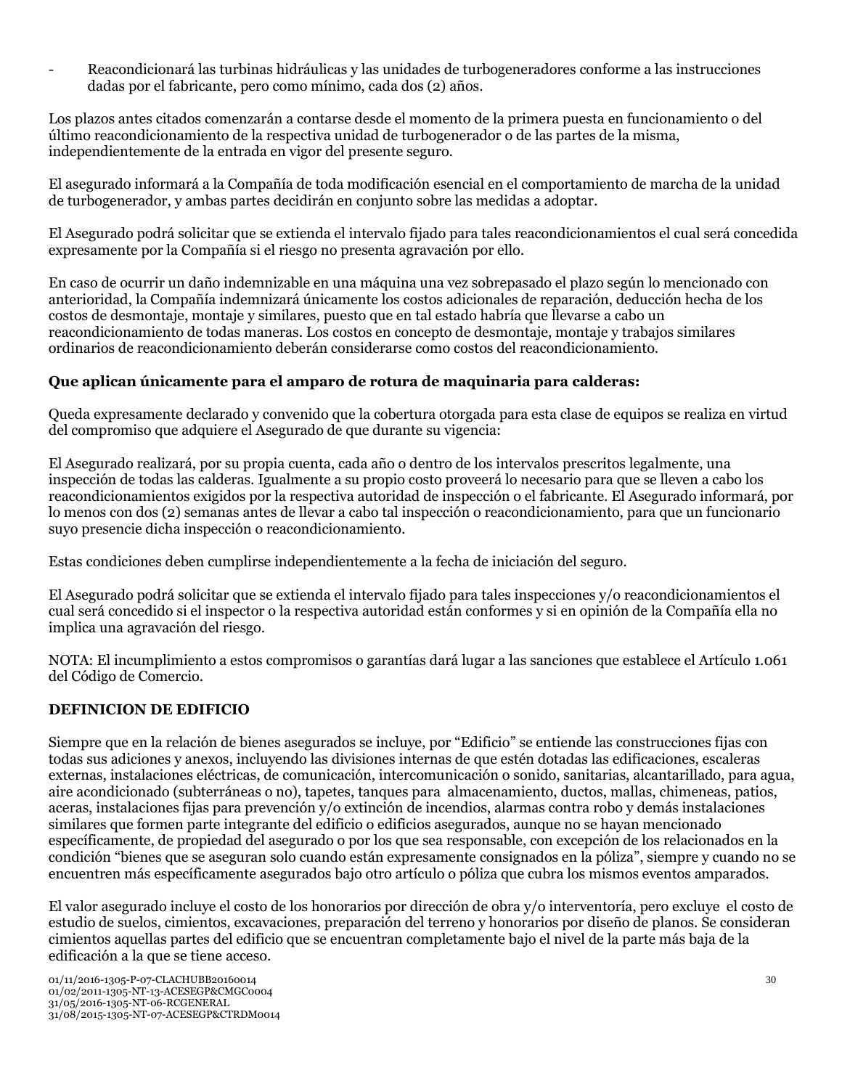- Reacondicionará las turbinas hidráulicas y las unidades de turbogeneradores conforme a las instrucciones dadas por el fabricante, pero como mínimo, cada dos (2) años.

Los plazos antes citados comenzarán a contarse desde el momento de la primera puesta en funcionamiento o del último reacondicionamiento de la respectiva unidad de turbogenerador o de las partes de la misma, independientemente de la entrada en vigor del presente seguro.

El asegurado informará a la Compañía de toda modificación esencial en el comportamiento de marcha de la unidad de turbogenerador, y ambas partes decidirán en conjunto sobre las medidas a adoptar.

El Asegurado podrá solicitar que se extienda el intervalo fijado para tales reacondicionamientos el cual será concedida expresamente por la Compañía si el riesgo no presenta agravación por ello.

En caso de ocurrir un daño indemnizable en una máquina una vez sobrepasado el plazo según lo mencionado con anterioridad, la Compañía indemnizará únicamente los costos adicionales de reparación, deducción hecha de los costos de desmontaje, montaje y similares, puesto que en tal estado habría que llevarse a cabo un reacondicionamiento de todas maneras. Los costos en concepto de desmontaje, montaje y trabajos similares ordinarios de reacondicionamiento deberán considerarse como costos del reacondicionamiento.

## **Que aplican únicamente para el amparo de rotura de maquinaria para calderas:**

Queda expresamente declarado y convenido que la cobertura otorgada para esta clase de equipos se realiza en virtud del compromiso que adquiere el Asegurado de que durante su vigencia:

El Asegurado realizará, por su propia cuenta, cada año o dentro de los intervalos prescritos legalmente, una inspección de todas las calderas. Igualmente a su propio costo proveerá lo necesario para que se lleven a cabo los reacondicionamientos exigidos por la respectiva autoridad de inspección o el fabricante. El Asegurado informará, por lo menos con dos (2) semanas antes de llevar a cabo tal inspección o reacondicionamiento, para que un funcionario suyo presencie dicha inspección o reacondicionamiento.

Estas condiciones deben cumplirse independientemente a la fecha de iniciación del seguro.

El Asegurado podrá solicitar que se extienda el intervalo fijado para tales inspecciones y/o reacondicionamientos el cual será concedido si el inspector o la respectiva autoridad están conformes y si en opinión de la Compañía ella no implica una agravación del riesgo.

NOTA: El incumplimiento a estos compromisos o garantías dará lugar a las sanciones que establece el Artículo 1.061 del Código de Comercio.

#### **DEFINICION DE EDIFICIO**

Siempre que en la relación de bienes asegurados se incluye, por "Edificio" se entiende las construcciones fijas con todas sus adiciones y anexos, incluyendo las divisiones internas de que estén dotadas las edificaciones, escaleras externas, instalaciones eléctricas, de comunicación, intercomunicación o sonido, sanitarias, alcantarillado, para agua, aire acondicionado (subterráneas o no), tapetes, tanques para almacenamiento, ductos, mallas, chimeneas, patios, aceras, instalaciones fijas para prevención y/o extinción de incendios, alarmas contra robo y demás instalaciones similares que formen parte integrante del edificio o edificios asegurados, aunque no se hayan mencionado específicamente, de propiedad del asegurado o por los que sea responsable, con excepción de los relacionados en la condición "bienes que se aseguran solo cuando están expresamente consignados en la póliza", siempre y cuando no se encuentren más específicamente asegurados bajo otro artículo o póliza que cubra los mismos eventos amparados.

El valor asegurado incluye el costo de los honorarios por dirección de obra y/o interventoría, pero excluye el costo de estudio de suelos, cimientos, excavaciones, preparación del terreno y honorarios por diseño de planos. Se consideran cimientos aquellas partes del edificio que se encuentran completamente bajo el nivel de la parte más baja de la edificación a la que se tiene acceso.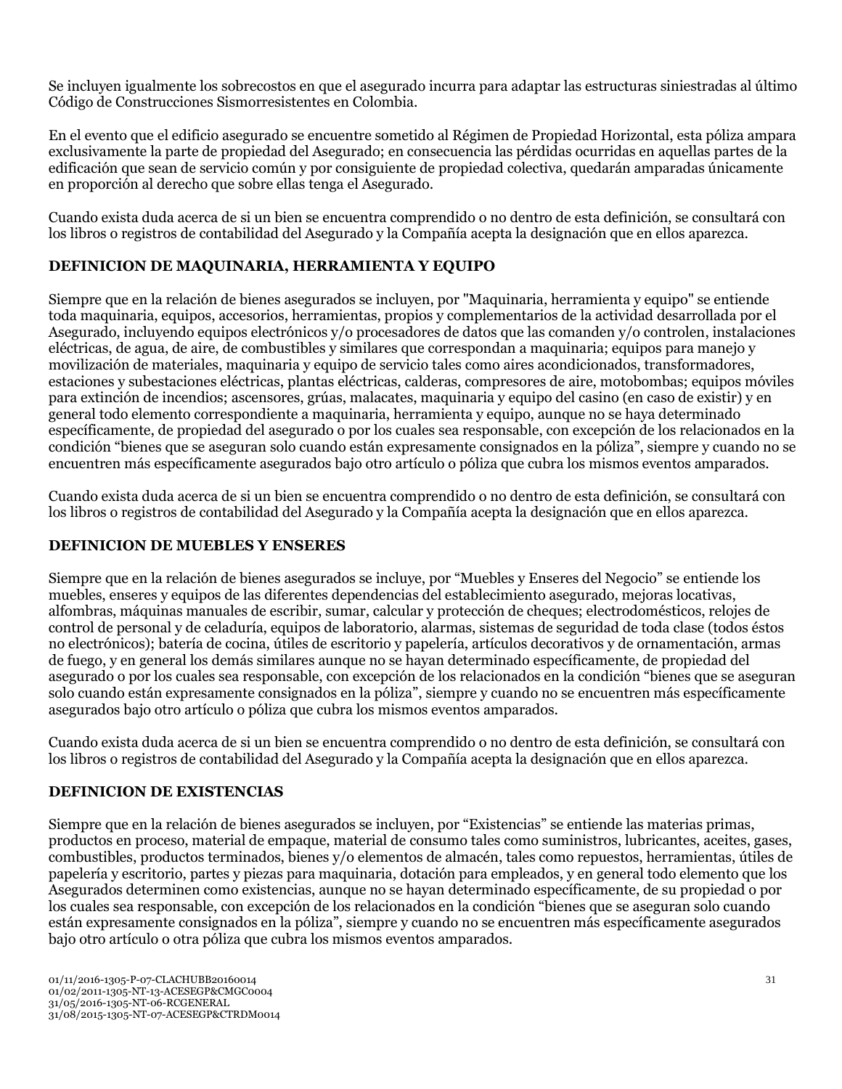Se incluyen igualmente los sobrecostos en que el asegurado incurra para adaptar las estructuras siniestradas al último Código de Construcciones Sismorresistentes en Colombia.

En el evento que el edificio asegurado se encuentre sometido al Régimen de Propiedad Horizontal, esta póliza ampara exclusivamente la parte de propiedad del Asegurado; en consecuencia las pérdidas ocurridas en aquellas partes de la edificación que sean de servicio común y por consiguiente de propiedad colectiva, quedarán amparadas únicamente en proporción al derecho que sobre ellas tenga el Asegurado.

Cuando exista duda acerca de si un bien se encuentra comprendido o no dentro de esta definición, se consultará con los libros o registros de contabilidad del Asegurado y la Compañía acepta la designación que en ellos aparezca.

## **DEFINICION DE MAQUINARIA, HERRAMIENTA Y EQUIPO**

Siempre que en la relación de bienes asegurados se incluyen, por "Maquinaria, herramienta y equipo" se entiende toda maquinaria, equipos, accesorios, herramientas, propios y complementarios de la actividad desarrollada por el Asegurado, incluyendo equipos electrónicos y/o procesadores de datos que las comanden y/o controlen, instalaciones eléctricas, de agua, de aire, de combustibles y similares que correspondan a maquinaria; equipos para manejo y movilización de materiales, maquinaria y equipo de servicio tales como aires acondicionados, transformadores, estaciones y subestaciones eléctricas, plantas eléctricas, calderas, compresores de aire, motobombas; equipos móviles para extinción de incendios; ascensores, grúas, malacates, maquinaria y equipo del casino (en caso de existir) y en general todo elemento correspondiente a maquinaria, herramienta y equipo, aunque no se haya determinado específicamente, de propiedad del asegurado o por los cuales sea responsable, con excepción de los relacionados en la condición "bienes que se aseguran solo cuando están expresamente consignados en la póliza", siempre y cuando no se encuentren más específicamente asegurados bajo otro artículo o póliza que cubra los mismos eventos amparados.

Cuando exista duda acerca de si un bien se encuentra comprendido o no dentro de esta definición, se consultará con los libros o registros de contabilidad del Asegurado y la Compañía acepta la designación que en ellos aparezca.

## **DEFINICION DE MUEBLES Y ENSERES**

Siempre que en la relación de bienes asegurados se incluye, por "Muebles y Enseres del Negocio" se entiende los muebles, enseres y equipos de las diferentes dependencias del establecimiento asegurado, mejoras locativas, alfombras, máquinas manuales de escribir, sumar, calcular y protección de cheques; electrodomésticos, relojes de control de personal y de celaduría, equipos de laboratorio, alarmas, sistemas de seguridad de toda clase (todos éstos no electrónicos); batería de cocina, útiles de escritorio y papelería, artículos decorativos y de ornamentación, armas de fuego, y en general los demás similares aunque no se hayan determinado específicamente, de propiedad del asegurado o por los cuales sea responsable, con excepción de los relacionados en la condición "bienes que se aseguran solo cuando están expresamente consignados en la póliza", siempre y cuando no se encuentren más específicamente asegurados bajo otro artículo o póliza que cubra los mismos eventos amparados.

Cuando exista duda acerca de si un bien se encuentra comprendido o no dentro de esta definición, se consultará con los libros o registros de contabilidad del Asegurado y la Compañía acepta la designación que en ellos aparezca.

## **DEFINICION DE EXISTENCIAS**

Siempre que en la relación de bienes asegurados se incluyen, por "Existencias" se entiende las materias primas, productos en proceso, material de empaque, material de consumo tales como suministros, lubricantes, aceites, gases, combustibles, productos terminados, bienes y/o elementos de almacén, tales como repuestos, herramientas, útiles de papelería y escritorio, partes y piezas para maquinaria, dotación para empleados, y en general todo elemento que los Asegurados determinen como existencias, aunque no se hayan determinado específicamente, de su propiedad o por los cuales sea responsable, con excepción de los relacionados en la condición "bienes que se aseguran solo cuando están expresamente consignados en la póliza", siempre y cuando no se encuentren más específicamente asegurados bajo otro artículo o otra póliza que cubra los mismos eventos amparados.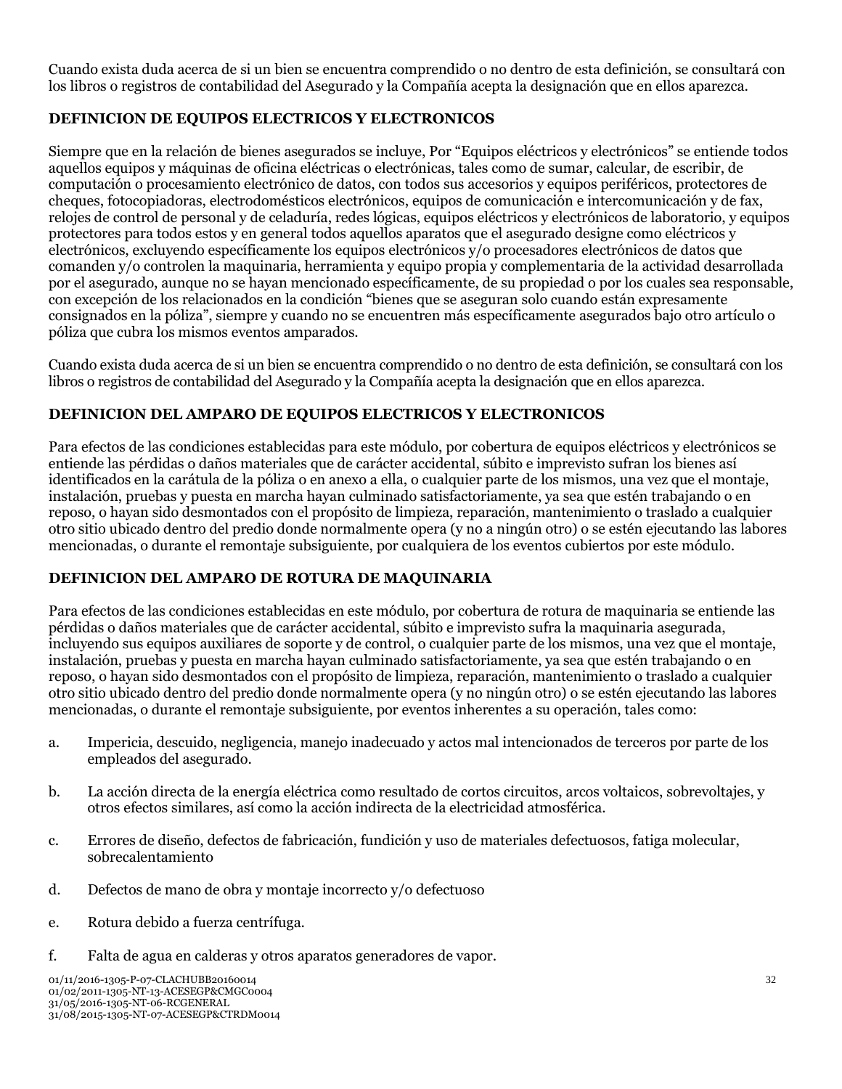Cuando exista duda acerca de si un bien se encuentra comprendido o no dentro de esta definición, se consultará con los libros o registros de contabilidad del Asegurado y la Compañía acepta la designación que en ellos aparezca.

## **DEFINICION DE EQUIPOS ELECTRICOS Y ELECTRONICOS**

Siempre que en la relación de bienes asegurados se incluye, Por "Equipos eléctricos y electrónicos" se entiende todos aquellos equipos y máquinas de oficina eléctricas o electrónicas, tales como de sumar, calcular, de escribir, de computación o procesamiento electrónico de datos, con todos sus accesorios y equipos periféricos, protectores de cheques, fotocopiadoras, electrodomésticos electrónicos, equipos de comunicación e intercomunicación y de fax, relojes de control de personal y de celaduría, redes lógicas, equipos eléctricos y electrónicos de laboratorio, y equipos protectores para todos estos y en general todos aquellos aparatos que el asegurado designe como eléctricos y electrónicos, excluyendo específicamente los equipos electrónicos y/o procesadores electrónicos de datos que comanden y/o controlen la maquinaria, herramienta y equipo propia y complementaria de la actividad desarrollada por el asegurado, aunque no se hayan mencionado específicamente, de su propiedad o por los cuales sea responsable, con excepción de los relacionados en la condición "bienes que se aseguran solo cuando están expresamente consignados en la póliza", siempre y cuando no se encuentren más específicamente asegurados bajo otro artículo o póliza que cubra los mismos eventos amparados.

Cuando exista duda acerca de si un bien se encuentra comprendido o no dentro de esta definición, se consultará con los libros o registros de contabilidad del Asegurado y la Compañía acepta la designación que en ellos aparezca.

## **DEFINICION DEL AMPARO DE EQUIPOS ELECTRICOS Y ELECTRONICOS**

Para efectos de las condiciones establecidas para este módulo, por cobertura de equipos eléctricos y electrónicos se entiende las pérdidas o daños materiales que de carácter accidental, súbito e imprevisto sufran los bienes así identificados en la carátula de la póliza o en anexo a ella, o cualquier parte de los mismos, una vez que el montaje, instalación, pruebas y puesta en marcha hayan culminado satisfactoriamente, ya sea que estén trabajando o en reposo, o hayan sido desmontados con el propósito de limpieza, reparación, mantenimiento o traslado a cualquier otro sitio ubicado dentro del predio donde normalmente opera (y no a ningún otro) o se estén ejecutando las labores mencionadas, o durante el remontaje subsiguiente, por cualquiera de los eventos cubiertos por este módulo.

## **DEFINICION DEL AMPARO DE ROTURA DE MAQUINARIA**

Para efectos de las condiciones establecidas en este módulo, por cobertura de rotura de maquinaria se entiende las pérdidas o daños materiales que de carácter accidental, súbito e imprevisto sufra la maquinaria asegurada, incluyendo sus equipos auxiliares de soporte y de control, o cualquier parte de los mismos, una vez que el montaje, instalación, pruebas y puesta en marcha hayan culminado satisfactoriamente, ya sea que estén trabajando o en reposo, o hayan sido desmontados con el propósito de limpieza, reparación, mantenimiento o traslado a cualquier otro sitio ubicado dentro del predio donde normalmente opera (y no ningún otro) o se estén ejecutando las labores mencionadas, o durante el remontaje subsiguiente, por eventos inherentes a su operación, tales como:

- a. Impericia, descuido, negligencia, manejo inadecuado y actos mal intencionados de terceros por parte de los empleados del asegurado.
- b. La acción directa de la energía eléctrica como resultado de cortos circuitos, arcos voltaicos, sobrevoltajes, y otros efectos similares, así como la acción indirecta de la electricidad atmosférica.
- c. Errores de diseño, defectos de fabricación, fundición y uso de materiales defectuosos, fatiga molecular, sobrecalentamiento
- d. Defectos de mano de obra y montaje incorrecto y/o defectuoso
- e. Rotura debido a fuerza centrífuga.
- f. Falta de agua en calderas y otros aparatos generadores de vapor.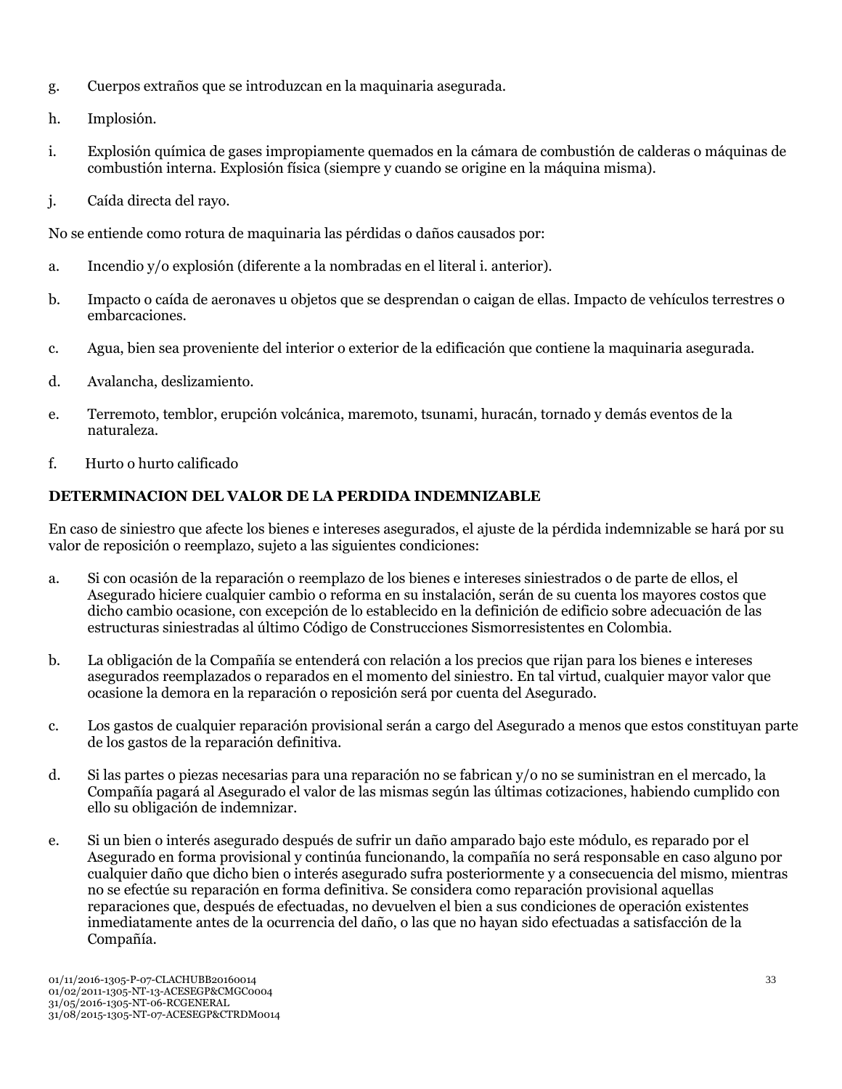- g. Cuerpos extraños que se introduzcan en la maquinaria asegurada.
- h. Implosión.
- i. Explosión química de gases impropiamente quemados en la cámara de combustión de calderas o máquinas de combustión interna. Explosión física (siempre y cuando se origine en la máquina misma).
- j. Caída directa del rayo.

No se entiende como rotura de maquinaria las pérdidas o daños causados por:

- a. Incendio y/o explosión (diferente a la nombradas en el literal i. anterior).
- b. Impacto o caída de aeronaves u objetos que se desprendan o caigan de ellas. Impacto de vehículos terrestres o embarcaciones.
- c. Agua, bien sea proveniente del interior o exterior de la edificación que contiene la maquinaria asegurada.
- d. Avalancha, deslizamiento.
- e. Terremoto, temblor, erupción volcánica, maremoto, tsunami, huracán, tornado y demás eventos de la naturaleza.
- f. Hurto o hurto calificado

## **DETERMINACION DEL VALOR DE LA PERDIDA INDEMNIZABLE**

En caso de siniestro que afecte los bienes e intereses asegurados, el ajuste de la pérdida indemnizable se hará por su valor de reposición o reemplazo, sujeto a las siguientes condiciones:

- a. Si con ocasión de la reparación o reemplazo de los bienes e intereses siniestrados o de parte de ellos, el Asegurado hiciere cualquier cambio o reforma en su instalación, serán de su cuenta los mayores costos que dicho cambio ocasione, con excepción de lo establecido en la definición de edificio sobre adecuación de las estructuras siniestradas al último Código de Construcciones Sismorresistentes en Colombia.
- b. La obligación de la Compañía se entenderá con relación a los precios que rijan para los bienes e intereses asegurados reemplazados o reparados en el momento del siniestro. En tal virtud, cualquier mayor valor que ocasione la demora en la reparación o reposición será por cuenta del Asegurado.
- c. Los gastos de cualquier reparación provisional serán a cargo del Asegurado a menos que estos constituyan parte de los gastos de la reparación definitiva.
- d. Si las partes o piezas necesarias para una reparación no se fabrican y/o no se suministran en el mercado, la Compañía pagará al Asegurado el valor de las mismas según las últimas cotizaciones, habiendo cumplido con ello su obligación de indemnizar.
- e. Si un bien o interés asegurado después de sufrir un daño amparado bajo este módulo, es reparado por el Asegurado en forma provisional y continúa funcionando, la compañía no será responsable en caso alguno por cualquier daño que dicho bien o interés asegurado sufra posteriormente y a consecuencia del mismo, mientras no se efectúe su reparación en forma definitiva. Se considera como reparación provisional aquellas reparaciones que, después de efectuadas, no devuelven el bien a sus condiciones de operación existentes inmediatamente antes de la ocurrencia del daño, o las que no hayan sido efectuadas a satisfacción de la Compañía.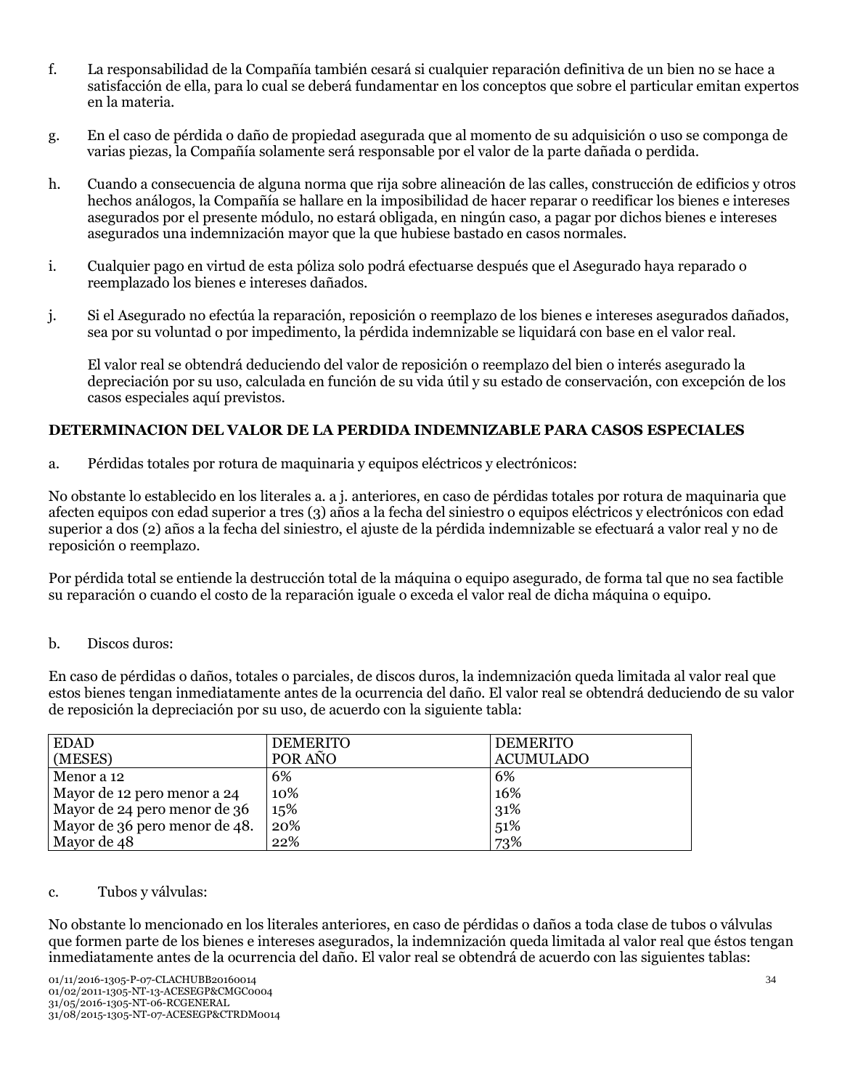- f. La responsabilidad de la Compañía también cesará si cualquier reparación definitiva de un bien no se hace a satisfacción de ella, para lo cual se deberá fundamentar en los conceptos que sobre el particular emitan expertos en la materia.
- g. En el caso de pérdida o daño de propiedad asegurada que al momento de su adquisición o uso se componga de varias piezas, la Compañía solamente será responsable por el valor de la parte dañada o perdida.
- h. Cuando a consecuencia de alguna norma que rija sobre alineación de las calles, construcción de edificios y otros hechos análogos, la Compañía se hallare en la imposibilidad de hacer reparar o reedificar los bienes e intereses asegurados por el presente módulo, no estará obligada, en ningún caso, a pagar por dichos bienes e intereses asegurados una indemnización mayor que la que hubiese bastado en casos normales.
- i. Cualquier pago en virtud de esta póliza solo podrá efectuarse después que el Asegurado haya reparado o reemplazado los bienes e intereses dañados.
- j. Si el Asegurado no efectúa la reparación, reposición o reemplazo de los bienes e intereses asegurados dañados, sea por su voluntad o por impedimento, la pérdida indemnizable se liquidará con base en el valor real.

El valor real se obtendrá deduciendo del valor de reposición o reemplazo del bien o interés asegurado la depreciación por su uso, calculada en función de su vida útil y su estado de conservación, con excepción de los casos especiales aquí previstos.

## **DETERMINACION DEL VALOR DE LA PERDIDA INDEMNIZABLE PARA CASOS ESPECIALES**

a. Pérdidas totales por rotura de maquinaria y equipos eléctricos y electrónicos:

No obstante lo establecido en los literales a. a j. anteriores, en caso de pérdidas totales por rotura de maquinaria que afecten equipos con edad superior a tres (3) años a la fecha del siniestro o equipos eléctricos y electrónicos con edad superior a dos (2) años a la fecha del siniestro, el ajuste de la pérdida indemnizable se efectuará a valor real y no de reposición o reemplazo.

Por pérdida total se entiende la destrucción total de la máquina o equipo asegurado, de forma tal que no sea factible su reparación o cuando el costo de la reparación iguale o exceda el valor real de dicha máquina o equipo.

#### b. Discos duros:

En caso de pérdidas o daños, totales o parciales, de discos duros, la indemnización queda limitada al valor real que estos bienes tengan inmediatamente antes de la ocurrencia del daño. El valor real se obtendrá deduciendo de su valor de reposición la depreciación por su uso, de acuerdo con la siguiente tabla:

| <b>EDAD</b>                   | <b>DEMERITO</b> | <b>DEMERITO</b>  |
|-------------------------------|-----------------|------------------|
| (MESES)                       | POR AÑO         | <b>ACUMULADO</b> |
| Menor a 12                    | 6%              | 6%               |
| Mayor de 12 pero menor a 24   | 10%             | 16%              |
| Mayor de 24 pero menor de 36  | 15%             | 31%              |
| Mayor de 36 pero menor de 48. | 20%             | 51%              |
| Mayor de 48                   | 22%             | 73%              |

#### c. Tubos y válvulas:

No obstante lo mencionado en los literales anteriores, en caso de pérdidas o daños a toda clase de tubos o válvulas que formen parte de los bienes e intereses asegurados, la indemnización queda limitada al valor real que éstos tengan inmediatamente antes de la ocurrencia del daño. El valor real se obtendrá de acuerdo con las siguientes tablas: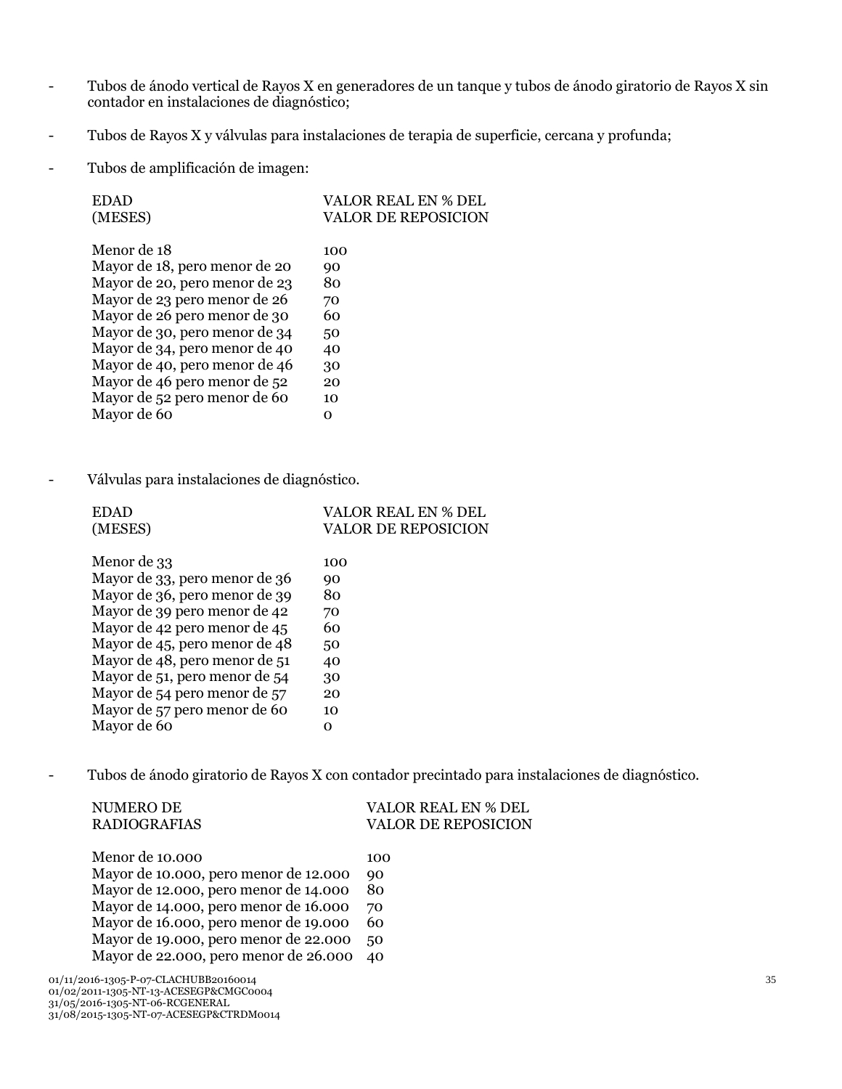- Tubos de ánodo vertical de Rayos X en generadores de un tanque y tubos de ánodo giratorio de Rayos X sin contador en instalaciones de diagnóstico;
- Tubos de Rayos X y válvulas para instalaciones de terapia de superficie, cercana y profunda;
- Tubos de amplificación de imagen:

| <b>EDAD</b>                   | <b>VALOR REAL EN % DEL</b> |
|-------------------------------|----------------------------|
| (MESES)                       | VALOR DE REPOSICION        |
|                               |                            |
| Menor de 18                   | 100                        |
| Mayor de 18, pero menor de 20 | 90                         |
| Mayor de 20, pero menor de 23 | 80                         |
| Mayor de 23 pero menor de 26  | 70                         |
| Mayor de 26 pero menor de 30  | 60                         |
| Mayor de 30, pero menor de 34 | 50                         |
| Mayor de 34, pero menor de 40 | 40                         |
| Mayor de 40, pero menor de 46 | 30                         |
| Mayor de 46 pero menor de 52  | 20                         |
| Mayor de 52 pero menor de 60  | 10                         |
| Mayor de 60                   | റ                          |
|                               |                            |

- Válvulas para instalaciones de diagnóstico.

| <b>EDAD</b>                   | VALOR REAL EN % DEL |
|-------------------------------|---------------------|
| (MESES)                       | VALOR DE REPOSICION |
|                               |                     |
| Menor de 33                   | 100                 |
| Mayor de 33, pero menor de 36 | 90                  |
| Mayor de 36, pero menor de 39 | 80                  |
| Mayor de 39 pero menor de 42  | 70                  |
| Mayor de 42 pero menor de 45  | 60                  |
| Mayor de 45, pero menor de 48 | 50                  |
| Mayor de 48, pero menor de 51 | 40                  |
| Mayor de 51, pero menor de 54 | 30                  |
| Mayor de 54 pero menor de 57  | 20                  |
| Mayor de 57 pero menor de 60  | 10                  |
| Mayor de 60                   | റ                   |
|                               |                     |

- Tubos de ánodo giratorio de Rayos X con contador precintado para instalaciones de diagnóstico.

| NUMERO DE<br><b>RADIOGRAFIAS</b>                                                                                   | VALOR REAL EN % DEL<br><b>VALOR DE REPOSICION</b> |
|--------------------------------------------------------------------------------------------------------------------|---------------------------------------------------|
| Menor de 10.000                                                                                                    | 100                                               |
| Mayor de 10.000, pero menor de 12.000                                                                              | 90                                                |
| Mayor de 12.000, pero menor de 14.000                                                                              | 80                                                |
| Mayor de 14.000, pero menor de 16.000                                                                              | 70                                                |
| Mayor de 16.000, pero menor de 19.000                                                                              | 60                                                |
| Mayor de 19.000, pero menor de 22.000                                                                              | 50                                                |
| Mayor de 22.000, pero menor de 26.000                                                                              | 40                                                |
| 01/11/2016-1305-P-07-CLACHUBB20160014<br>01/02/2011-1305-NT-13-ACESEGP&CMGC0004<br>31/05/2016-1305-NT-06-RCGENERAL |                                                   |

31/08/2015-1305-NT-07-ACESEGP&CTRDM0014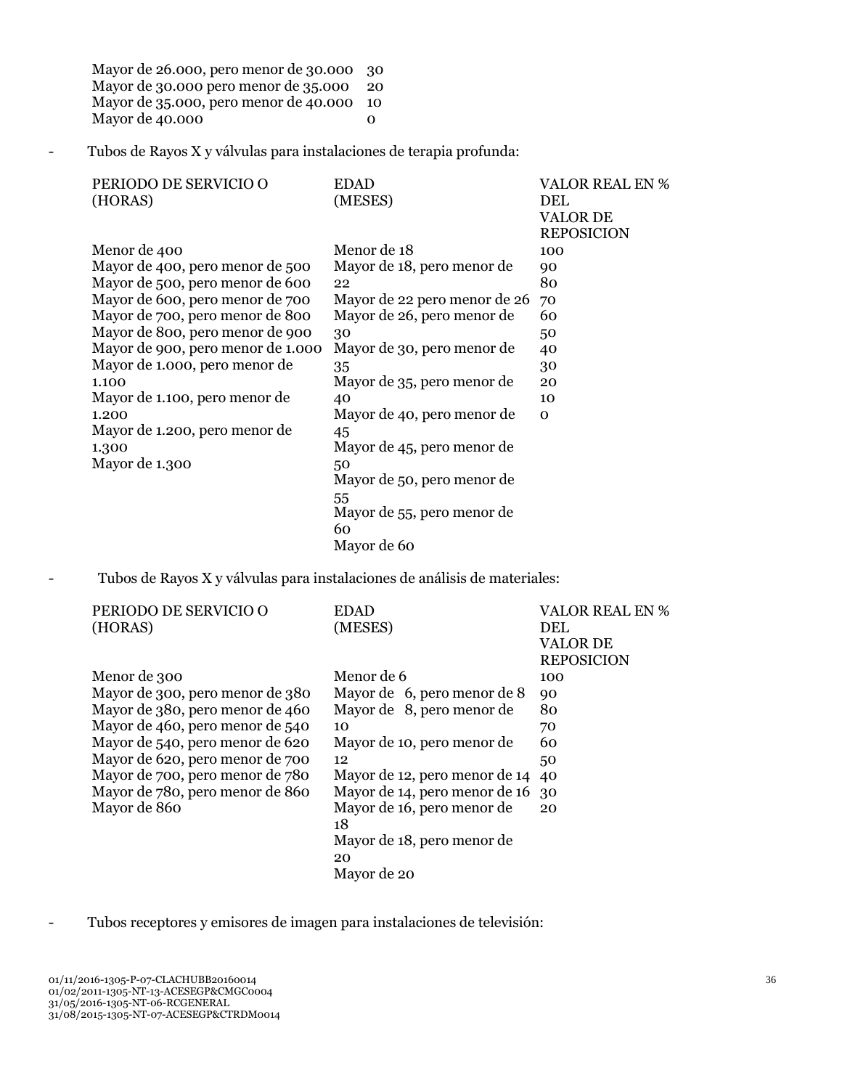Mayor de 26.000, pero menor de 30.000 Mayor de 30.000 pero menor de 35.000 Mayor de 35.000, pero menor de 40.000 10 Mayor de 40.000 30 20 0

- Tubos de Rayos X y válvulas para instalaciones de terapia profunda:

| PERIODO DE SERVICIO O             | <b>EDAD</b>                  | <b>VALOR REAL EN %</b> |
|-----------------------------------|------------------------------|------------------------|
| (HORAS)                           | (MESES)                      | DEL                    |
|                                   |                              | <b>VALOR DE</b>        |
|                                   |                              | <b>REPOSICION</b>      |
| Menor de 400                      | Menor de 18                  | 100                    |
| Mayor de 400, pero menor de 500   | Mayor de 18, pero menor de   | 90                     |
| Mayor de 500, pero menor de 600   | 22                           | 80                     |
| Mayor de 600, pero menor de 700   | Mayor de 22 pero menor de 26 | 70                     |
| Mayor de 700, pero menor de 800   | Mayor de 26, pero menor de   | 60                     |
| Mayor de 800, pero menor de 900   | 30                           | 50                     |
| Mayor de 900, pero menor de 1.000 | Mayor de 30, pero menor de   | 40                     |
| Mayor de 1.000, pero menor de     | 35                           | 30                     |
| 1.100                             | Mayor de 35, pero menor de   | 20                     |
| Mayor de 1.100, pero menor de     | 40                           | 10                     |
| 1.200                             | Mayor de 40, pero menor de   | $\Omega$               |
| Mayor de 1.200, pero menor de     | 45                           |                        |
| 1.300                             | Mayor de 45, pero menor de   |                        |
| Mayor de 1.300                    | 50                           |                        |
|                                   | Mayor de 50, pero menor de   |                        |
|                                   | 55                           |                        |
|                                   | Mayor de 55, pero menor de   |                        |
|                                   | 60                           |                        |
|                                   | Mayor de 60                  |                        |

- Tubos de Rayos X y válvulas para instalaciones de análisis de materiales:

| PERIODO DE SERVICIO O           | <b>EDAD</b>                   | <b>VALOR REAL EN %</b> |
|---------------------------------|-------------------------------|------------------------|
| (HORAS)                         | (MESES)                       | <b>DEL</b>             |
|                                 |                               | <b>VALOR DE</b>        |
|                                 |                               | <b>REPOSICION</b>      |
| Menor de 300                    | Menor de 6                    | 100                    |
| Mayor de 300, pero menor de 380 | Mayor de 6, pero menor de 8   | 90                     |
| Mayor de 380, pero menor de 460 | Mayor de 8, pero menor de     | 80                     |
| Mayor de 460, pero menor de 540 | 10                            | 70                     |
| Mayor de 540, pero menor de 620 | Mayor de 10, pero menor de    | 60                     |
| Mayor de 620, pero menor de 700 | 12                            | 50                     |
| Mayor de 700, pero menor de 780 | Mayor de 12, pero menor de 14 | 40                     |
| Mayor de 780, pero menor de 860 | Mayor de 14, pero menor de 16 | 30                     |
| Mayor de 860                    | Mayor de 16, pero menor de    | 20                     |
|                                 | 18                            |                        |
|                                 | Mayor de 18, pero menor de    |                        |
|                                 | 20                            |                        |
|                                 | Mayor de 20                   |                        |

- Tubos receptores y emisores de imagen para instalaciones de televisión: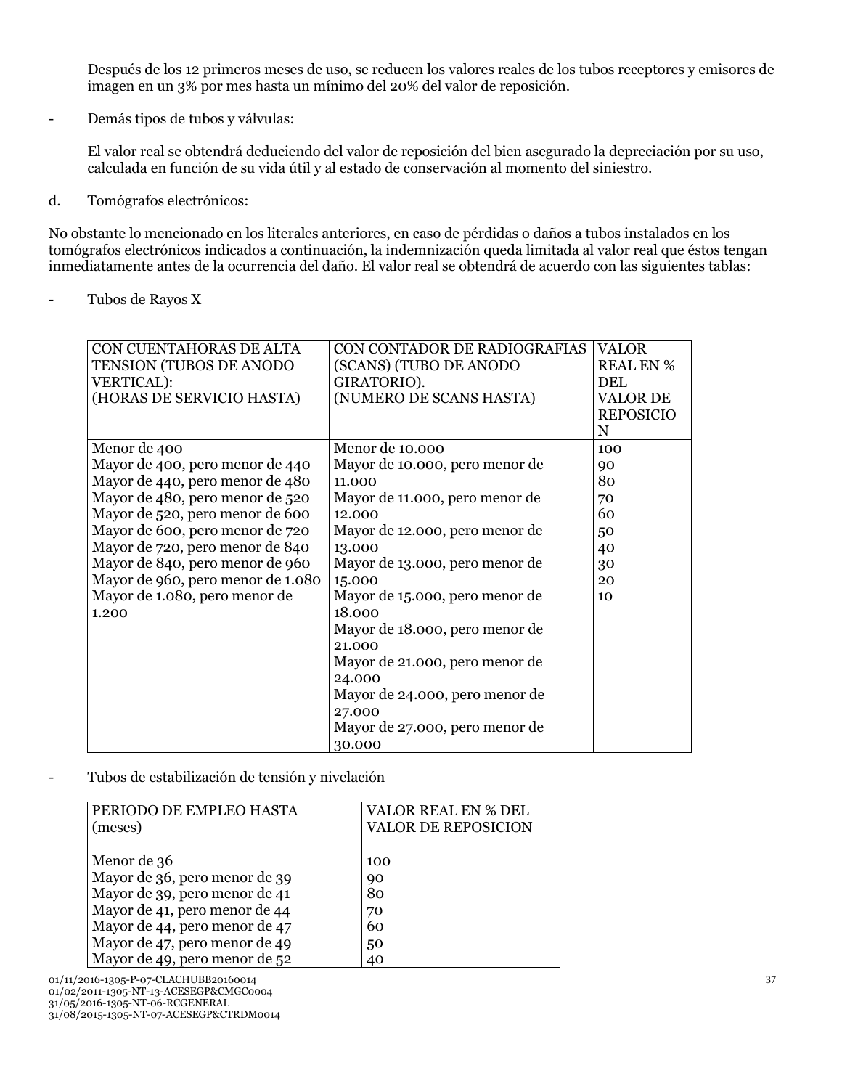Después de los 12 primeros meses de uso, se reducen los valores reales de los tubos receptores y emisores de imagen en un 3% por mes hasta un mínimo del 20% del valor de reposición.

- Demás tipos de tubos y válvulas:

El valor real se obtendrá deduciendo del valor de reposición del bien asegurado la depreciación por su uso, calculada en función de su vida útil y al estado de conservación al momento del siniestro.

d. Tomógrafos electrónicos:

No obstante lo mencionado en los literales anteriores, en caso de pérdidas o daños a tubos instalados en los tomógrafos electrónicos indicados a continuación, la indemnización queda limitada al valor real que éstos tengan inmediatamente antes de la ocurrencia del daño. El valor real se obtendrá de acuerdo con las siguientes tablas:

- Tubos de Rayos X

| CON CUENTAHORAS DE ALTA           | CON CONTADOR DE RADIOGRAFIAS   | <b>VALOR</b>     |
|-----------------------------------|--------------------------------|------------------|
| TENSION (TUBOS DE ANODO           | (SCANS) (TUBO DE ANODO         | <b>REAL EN %</b> |
| <b>VERTICAL):</b>                 | GIRATORIO).                    | <b>DEL</b>       |
| (HORAS DE SERVICIO HASTA)         | (NUMERO DE SCANS HASTA)        | <b>VALOR DE</b>  |
|                                   |                                | <b>REPOSICIO</b> |
|                                   |                                | N                |
| Menor de 400                      | Menor de 10.000                | 100              |
| Mayor de 400, pero menor de 440   | Mayor de 10.000, pero menor de | 90               |
| Mayor de 440, pero menor de 480   | 11.000                         | 80               |
| Mayor de 480, pero menor de 520   | Mayor de 11.000, pero menor de | 70               |
| Mayor de 520, pero menor de 600   | 12.000                         | 60               |
| Mayor de 600, pero menor de 720   | Mayor de 12.000, pero menor de | 50               |
| Mayor de 720, pero menor de 840   | 13.000                         | 40               |
| Mayor de 840, pero menor de 960   | Mayor de 13.000, pero menor de | 30               |
| Mayor de 960, pero menor de 1.080 | 15.000                         | 20               |
| Mayor de 1.080, pero menor de     | Mayor de 15.000, pero menor de | 10               |
| 1.200                             | 18.000                         |                  |
|                                   | Mayor de 18.000, pero menor de |                  |
|                                   | 21.000                         |                  |
|                                   | Mayor de 21.000, pero menor de |                  |
|                                   | 24.000                         |                  |
|                                   | Mayor de 24.000, pero menor de |                  |
|                                   | 27.000                         |                  |
|                                   | Mayor de 27.000, pero menor de |                  |
|                                   | 30.000                         |                  |

- Tubos de estabilización de tensión y nivelación

| PERIODO DE EMPLEO HASTA       | VALOR REAL EN % DEL        |
|-------------------------------|----------------------------|
| (meses)                       | <b>VALOR DE REPOSICION</b> |
|                               |                            |
| Menor de 36                   | 100                        |
| Mayor de 36, pero menor de 39 | 90                         |
| Mayor de 39, pero menor de 41 | 80                         |
| Mayor de 41, pero menor de 44 | 70                         |
| Mayor de 44, pero menor de 47 | 60                         |
| Mayor de 47, pero menor de 49 | 50                         |
| Mayor de 49, pero menor de 52 | 40                         |

01/11/2016-1305-P-07-CLACHUBB20160014 01/02/2011-1305-NT-13-ACESEGP&CMGC0004 31/05/2016-1305-NT-06-RCGENERAL 31/08/2015-1305-NT-07-ACESEGP&CTRDM0014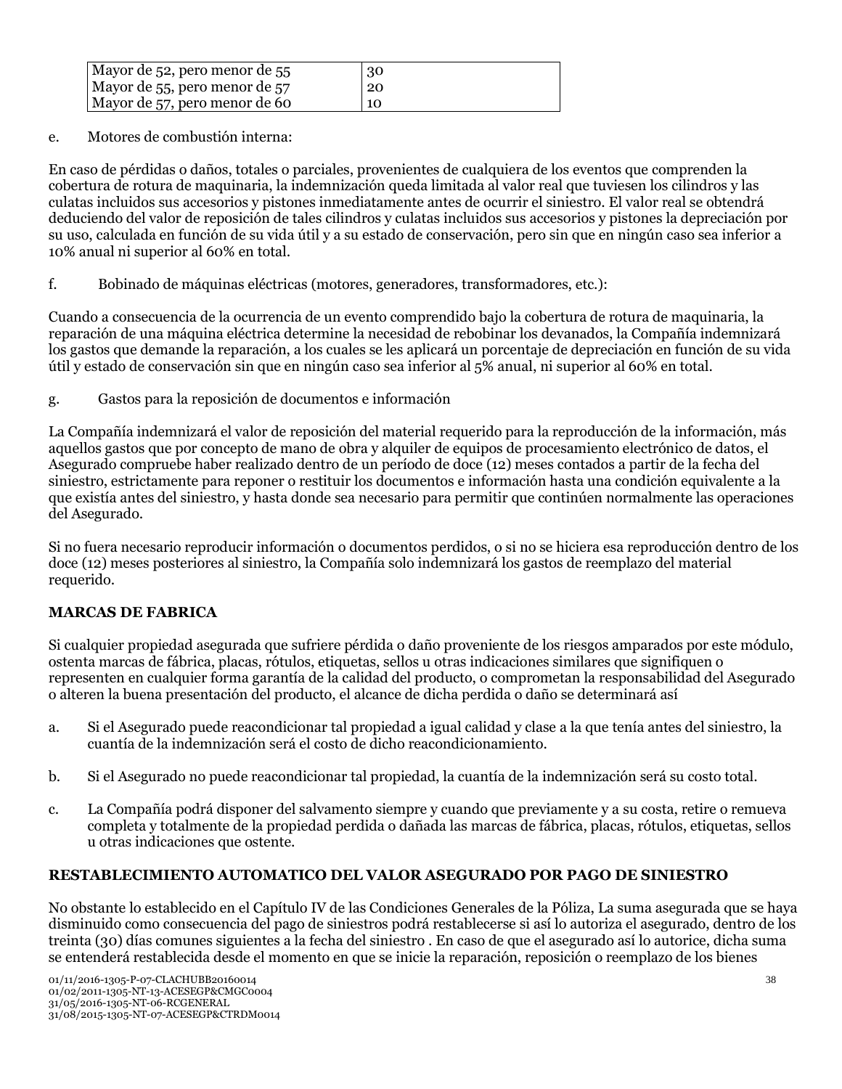| Mayor de 52, pero menor de 55 | 30 |
|-------------------------------|----|
| Mayor de 55, pero menor de 57 | 20 |
| Mayor de 57, pero menor de 60 | 10 |

e. Motores de combustión interna:

En caso de pérdidas o daños, totales o parciales, provenientes de cualquiera de los eventos que comprenden la cobertura de rotura de maquinaria, la indemnización queda limitada al valor real que tuviesen los cilindros y las culatas incluidos sus accesorios y pistones inmediatamente antes de ocurrir el siniestro. El valor real se obtendrá deduciendo del valor de reposición de tales cilindros y culatas incluidos sus accesorios y pistones la depreciación por su uso, calculada en función de su vida útil y a su estado de conservación, pero sin que en ningún caso sea inferior a 10% anual ni superior al 60% en total.

f. Bobinado de máquinas eléctricas (motores, generadores, transformadores, etc.):

Cuando a consecuencia de la ocurrencia de un evento comprendido bajo la cobertura de rotura de maquinaria, la reparación de una máquina eléctrica determine la necesidad de rebobinar los devanados, la Compañía indemnizará los gastos que demande la reparación, a los cuales se les aplicará un porcentaje de depreciación en función de su vida útil y estado de conservación sin que en ningún caso sea inferior al 5% anual, ni superior al 60% en total.

g. Gastos para la reposición de documentos e información

La Compañía indemnizará el valor de reposición del material requerido para la reproducción de la información, más aquellos gastos que por concepto de mano de obra y alquiler de equipos de procesamiento electrónico de datos, el Asegurado compruebe haber realizado dentro de un período de doce (12) meses contados a partir de la fecha del siniestro, estrictamente para reponer o restituir los documentos e información hasta una condición equivalente a la que existía antes del siniestro, y hasta donde sea necesario para permitir que continúen normalmente las operaciones del Asegurado.

Si no fuera necesario reproducir información o documentos perdidos, o si no se hiciera esa reproducción dentro de los doce (12) meses posteriores al siniestro, la Compañía solo indemnizará los gastos de reemplazo del material requerido.

## **MARCAS DE FABRICA**

Si cualquier propiedad asegurada que sufriere pérdida o daño proveniente de los riesgos amparados por este módulo, ostenta marcas de fábrica, placas, rótulos, etiquetas, sellos u otras indicaciones similares que signifiquen o representen en cualquier forma garantía de la calidad del producto, o comprometan la responsabilidad del Asegurado o alteren la buena presentación del producto, el alcance de dicha perdida o daño se determinará así

- a. Si el Asegurado puede reacondicionar tal propiedad a igual calidad y clase a la que tenía antes del siniestro, la cuantía de la indemnización será el costo de dicho reacondicionamiento.
- b. Si el Asegurado no puede reacondicionar tal propiedad, la cuantía de la indemnización será su costo total.
- c. La Compañía podrá disponer del salvamento siempre y cuando que previamente y a su costa, retire o remueva completa y totalmente de la propiedad perdida o dañada las marcas de fábrica, placas, rótulos, etiquetas, sellos u otras indicaciones que ostente.

## **RESTABLECIMIENTO AUTOMATICO DEL VALOR ASEGURADO POR PAGO DE SINIESTRO**

No obstante lo establecido en el Capítulo IV de las Condiciones Generales de la Póliza, La suma asegurada que se haya disminuido como consecuencia del pago de siniestros podrá restablecerse si así lo autoriza el asegurado, dentro de los treinta (30) días comunes siguientes a la fecha del siniestro . En caso de que el asegurado así lo autorice, dicha suma se entenderá restablecida desde el momento en que se inicie la reparación, reposición o reemplazo de los bienes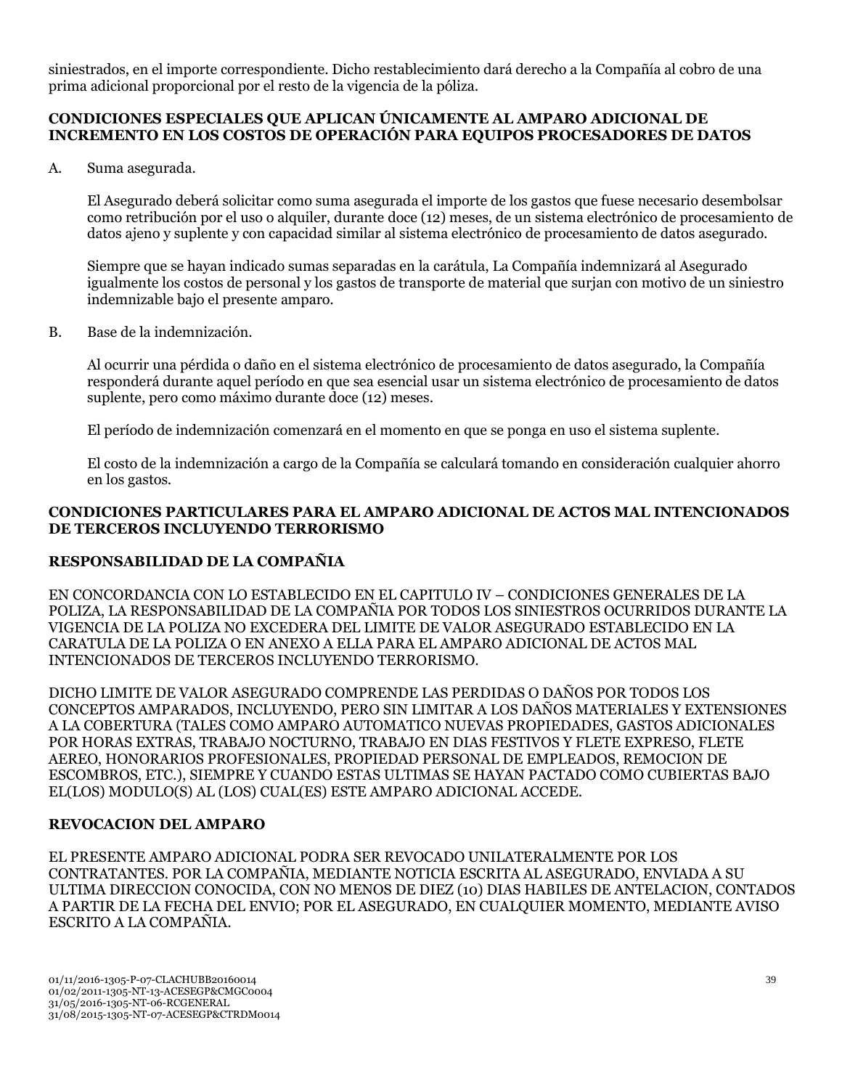siniestrados, en el importe correspondiente. Dicho restablecimiento dará derecho a la Compañía al cobro de una prima adicional proporcional por el resto de la vigencia de la póliza.

### **CONDICIONES ESPECIALES QUE APLICAN ÚNICAMENTE AL AMPARO ADICIONAL DE INCREMENTO EN LOS COSTOS DE OPERACIÓN PARA EQUIPOS PROCESADORES DE DATOS**

A. Suma asegurada.

El Asegurado deberá solicitar como suma asegurada el importe de los gastos que fuese necesario desembolsar como retribución por el uso o alquiler, durante doce (12) meses, de un sistema electrónico de procesamiento de datos ajeno y suplente y con capacidad similar al sistema electrónico de procesamiento de datos asegurado.

Siempre que se hayan indicado sumas separadas en la carátula, La Compañía indemnizará al Asegurado igualmente los costos de personal y los gastos de transporte de material que surjan con motivo de un siniestro indemnizable bajo el presente amparo.

B. Base de la indemnización.

Al ocurrir una pérdida o daño en el sistema electrónico de procesamiento de datos asegurado, la Compañía responderá durante aquel período en que sea esencial usar un sistema electrónico de procesamiento de datos suplente, pero como máximo durante doce (12) meses.

El período de indemnización comenzará en el momento en que se ponga en uso el sistema suplente.

El costo de la indemnización a cargo de la Compañía se calculará tomando en consideración cualquier ahorro en los gastos.

### **CONDICIONES PARTICULARES PARA EL AMPARO ADICIONAL DE ACTOS MAL INTENCIONADOS DE TERCEROS INCLUYENDO TERRORISMO**

## **RESPONSABILIDAD DE LA COMPAÑIA**

EN CONCORDANCIA CON LO ESTABLECIDO EN EL CAPITULO IV – CONDICIONES GENERALES DE LA POLIZA, LA RESPONSABILIDAD DE LA COMPAÑIA POR TODOS LOS SINIESTROS OCURRIDOS DURANTE LA VIGENCIA DE LA POLIZA NO EXCEDERA DEL LIMITE DE VALOR ASEGURADO ESTABLECIDO EN LA CARATULA DE LA POLIZA O EN ANEXO A ELLA PARA EL AMPARO ADICIONAL DE ACTOS MAL INTENCIONADOS DE TERCEROS INCLUYENDO TERRORISMO.

DICHO LIMITE DE VALOR ASEGURADO COMPRENDE LAS PERDIDAS O DAÑOS POR TODOS LOS CONCEPTOS AMPARADOS, INCLUYENDO, PERO SIN LIMITAR A LOS DAÑOS MATERIALES Y EXTENSIONES A LA COBERTURA (TALES COMO AMPARO AUTOMATICO NUEVAS PROPIEDADES, GASTOS ADICIONALES POR HORAS EXTRAS, TRABAJO NOCTURNO, TRABAJO EN DIAS FESTIVOS Y FLETE EXPRESO, FLETE AEREO, HONORARIOS PROFESIONALES, PROPIEDAD PERSONAL DE EMPLEADOS, REMOCION DE ESCOMBROS, ETC.), SIEMPRE Y CUANDO ESTAS ULTIMAS SE HAYAN PACTADO COMO CUBIERTAS BAJO EL(LOS) MODULO(S) AL (LOS) CUAL(ES) ESTE AMPARO ADICIONAL ACCEDE.

## **REVOCACION DEL AMPARO**

EL PRESENTE AMPARO ADICIONAL PODRA SER REVOCADO UNILATERALMENTE POR LOS CONTRATANTES. POR LA COMPAÑIA, MEDIANTE NOTICIA ESCRITA AL ASEGURADO, ENVIADA A SU ULTIMA DIRECCION CONOCIDA, CON NO MENOS DE DIEZ (10) DIAS HABILES DE ANTELACION, CONTADOS A PARTIR DE LA FECHA DEL ENVIO; POR EL ASEGURADO, EN CUALQUIER MOMENTO, MEDIANTE AVISO ESCRITO A LA COMPAÑIA.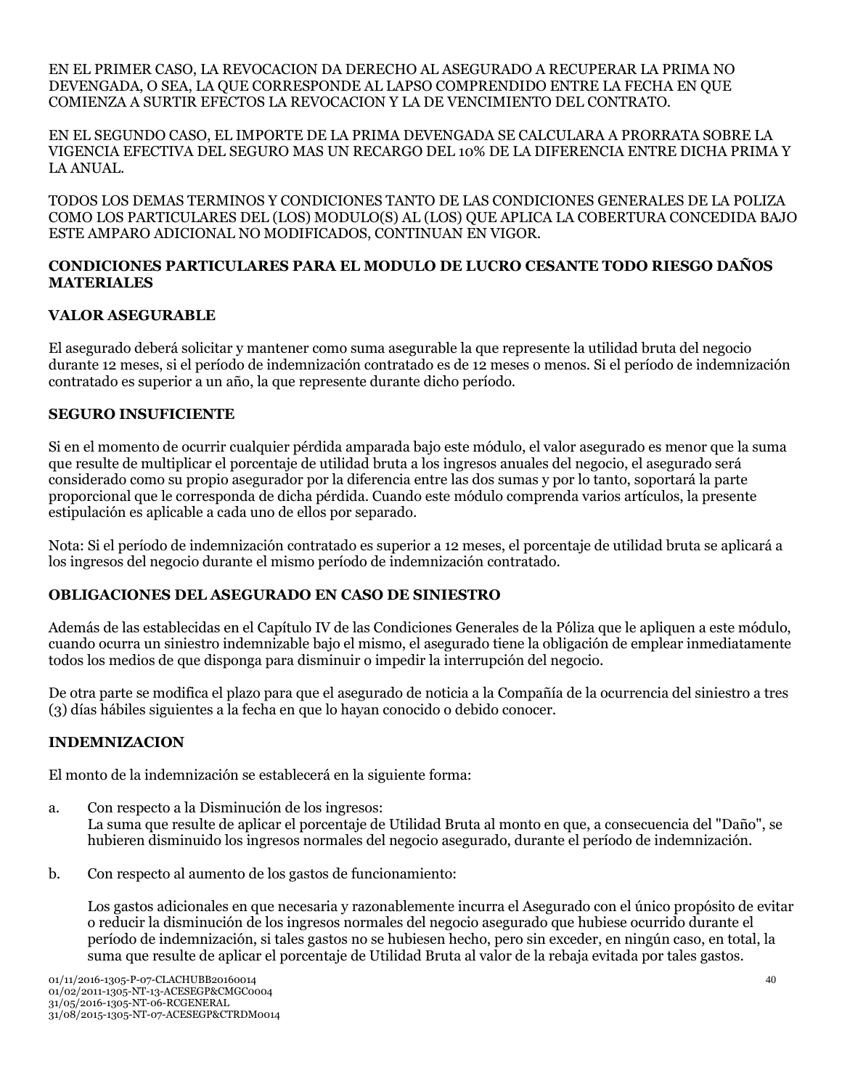EN EL PRIMER CASO, LA REVOCACION DA DERECHO AL ASEGURADO A RECUPERAR LA PRIMA NO DEVENGADA, O SEA, LA QUE CORRESPONDE AL LAPSO COMPRENDIDO ENTRE LA FECHA EN QUE COMIENZA A SURTIR EFECTOS LA REVOCACION Y LA DE VENCIMIENTO DEL CONTRATO.

EN EL SEGUNDO CASO, EL IMPORTE DE LA PRIMA DEVENGADA SE CALCULARA A PRORRATA SOBRE LA VIGENCIA EFECTIVA DEL SEGURO MAS UN RECARGO DEL 10% DE LA DIFERENCIA ENTRE DICHA PRIMA Y LA ANUAL.

TODOS LOS DEMAS TERMINOS Y CONDICIONES TANTO DE LAS CONDICIONES GENERALES DE LA POLIZA COMO LOS PARTICULARES DEL (LOS) MODULO(S) AL (LOS) QUE APLICA LA COBERTURA CONCEDIDA BAJO ESTE AMPARO ADICIONAL NO MODIFICADOS, CONTINUAN EN VIGOR.

### **CONDICIONES PARTICULARES PARA EL MODULO DE LUCRO CESANTE TODO RIESGO DAÑOS MATERIALES**

## **VALOR ASEGURABLE**

El asegurado deberá solicitar y mantener como suma asegurable la que represente la utilidad bruta del negocio durante 12 meses, si el período de indemnización contratado es de 12 meses o menos. Si el período de indemnización contratado es superior a un año, la que represente durante dicho período.

### **SEGURO INSUFICIENTE**

Si en el momento de ocurrir cualquier pérdida amparada bajo este módulo, el valor asegurado es menor que la suma que resulte de multiplicar el porcentaje de utilidad bruta a los ingresos anuales del negocio, el asegurado será considerado como su propio asegurador por la diferencia entre las dos sumas y por lo tanto, soportará la parte proporcional que le corresponda de dicha pérdida. Cuando este módulo comprenda varios artículos, la presente estipulación es aplicable a cada uno de ellos por separado.

Nota: Si el período de indemnización contratado es superior a 12 meses, el porcentaje de utilidad bruta se aplicará a los ingresos del negocio durante el mismo período de indemnización contratado.

## **OBLIGACIONES DEL ASEGURADO EN CASO DE SINIESTRO**

Además de las establecidas en el Capítulo IV de las Condiciones Generales de la Póliza que le apliquen a este módulo, cuando ocurra un siniestro indemnizable bajo el mismo, el asegurado tiene la obligación de emplear inmediatamente todos los medios de que disponga para disminuir o impedir la interrupción del negocio.

De otra parte se modifica el plazo para que el asegurado de noticia a la Compañía de la ocurrencia del siniestro a tres (3) días hábiles siguientes a la fecha en que lo hayan conocido o debido conocer.

## **INDEMNIZACION**

El monto de la indemnización se establecerá en la siguiente forma:

- a. Con respecto a la Disminución de los ingresos: La suma que resulte de aplicar el porcentaje de Utilidad Bruta al monto en que, a consecuencia del "Daño", se hubieren disminuido los ingresos normales del negocio asegurado, durante el período de indemnización.
- b. Con respecto al aumento de los gastos de funcionamiento:

Los gastos adicionales en que necesaria y razonablemente incurra el Asegurado con el único propósito de evitar o reducir la disminución de los ingresos normales del negocio asegurado que hubiese ocurrido durante el período de indemnización, si tales gastos no se hubiesen hecho, pero sin exceder, en ningún caso, en total, la suma que resulte de aplicar el porcentaje de Utilidad Bruta al valor de la rebaja evitada por tales gastos.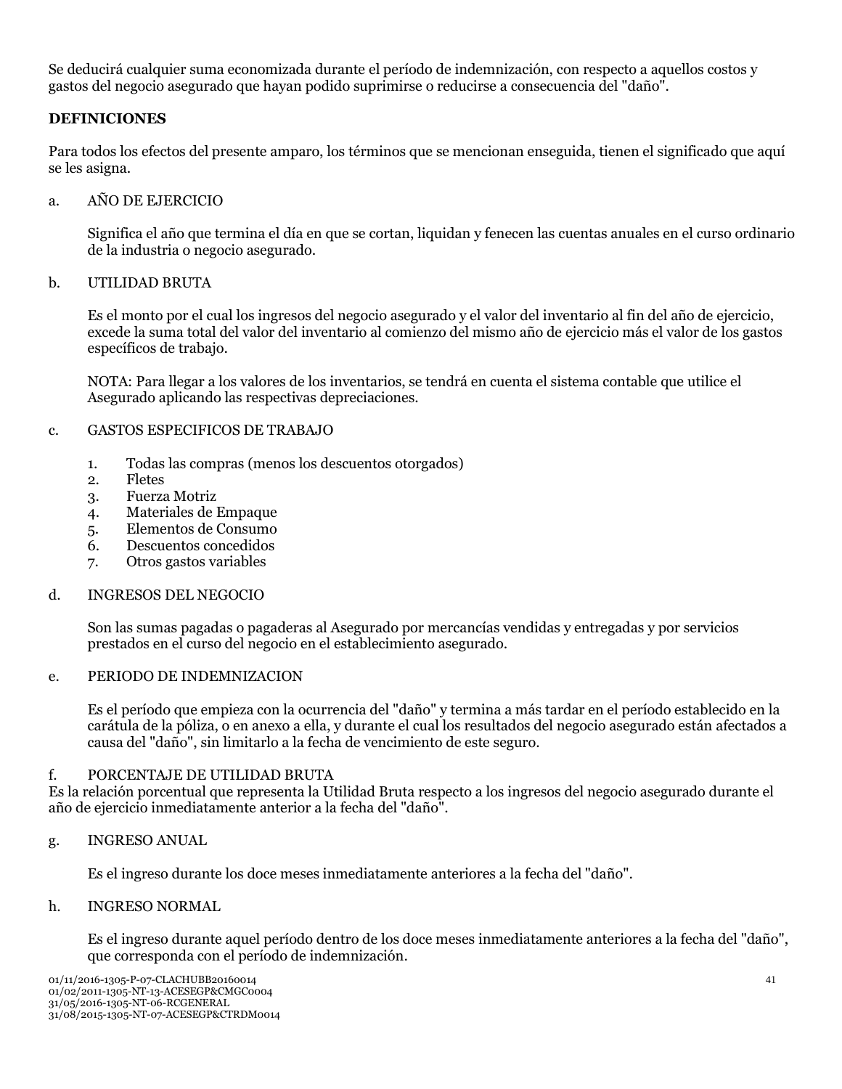Se deducirá cualquier suma economizada durante el período de indemnización, con respecto a aquellos costos y gastos del negocio asegurado que hayan podido suprimirse o reducirse a consecuencia del "daño".

### **DEFINICIONES**

Para todos los efectos del presente amparo, los términos que se mencionan enseguida, tienen el significado que aquí se les asigna.

#### a. AÑO DE EJERCICIO

Significa el año que termina el día en que se cortan, liquidan y fenecen las cuentas anuales en el curso ordinario de la industria o negocio asegurado.

#### b. UTILIDAD BRUTA

Es el monto por el cual los ingresos del negocio asegurado y el valor del inventario al fin del año de ejercicio, excede la suma total del valor del inventario al comienzo del mismo año de ejercicio más el valor de los gastos específicos de trabajo.

NOTA: Para llegar a los valores de los inventarios, se tendrá en cuenta el sistema contable que utilice el Asegurado aplicando las respectivas depreciaciones.

#### c. GASTOS ESPECIFICOS DE TRABAJO

- 1. Todas las compras (menos los descuentos otorgados)
- 2. Fletes
- 3. Fuerza Motriz
- 4. Materiales de Empaque
- 5. Elementos de Consumo
- 6. Descuentos concedidos
- 7. Otros gastos variables

#### d. INGRESOS DEL NEGOCIO

Son las sumas pagadas o pagaderas al Asegurado por mercancías vendidas y entregadas y por servicios prestados en el curso del negocio en el establecimiento asegurado.

#### e. PERIODO DE INDEMNIZACION

Es el período que empieza con la ocurrencia del "daño" y termina a más tardar en el período establecido en la carátula de la póliza, o en anexo a ella, y durante el cual los resultados del negocio asegurado están afectados a causa del "daño", sin limitarlo a la fecha de vencimiento de este seguro.

### f. PORCENTAJE DE UTILIDAD BRUTA

Es la relación porcentual que representa la Utilidad Bruta respecto a los ingresos del negocio asegurado durante el año de ejercicio inmediatamente anterior a la fecha del "daño".

#### g. INGRESO ANUAL

Es el ingreso durante los doce meses inmediatamente anteriores a la fecha del "daño".

#### h. INGRESO NORMAL

Es el ingreso durante aquel período dentro de los doce meses inmediatamente anteriores a la fecha del "daño", que corresponda con el período de indemnización.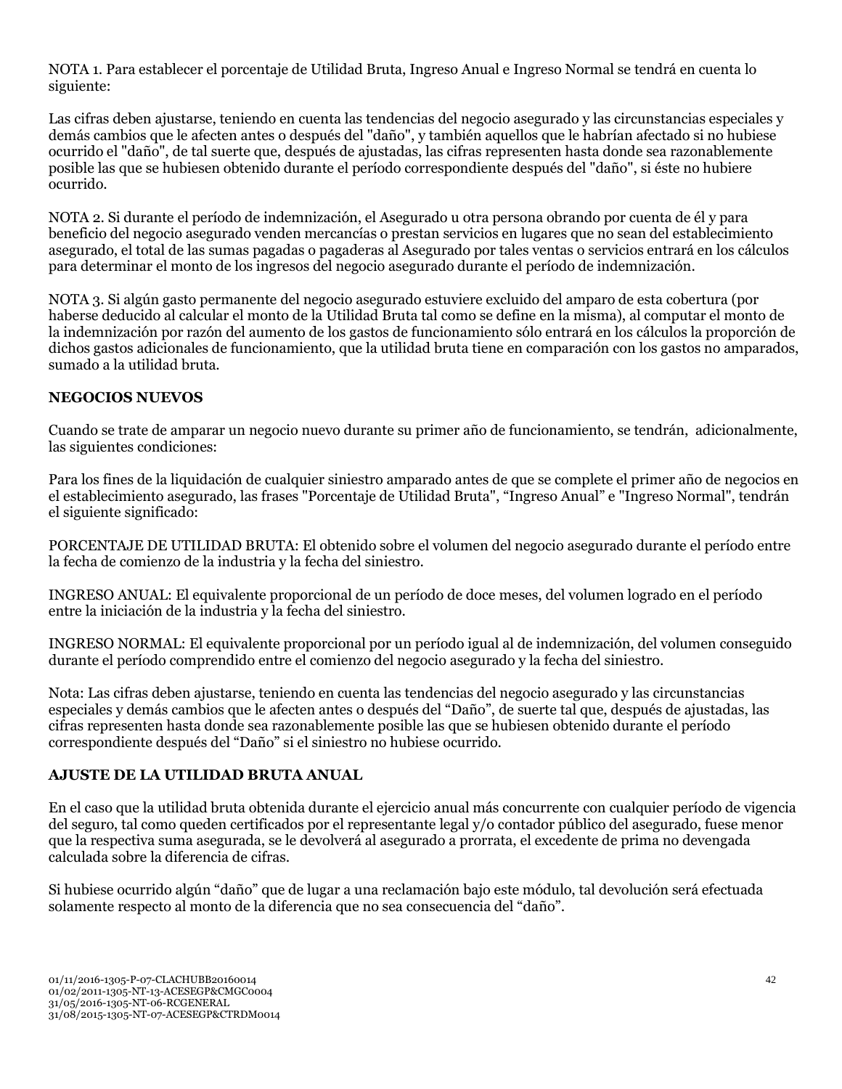NOTA 1. Para establecer el porcentaje de Utilidad Bruta, Ingreso Anual e Ingreso Normal se tendrá en cuenta lo siguiente:

Las cifras deben ajustarse, teniendo en cuenta las tendencias del negocio asegurado y las circunstancias especiales y demás cambios que le afecten antes o después del "daño", y también aquellos que le habrían afectado si no hubiese ocurrido el "daño", de tal suerte que, después de ajustadas, las cifras representen hasta donde sea razonablemente posible las que se hubiesen obtenido durante el período correspondiente después del "daño", si éste no hubiere ocurrido.

NOTA 2. Si durante el período de indemnización, el Asegurado u otra persona obrando por cuenta de él y para beneficio del negocio asegurado venden mercancías o prestan servicios en lugares que no sean del establecimiento asegurado, el total de las sumas pagadas o pagaderas al Asegurado por tales ventas o servicios entrará en los cálculos para determinar el monto de los ingresos del negocio asegurado durante el período de indemnización.

NOTA 3. Si algún gasto permanente del negocio asegurado estuviere excluido del amparo de esta cobertura (por haberse deducido al calcular el monto de la Utilidad Bruta tal como se define en la misma), al computar el monto de la indemnización por razón del aumento de los gastos de funcionamiento sólo entrará en los cálculos la proporción de dichos gastos adicionales de funcionamiento, que la utilidad bruta tiene en comparación con los gastos no amparados, sumado a la utilidad bruta.

## **NEGOCIOS NUEVOS**

Cuando se trate de amparar un negocio nuevo durante su primer año de funcionamiento, se tendrán, adicionalmente, las siguientes condiciones:

Para los fines de la liquidación de cualquier siniestro amparado antes de que se complete el primer año de negocios en el establecimiento asegurado, las frases "Porcentaje de Utilidad Bruta", "Ingreso Anual" e "Ingreso Normal", tendrán el siguiente significado:

PORCENTAJE DE UTILIDAD BRUTA: El obtenido sobre el volumen del negocio asegurado durante el período entre la fecha de comienzo de la industria y la fecha del siniestro.

INGRESO ANUAL: El equivalente proporcional de un período de doce meses, del volumen logrado en el período entre la iniciación de la industria y la fecha del siniestro.

INGRESO NORMAL: El equivalente proporcional por un período igual al de indemnización, del volumen conseguido durante el período comprendido entre el comienzo del negocio asegurado y la fecha del siniestro.

Nota: Las cifras deben ajustarse, teniendo en cuenta las tendencias del negocio asegurado y las circunstancias especiales y demás cambios que le afecten antes o después del "Daño", de suerte tal que, después de ajustadas, las cifras representen hasta donde sea razonablemente posible las que se hubiesen obtenido durante el período correspondiente después del "Daño" si el siniestro no hubiese ocurrido.

## **AJUSTE DE LA UTILIDAD BRUTA ANUAL**

En el caso que la utilidad bruta obtenida durante el ejercicio anual más concurrente con cualquier período de vigencia del seguro, tal como queden certificados por el representante legal y/o contador público del asegurado, fuese menor que la respectiva suma asegurada, se le devolverá al asegurado a prorrata, el excedente de prima no devengada calculada sobre la diferencia de cifras.

Si hubiese ocurrido algún "daño" que de lugar a una reclamación bajo este módulo, tal devolución será efectuada solamente respecto al monto de la diferencia que no sea consecuencia del "daño".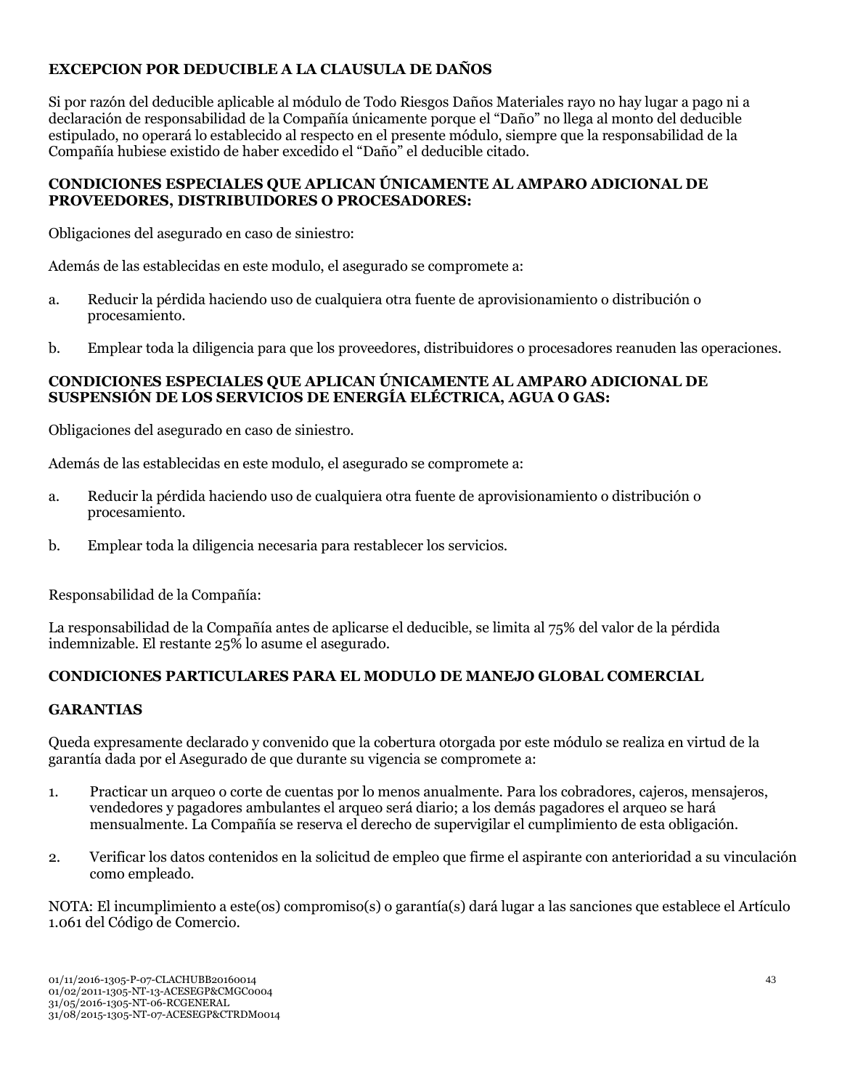## **EXCEPCION POR DEDUCIBLE A LA CLAUSULA DE DAÑOS**

Si por razón del deducible aplicable al módulo de Todo Riesgos Daños Materiales rayo no hay lugar a pago ni a declaración de responsabilidad de la Compañía únicamente porque el "Daño" no llega al monto del deducible estipulado, no operará lo establecido al respecto en el presente módulo, siempre que la responsabilidad de la Compañía hubiese existido de haber excedido el "Daño" el deducible citado.

### **CONDICIONES ESPECIALES QUE APLICAN ÚNICAMENTE AL AMPARO ADICIONAL DE PROVEEDORES, DISTRIBUIDORES O PROCESADORES:**

Obligaciones del asegurado en caso de siniestro:

Además de las establecidas en este modulo, el asegurado se compromete a:

- a. Reducir la pérdida haciendo uso de cualquiera otra fuente de aprovisionamiento o distribución o procesamiento.
- b. Emplear toda la diligencia para que los proveedores, distribuidores o procesadores reanuden las operaciones.

### **CONDICIONES ESPECIALES QUE APLICAN ÚNICAMENTE AL AMPARO ADICIONAL DE SUSPENSIÓN DE LOS SERVICIOS DE ENERGÍA ELÉCTRICA, AGUA O GAS:**

Obligaciones del asegurado en caso de siniestro.

Además de las establecidas en este modulo, el asegurado se compromete a:

- a. Reducir la pérdida haciendo uso de cualquiera otra fuente de aprovisionamiento o distribución o procesamiento.
- b. Emplear toda la diligencia necesaria para restablecer los servicios.

Responsabilidad de la Compañía:

La responsabilidad de la Compañía antes de aplicarse el deducible, se limita al 75% del valor de la pérdida indemnizable. El restante 25% lo asume el asegurado.

## **CONDICIONES PARTICULARES PARA EL MODULO DE MANEJO GLOBAL COMERCIAL**

#### **GARANTIAS**

Queda expresamente declarado y convenido que la cobertura otorgada por este módulo se realiza en virtud de la garantía dada por el Asegurado de que durante su vigencia se compromete a:

- 1. Practicar un arqueo o corte de cuentas por lo menos anualmente. Para los cobradores, cajeros, mensajeros, vendedores y pagadores ambulantes el arqueo será diario; a los demás pagadores el arqueo se hará mensualmente. La Compañía se reserva el derecho de supervigilar el cumplimiento de esta obligación.
- 2. Verificar los datos contenidos en la solicitud de empleo que firme el aspirante con anterioridad a su vinculación como empleado.

NOTA: El incumplimiento a este(os) compromiso(s) o garantía(s) dará lugar a las sanciones que establece el Artículo 1.061 del Código de Comercio.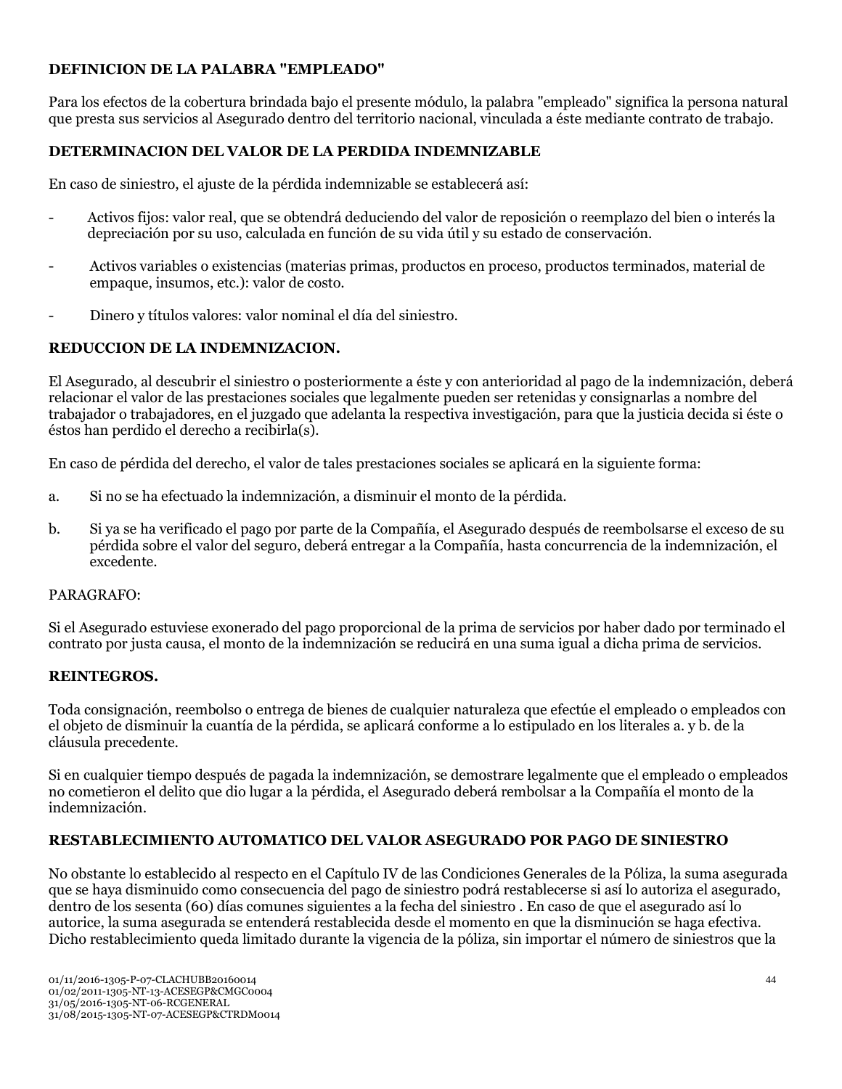## **DEFINICION DE LA PALABRA "EMPLEADO"**

Para los efectos de la cobertura brindada bajo el presente módulo, la palabra "empleado" significa la persona natural que presta sus servicios al Asegurado dentro del territorio nacional, vinculada a éste mediante contrato de trabajo.

## **DETERMINACION DEL VALOR DE LA PERDIDA INDEMNIZABLE**

En caso de siniestro, el ajuste de la pérdida indemnizable se establecerá así:

- Activos fijos: valor real, que se obtendrá deduciendo del valor de reposición o reemplazo del bien o interés la depreciación por su uso, calculada en función de su vida útil y su estado de conservación.
- Activos variables o existencias (materias primas, productos en proceso, productos terminados, material de empaque, insumos, etc.): valor de costo.
- Dinero y títulos valores: valor nominal el día del siniestro.

## **REDUCCION DE LA INDEMNIZACION.**

El Asegurado, al descubrir el siniestro o posteriormente a éste y con anterioridad al pago de la indemnización, deberá relacionar el valor de las prestaciones sociales que legalmente pueden ser retenidas y consignarlas a nombre del trabajador o trabajadores, en el juzgado que adelanta la respectiva investigación, para que la justicia decida si éste o éstos han perdido el derecho a recibirla(s).

En caso de pérdida del derecho, el valor de tales prestaciones sociales se aplicará en la siguiente forma:

- a. Si no se ha efectuado la indemnización, a disminuir el monto de la pérdida.
- b. Si ya se ha verificado el pago por parte de la Compañía, el Asegurado después de reembolsarse el exceso de su pérdida sobre el valor del seguro, deberá entregar a la Compañía, hasta concurrencia de la indemnización, el excedente.

## PARAGRAFO:

Si el Asegurado estuviese exonerado del pago proporcional de la prima de servicios por haber dado por terminado el contrato por justa causa, el monto de la indemnización se reducirá en una suma igual a dicha prima de servicios.

## **REINTEGROS.**

Toda consignación, reembolso o entrega de bienes de cualquier naturaleza que efectúe el empleado o empleados con el objeto de disminuir la cuantía de la pérdida, se aplicará conforme a lo estipulado en los literales a. y b. de la cláusula precedente.

Si en cualquier tiempo después de pagada la indemnización, se demostrare legalmente que el empleado o empleados no cometieron el delito que dio lugar a la pérdida, el Asegurado deberá rembolsar a la Compañía el monto de la indemnización.

## **RESTABLECIMIENTO AUTOMATICO DEL VALOR ASEGURADO POR PAGO DE SINIESTRO**

No obstante lo establecido al respecto en el Capítulo IV de las Condiciones Generales de la Póliza, la suma asegurada que se haya disminuido como consecuencia del pago de siniestro podrá restablecerse si así lo autoriza el asegurado, dentro de los sesenta (60) días comunes siguientes a la fecha del siniestro . En caso de que el asegurado así lo autorice, la suma asegurada se entenderá restablecida desde el momento en que la disminución se haga efectiva. Dicho restablecimiento queda limitado durante la vigencia de la póliza, sin importar el número de siniestros que la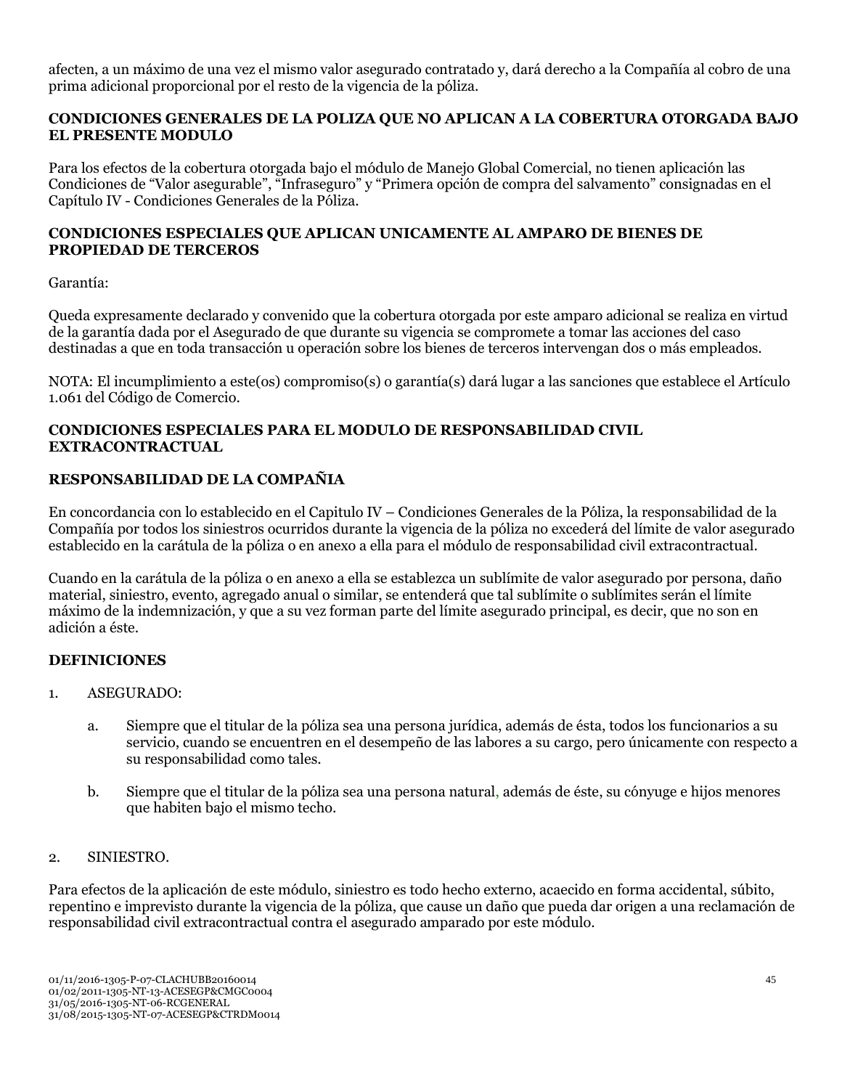afecten, a un máximo de una vez el mismo valor asegurado contratado y, dará derecho a la Compañía al cobro de una prima adicional proporcional por el resto de la vigencia de la póliza.

### **CONDICIONES GENERALES DE LA POLIZA QUE NO APLICAN A LA COBERTURA OTORGADA BAJO EL PRESENTE MODULO**

Para los efectos de la cobertura otorgada bajo el módulo de Manejo Global Comercial, no tienen aplicación las Condiciones de "Valor asegurable", "Infraseguro" y "Primera opción de compra del salvamento" consignadas en el Capítulo IV - Condiciones Generales de la Póliza.

### **CONDICIONES ESPECIALES QUE APLICAN UNICAMENTE AL AMPARO DE BIENES DE PROPIEDAD DE TERCEROS**

#### Garantía:

Queda expresamente declarado y convenido que la cobertura otorgada por este amparo adicional se realiza en virtud de la garantía dada por el Asegurado de que durante su vigencia se compromete a tomar las acciones del caso destinadas a que en toda transacción u operación sobre los bienes de terceros intervengan dos o más empleados.

NOTA: El incumplimiento a este(os) compromiso(s) o garantía(s) dará lugar a las sanciones que establece el Artículo 1.061 del Código de Comercio.

### **CONDICIONES ESPECIALES PARA EL MODULO DE RESPONSABILIDAD CIVIL EXTRACONTRACTUAL**

## **RESPONSABILIDAD DE LA COMPAÑIA**

En concordancia con lo establecido en el Capitulo IV – Condiciones Generales de la Póliza, la responsabilidad de la Compañía por todos los siniestros ocurridos durante la vigencia de la póliza no excederá del límite de valor asegurado establecido en la carátula de la póliza o en anexo a ella para el módulo de responsabilidad civil extracontractual.

Cuando en la carátula de la póliza o en anexo a ella se establezca un sublímite de valor asegurado por persona, daño material, siniestro, evento, agregado anual o similar, se entenderá que tal sublímite o sublímites serán el límite máximo de la indemnización, y que a su vez forman parte del límite asegurado principal, es decir, que no son en adición a éste.

## **DEFINICIONES**

#### 1. ASEGURADO:

- a. Siempre que el titular de la póliza sea una persona jurídica, además de ésta, todos los funcionarios a su servicio, cuando se encuentren en el desempeño de las labores a su cargo, pero únicamente con respecto a su responsabilidad como tales.
- b. Siempre que el titular de la póliza sea una persona natural, además de éste, su cónyuge e hijos menores que habiten bajo el mismo techo.

#### 2. SINIESTRO.

Para efectos de la aplicación de este módulo, siniestro es todo hecho externo, acaecido en forma accidental, súbito, repentino e imprevisto durante la vigencia de la póliza, que cause un daño que pueda dar origen a una reclamación de responsabilidad civil extracontractual contra el asegurado amparado por este módulo.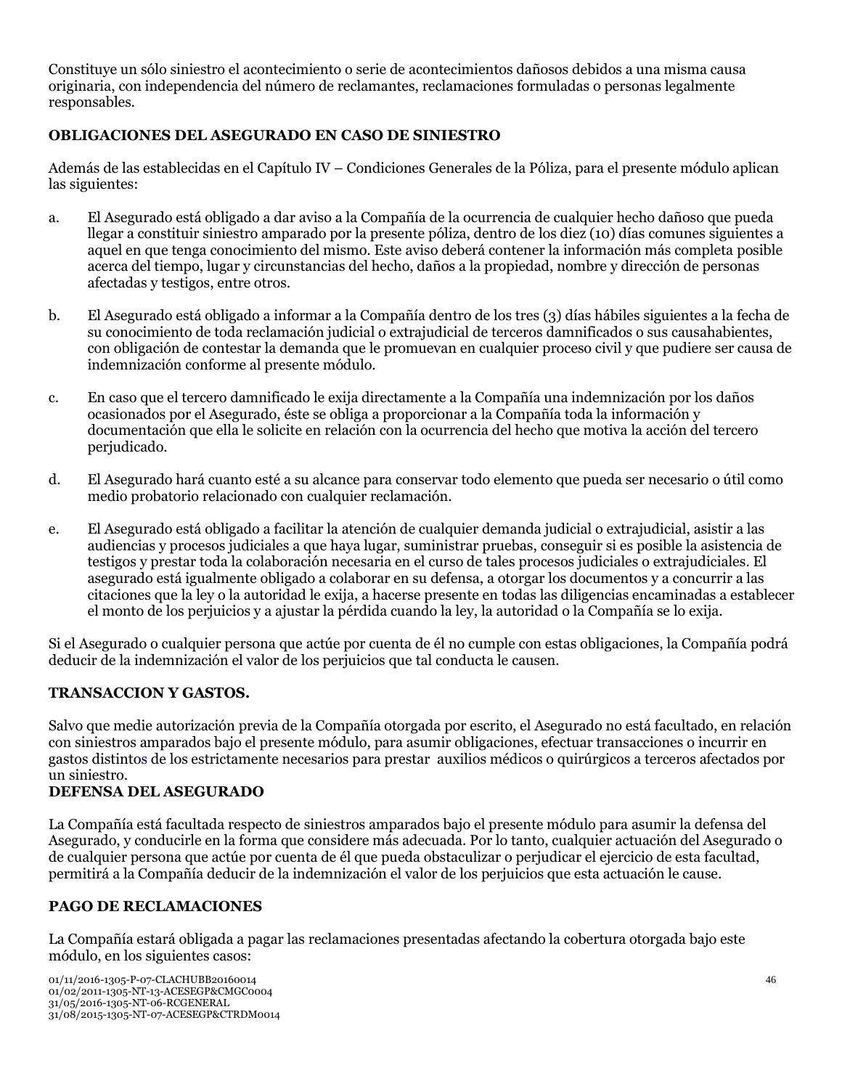Constituye un sólo siniestro el acontecimiento o serie de acontecimientos dañosos debidos a una misma causa originaria, con independencia del número de reclamantes, reclamaciones formuladas o personas legalmente responsables.

## **OBLIGACIONES DEL ASEGURADO EN CASO DE SINIESTRO**

Además de las establecidas en el Capítulo IV – Condiciones Generales de la Póliza, para el presente módulo aplican las siguientes:

- a. El Asegurado está obligado a dar aviso a la Compañía de la ocurrencia de cualquier hecho dañoso que pueda llegar a constituir siniestro amparado por la presente póliza, dentro de los diez (10) días comunes siguientes a aquel en que tenga conocimiento del mismo. Este aviso deberá contener la información más completa posible acerca del tiempo, lugar y circunstancias del hecho, daños a la propiedad, nombre y dirección de personas afectadas y testigos, entre otros.
- b. El Asegurado está obligado a informar a la Compañía dentro de los tres (3) días hábiles siguientes a la fecha de su conocimiento de toda reclamación judicial o extrajudicial de terceros damnificados o sus causahabientes, con obligación de contestar la demanda que le promuevan en cualquier proceso civil y que pudiere ser causa de indemnización conforme al presente módulo.
- c. En caso que el tercero damnificado le exija directamente a la Compañía una indemnización por los daños ocasionados por el Asegurado, éste se obliga a proporcionar a la Compañía toda la información y documentación que ella le solicite en relación con la ocurrencia del hecho que motiva la acción del tercero perjudicado.
- d. El Asegurado hará cuanto esté a su alcance para conservar todo elemento que pueda ser necesario o útil como medio probatorio relacionado con cualquier reclamación.
- e. El Asegurado está obligado a facilitar la atención de cualquier demanda judicial o extrajudicial, asistir a las audiencias y procesos judiciales a que haya lugar, suministrar pruebas, conseguir si es posible la asistencia de testigos y prestar toda la colaboración necesaria en el curso de tales procesos judiciales o extrajudiciales. El asegurado está igualmente obligado a colaborar en su defensa, a otorgar los documentos y a concurrir a las citaciones que la ley o la autoridad le exija, a hacerse presente en todas las diligencias encaminadas a establecer el monto de los perjuicios y a ajustar la pérdida cuando la ley, la autoridad o la Compañía se lo exija.

Si el Asegurado o cualquier persona que actúe por cuenta de él no cumple con estas obligaciones, la Compañía podrá deducir de la indemnización el valor de los perjuicios que tal conducta le causen.

## **TRANSACCION Y GASTOS.**

Salvo que medie autorización previa de la Compañía otorgada por escrito, el Asegurado no está facultado, en relación con siniestros amparados bajo el presente módulo, para asumir obligaciones, efectuar transacciones o incurrir en gastos distintos de los estrictamente necesarios para prestar auxilios médicos o quirúrgicos a terceros afectados por un siniestro.

## **DEFENSA DEL ASEGURADO**

La Compañía está facultada respecto de siniestros amparados bajo el presente módulo para asumir la defensa del Asegurado, y conducirle en la forma que considere más adecuada. Por lo tanto, cualquier actuación del Asegurado o de cualquier persona que actúe por cuenta de él que pueda obstaculizar o perjudicar el ejercicio de esta facultad, permitirá a la Compañía deducir de la indemnización el valor de los perjuicios que esta actuación le cause.

## **PAGO DE RECLAMACIONES**

La Compañía estará obligada a pagar las reclamaciones presentadas afectando la cobertura otorgada bajo este módulo, en los siguientes casos: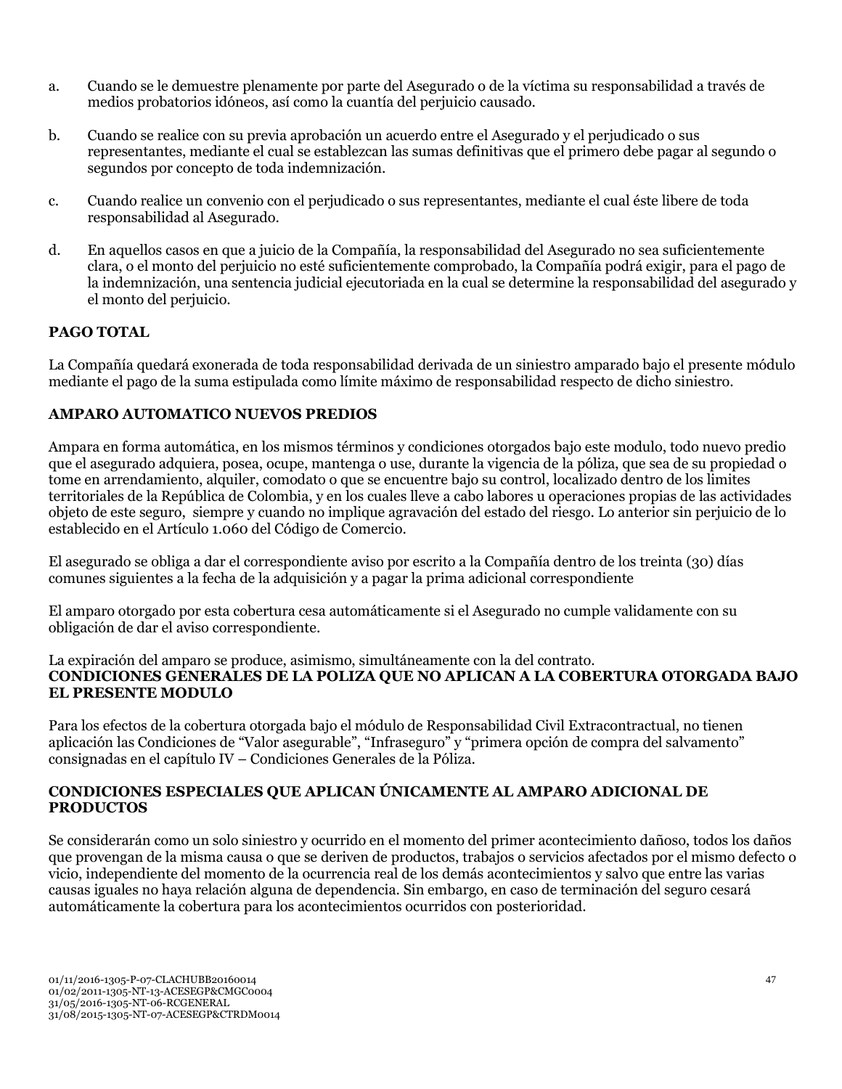- a. Cuando se le demuestre plenamente por parte del Asegurado o de la víctima su responsabilidad a través de medios probatorios idóneos, así como la cuantía del perjuicio causado.
- b. Cuando se realice con su previa aprobación un acuerdo entre el Asegurado y el perjudicado o sus representantes, mediante el cual se establezcan las sumas definitivas que el primero debe pagar al segundo o segundos por concepto de toda indemnización.
- c. Cuando realice un convenio con el perjudicado o sus representantes, mediante el cual éste libere de toda responsabilidad al Asegurado.
- d. En aquellos casos en que a juicio de la Compañía, la responsabilidad del Asegurado no sea suficientemente clara, o el monto del perjuicio no esté suficientemente comprobado, la Compañía podrá exigir, para el pago de la indemnización, una sentencia judicial ejecutoriada en la cual se determine la responsabilidad del asegurado y el monto del perjuicio.

## **PAGO TOTAL**

La Compañía quedará exonerada de toda responsabilidad derivada de un siniestro amparado bajo el presente módulo mediante el pago de la suma estipulada como límite máximo de responsabilidad respecto de dicho siniestro.

### **AMPARO AUTOMATICO NUEVOS PREDIOS**

Ampara en forma automática, en los mismos términos y condiciones otorgados bajo este modulo, todo nuevo predio que el asegurado adquiera, posea, ocupe, mantenga o use, durante la vigencia de la póliza, que sea de su propiedad o tome en arrendamiento, alquiler, comodato o que se encuentre bajo su control, localizado dentro de los limites territoriales de la República de Colombia, y en los cuales lleve a cabo labores u operaciones propias de las actividades objeto de este seguro, siempre y cuando no implique agravación del estado del riesgo. Lo anterior sin perjuicio de lo establecido en el Artículo 1.060 del Código de Comercio.

El asegurado se obliga a dar el correspondiente aviso por escrito a la Compañía dentro de los treinta (30) días comunes siguientes a la fecha de la adquisición y a pagar la prima adicional correspondiente

El amparo otorgado por esta cobertura cesa automáticamente si el Asegurado no cumple validamente con su obligación de dar el aviso correspondiente.

### La expiración del amparo se produce, asimismo, simultáneamente con la del contrato. **CONDICIONES GENERALES DE LA POLIZA QUE NO APLICAN A LA COBERTURA OTORGADA BAJO EL PRESENTE MODULO**

Para los efectos de la cobertura otorgada bajo el módulo de Responsabilidad Civil Extracontractual, no tienen aplicación las Condiciones de "Valor asegurable", "Infraseguro" y "primera opción de compra del salvamento" consignadas en el capítulo IV – Condiciones Generales de la Póliza.

### **CONDICIONES ESPECIALES QUE APLICAN ÚNICAMENTE AL AMPARO ADICIONAL DE PRODUCTOS**

Se considerarán como un solo siniestro y ocurrido en el momento del primer acontecimiento dañoso, todos los daños que provengan de la misma causa o que se deriven de productos, trabajos o servicios afectados por el mismo defecto o vicio, independiente del momento de la ocurrencia real de los demás acontecimientos y salvo que entre las varias causas iguales no haya relación alguna de dependencia. Sin embargo, en caso de terminación del seguro cesará automáticamente la cobertura para los acontecimientos ocurridos con posterioridad.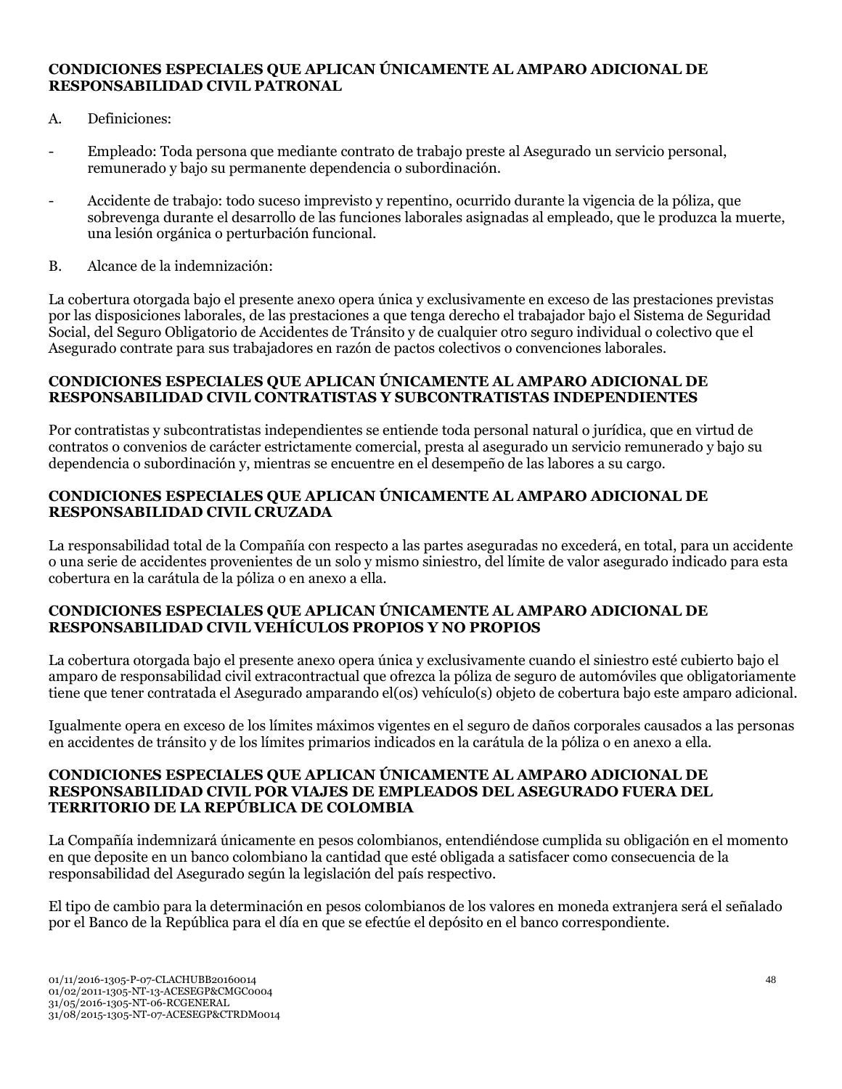### **CONDICIONES ESPECIALES QUE APLICAN ÚNICAMENTE AL AMPARO ADICIONAL DE RESPONSABILIDAD CIVIL PATRONAL**

- A. Definiciones:
- Empleado: Toda persona que mediante contrato de trabajo preste al Asegurado un servicio personal, remunerado y bajo su permanente dependencia o subordinación.
- Accidente de trabajo: todo suceso imprevisto y repentino, ocurrido durante la vigencia de la póliza, que sobrevenga durante el desarrollo de las funciones laborales asignadas al empleado, que le produzca la muerte, una lesión orgánica o perturbación funcional.
- B. Alcance de la indemnización:

La cobertura otorgada bajo el presente anexo opera única y exclusivamente en exceso de las prestaciones previstas por las disposiciones laborales, de las prestaciones a que tenga derecho el trabajador bajo el Sistema de Seguridad Social, del Seguro Obligatorio de Accidentes de Tránsito y de cualquier otro seguro individual o colectivo que el Asegurado contrate para sus trabajadores en razón de pactos colectivos o convenciones laborales.

#### **CONDICIONES ESPECIALES QUE APLICAN ÚNICAMENTE AL AMPARO ADICIONAL DE RESPONSABILIDAD CIVIL CONTRATISTAS Y SUBCONTRATISTAS INDEPENDIENTES**

Por contratistas y subcontratistas independientes se entiende toda personal natural o jurídica, que en virtud de contratos o convenios de carácter estrictamente comercial, presta al asegurado un servicio remunerado y bajo su dependencia o subordinación y, mientras se encuentre en el desempeño de las labores a su cargo.

### **CONDICIONES ESPECIALES QUE APLICAN ÚNICAMENTE AL AMPARO ADICIONAL DE RESPONSABILIDAD CIVIL CRUZADA**

La responsabilidad total de la Compañía con respecto a las partes aseguradas no excederá, en total, para un accidente o una serie de accidentes provenientes de un solo y mismo siniestro, del límite de valor asegurado indicado para esta cobertura en la carátula de la póliza o en anexo a ella.

#### **CONDICIONES ESPECIALES QUE APLICAN ÚNICAMENTE AL AMPARO ADICIONAL DE RESPONSABILIDAD CIVIL VEHÍCULOS PROPIOS Y NO PROPIOS**

La cobertura otorgada bajo el presente anexo opera única y exclusivamente cuando el siniestro esté cubierto bajo el amparo de responsabilidad civil extracontractual que ofrezca la póliza de seguro de automóviles que obligatoriamente tiene que tener contratada el Asegurado amparando el(os) vehículo(s) objeto de cobertura bajo este amparo adicional.

Igualmente opera en exceso de los límites máximos vigentes en el seguro de daños corporales causados a las personas en accidentes de tránsito y de los límites primarios indicados en la carátula de la póliza o en anexo a ella.

#### **CONDICIONES ESPECIALES QUE APLICAN ÚNICAMENTE AL AMPARO ADICIONAL DE RESPONSABILIDAD CIVIL POR VIAJES DE EMPLEADOS DEL ASEGURADO FUERA DEL TERRITORIO DE LA REPÚBLICA DE COLOMBIA**

La Compañía indemnizará únicamente en pesos colombianos, entendiéndose cumplida su obligación en el momento en que deposite en un banco colombiano la cantidad que esté obligada a satisfacer como consecuencia de la responsabilidad del Asegurado según la legislación del país respectivo.

El tipo de cambio para la determinación en pesos colombianos de los valores en moneda extranjera será el señalado por el Banco de la República para el día en que se efectúe el depósito en el banco correspondiente.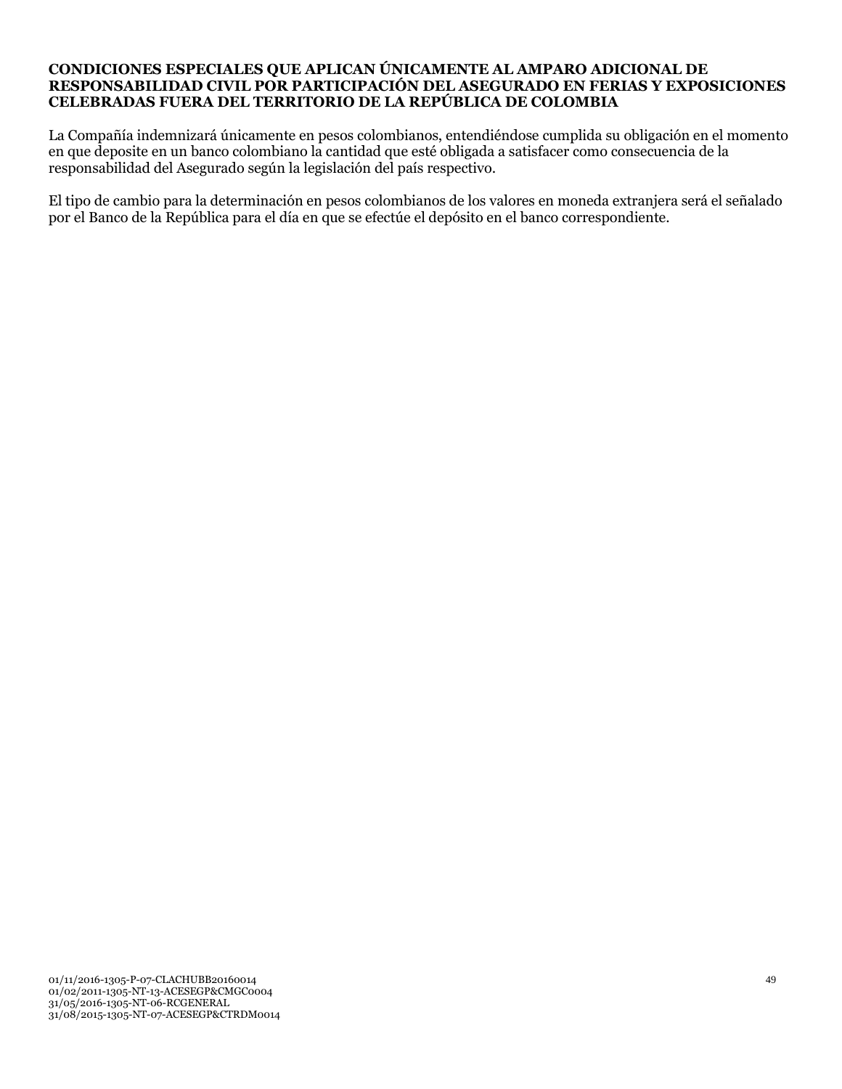### **CONDICIONES ESPECIALES QUE APLICAN ÚNICAMENTE AL AMPARO ADICIONAL DE RESPONSABILIDAD CIVIL POR PARTICIPACIÓN DEL ASEGURADO EN FERIAS Y EXPOSICIONES CELEBRADAS FUERA DEL TERRITORIO DE LA REPÚBLICA DE COLOMBIA**

La Compañía indemnizará únicamente en pesos colombianos, entendiéndose cumplida su obligación en el momento en que deposite en un banco colombiano la cantidad que esté obligada a satisfacer como consecuencia de la responsabilidad del Asegurado según la legislación del país respectivo.

El tipo de cambio para la determinación en pesos colombianos de los valores en moneda extranjera será el señalado por el Banco de la República para el día en que se efectúe el depósito en el banco correspondiente.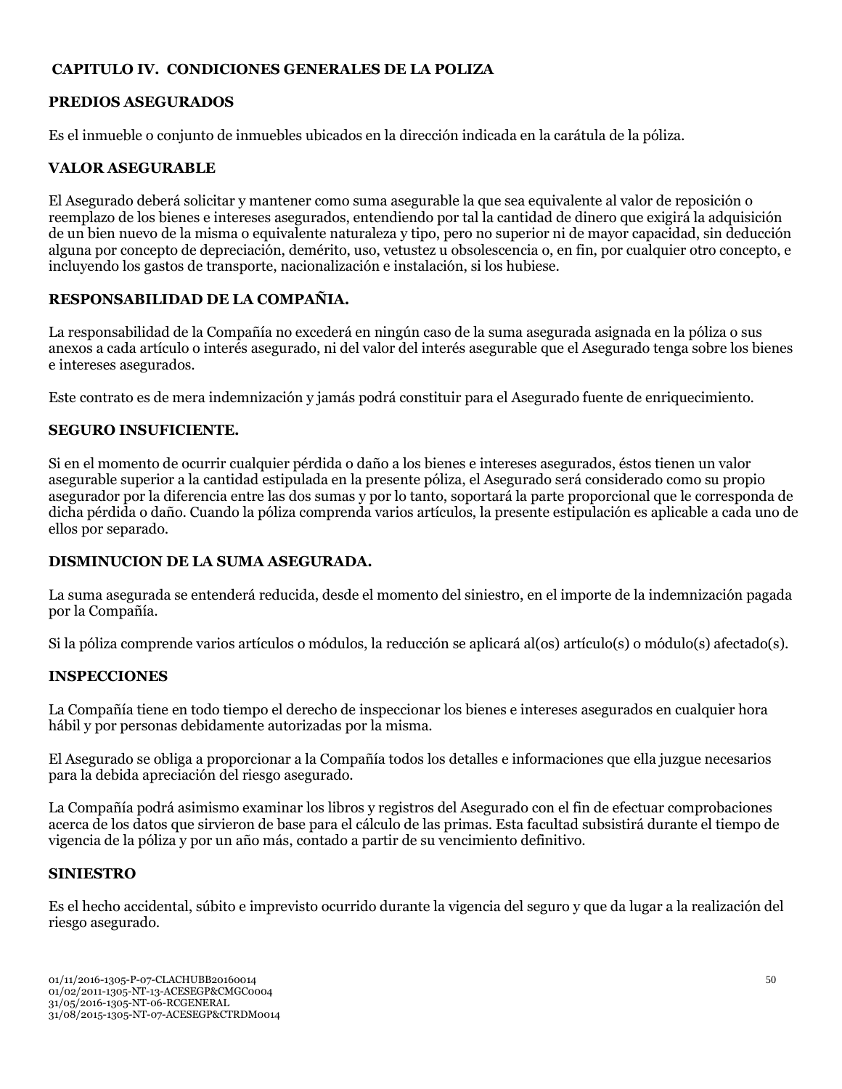## **CAPITULO IV. CONDICIONES GENERALES DE LA POLIZA**

## **PREDIOS ASEGURADOS**

Es el inmueble o conjunto de inmuebles ubicados en la dirección indicada en la carátula de la póliza.

## **VALOR ASEGURABLE**

El Asegurado deberá solicitar y mantener como suma asegurable la que sea equivalente al valor de reposición o reemplazo de los bienes e intereses asegurados, entendiendo por tal la cantidad de dinero que exigirá la adquisición de un bien nuevo de la misma o equivalente naturaleza y tipo, pero no superior ni de mayor capacidad, sin deducción alguna por concepto de depreciación, demérito, uso, vetustez u obsolescencia o, en fin, por cualquier otro concepto, e incluyendo los gastos de transporte, nacionalización e instalación, si los hubiese.

## **RESPONSABILIDAD DE LA COMPAÑIA.**

La responsabilidad de la Compañía no excederá en ningún caso de la suma asegurada asignada en la póliza o sus anexos a cada artículo o interés asegurado, ni del valor del interés asegurable que el Asegurado tenga sobre los bienes e intereses asegurados.

Este contrato es de mera indemnización y jamás podrá constituir para el Asegurado fuente de enriquecimiento.

## **SEGURO INSUFICIENTE.**

Si en el momento de ocurrir cualquier pérdida o daño a los bienes e intereses asegurados, éstos tienen un valor asegurable superior a la cantidad estipulada en la presente póliza, el Asegurado será considerado como su propio asegurador por la diferencia entre las dos sumas y por lo tanto, soportará la parte proporcional que le corresponda de dicha pérdida o daño. Cuando la póliza comprenda varios artículos, la presente estipulación es aplicable a cada uno de ellos por separado.

## **DISMINUCION DE LA SUMA ASEGURADA.**

La suma asegurada se entenderá reducida, desde el momento del siniestro, en el importe de la indemnización pagada por la Compañía.

Si la póliza comprende varios artículos o módulos, la reducción se aplicará al(os) artículo(s) o módulo(s) afectado(s).

## **INSPECCIONES**

La Compañía tiene en todo tiempo el derecho de inspeccionar los bienes e intereses asegurados en cualquier hora hábil y por personas debidamente autorizadas por la misma.

El Asegurado se obliga a proporcionar a la Compañía todos los detalles e informaciones que ella juzgue necesarios para la debida apreciación del riesgo asegurado.

La Compañía podrá asimismo examinar los libros y registros del Asegurado con el fin de efectuar comprobaciones acerca de los datos que sirvieron de base para el cálculo de las primas. Esta facultad subsistirá durante el tiempo de vigencia de la póliza y por un año más, contado a partir de su vencimiento definitivo.

## **SINIESTRO**

Es el hecho accidental, súbito e imprevisto ocurrido durante la vigencia del seguro y que da lugar a la realización del riesgo asegurado.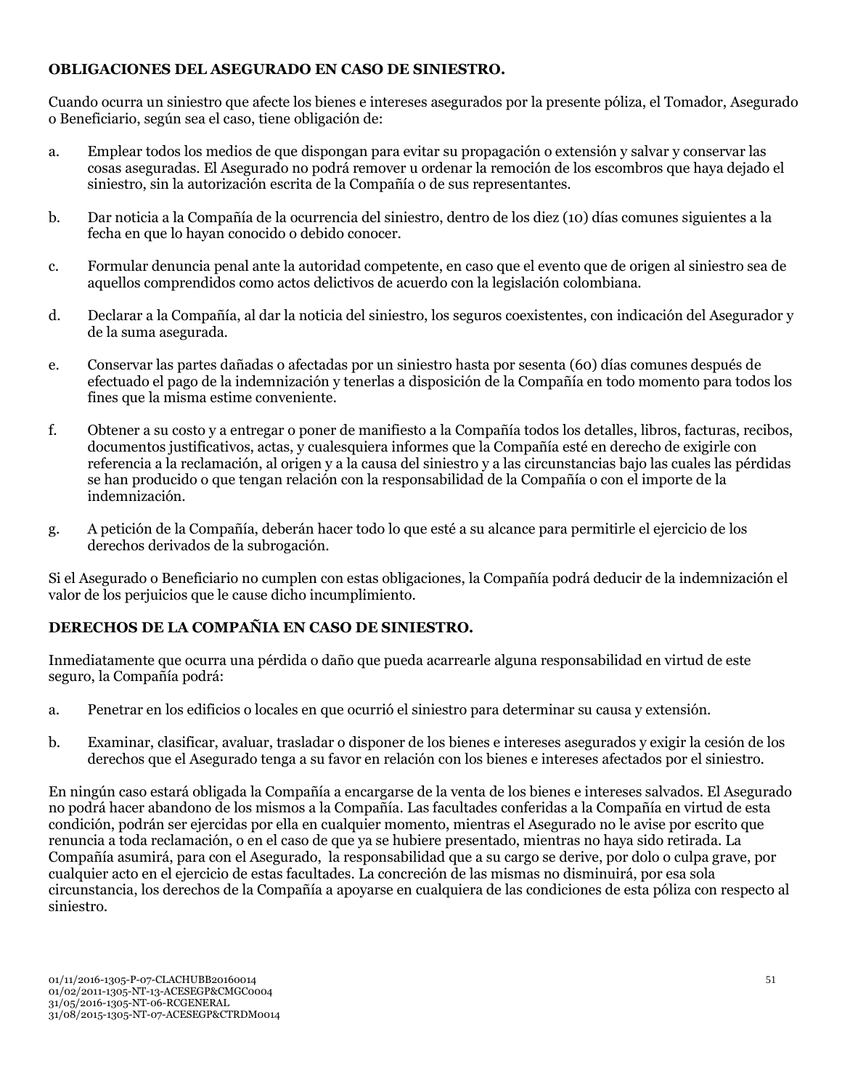## **OBLIGACIONES DEL ASEGURADO EN CASO DE SINIESTRO.**

Cuando ocurra un siniestro que afecte los bienes e intereses asegurados por la presente póliza, el Tomador, Asegurado o Beneficiario, según sea el caso, tiene obligación de:

- a. Emplear todos los medios de que dispongan para evitar su propagación o extensión y salvar y conservar las cosas aseguradas. El Asegurado no podrá remover u ordenar la remoción de los escombros que haya dejado el siniestro, sin la autorización escrita de la Compañía o de sus representantes.
- b. Dar noticia a la Compañía de la ocurrencia del siniestro, dentro de los diez (10) días comunes siguientes a la fecha en que lo hayan conocido o debido conocer.
- c. Formular denuncia penal ante la autoridad competente, en caso que el evento que de origen al siniestro sea de aquellos comprendidos como actos delictivos de acuerdo con la legislación colombiana.
- d. Declarar a la Compañía, al dar la noticia del siniestro, los seguros coexistentes, con indicación del Asegurador y de la suma asegurada.
- e. Conservar las partes dañadas o afectadas por un siniestro hasta por sesenta (60) días comunes después de efectuado el pago de la indemnización y tenerlas a disposición de la Compañía en todo momento para todos los fines que la misma estime conveniente.
- f. Obtener a su costo y a entregar o poner de manifiesto a la Compañía todos los detalles, libros, facturas, recibos, documentos justificativos, actas, y cualesquiera informes que la Compañía esté en derecho de exigirle con referencia a la reclamación, al origen y a la causa del siniestro y a las circunstancias bajo las cuales las pérdidas se han producido o que tengan relación con la responsabilidad de la Compañía o con el importe de la indemnización.
- g. A petición de la Compañía, deberán hacer todo lo que esté a su alcance para permitirle el ejercicio de los derechos derivados de la subrogación.

Si el Asegurado o Beneficiario no cumplen con estas obligaciones, la Compañía podrá deducir de la indemnización el valor de los perjuicios que le cause dicho incumplimiento.

## **DERECHOS DE LA COMPAÑIA EN CASO DE SINIESTRO.**

Inmediatamente que ocurra una pérdida o daño que pueda acarrearle alguna responsabilidad en virtud de este seguro, la Compañía podrá:

- a. Penetrar en los edificios o locales en que ocurrió el siniestro para determinar su causa y extensión.
- b. Examinar, clasificar, avaluar, trasladar o disponer de los bienes e intereses asegurados y exigir la cesión de los derechos que el Asegurado tenga a su favor en relación con los bienes e intereses afectados por el siniestro.

En ningún caso estará obligada la Compañía a encargarse de la venta de los bienes e intereses salvados. El Asegurado no podrá hacer abandono de los mismos a la Compañía. Las facultades conferidas a la Compañía en virtud de esta condición, podrán ser ejercidas por ella en cualquier momento, mientras el Asegurado no le avise por escrito que renuncia a toda reclamación, o en el caso de que ya se hubiere presentado, mientras no haya sido retirada. La Compañía asumirá, para con el Asegurado, la responsabilidad que a su cargo se derive, por dolo o culpa grave, por cualquier acto en el ejercicio de estas facultades. La concreción de las mismas no disminuirá, por esa sola circunstancia, los derechos de la Compañía a apoyarse en cualquiera de las condiciones de esta póliza con respecto al siniestro.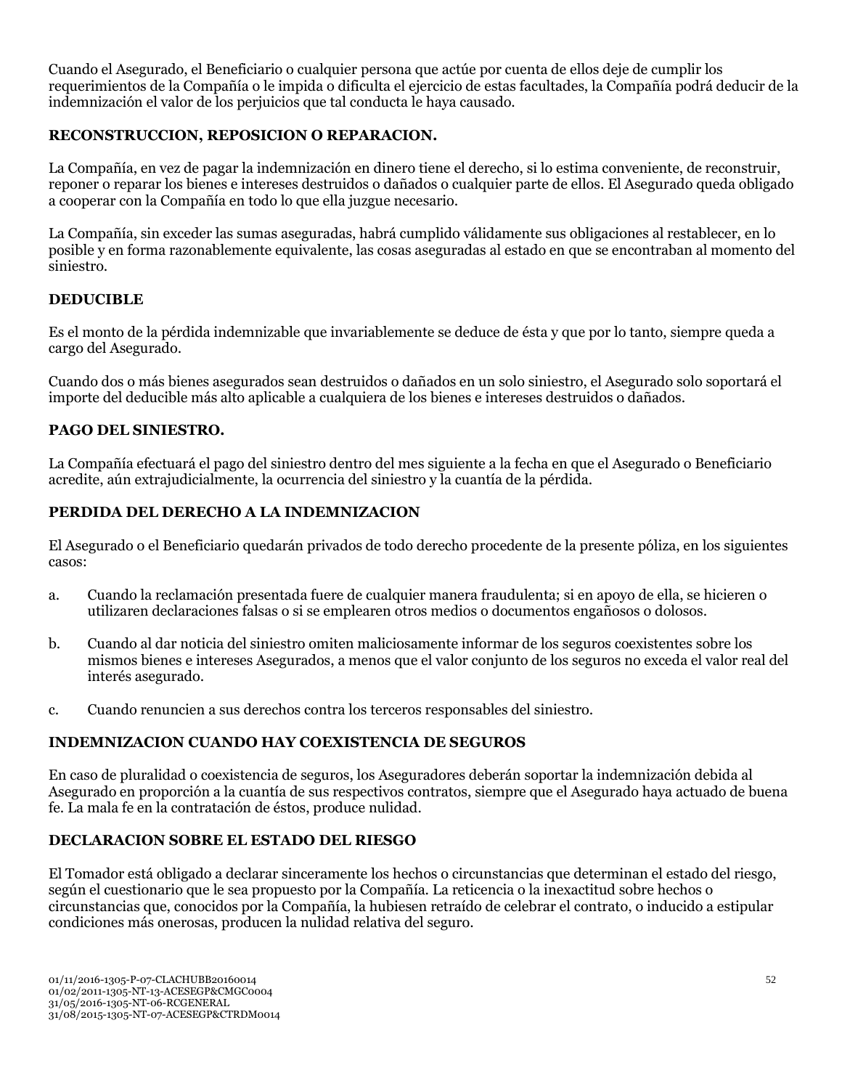Cuando el Asegurado, el Beneficiario o cualquier persona que actúe por cuenta de ellos deje de cumplir los requerimientos de la Compañía o le impida o dificulta el ejercicio de estas facultades, la Compañía podrá deducir de la indemnización el valor de los perjuicios que tal conducta le haya causado.

## **RECONSTRUCCION, REPOSICION O REPARACION.**

La Compañía, en vez de pagar la indemnización en dinero tiene el derecho, si lo estima conveniente, de reconstruir, reponer o reparar los bienes e intereses destruidos o dañados o cualquier parte de ellos. El Asegurado queda obligado a cooperar con la Compañía en todo lo que ella juzgue necesario.

La Compañía, sin exceder las sumas aseguradas, habrá cumplido válidamente sus obligaciones al restablecer, en lo posible y en forma razonablemente equivalente, las cosas aseguradas al estado en que se encontraban al momento del siniestro.

## **DEDUCIBLE**

Es el monto de la pérdida indemnizable que invariablemente se deduce de ésta y que por lo tanto, siempre queda a cargo del Asegurado.

Cuando dos o más bienes asegurados sean destruidos o dañados en un solo siniestro, el Asegurado solo soportará el importe del deducible más alto aplicable a cualquiera de los bienes e intereses destruidos o dañados.

### **PAGO DEL SINIESTRO.**

La Compañía efectuará el pago del siniestro dentro del mes siguiente a la fecha en que el Asegurado o Beneficiario acredite, aún extrajudicialmente, la ocurrencia del siniestro y la cuantía de la pérdida.

### **PERDIDA DEL DERECHO A LA INDEMNIZACION**

El Asegurado o el Beneficiario quedarán privados de todo derecho procedente de la presente póliza, en los siguientes casos:

- a. Cuando la reclamación presentada fuere de cualquier manera fraudulenta; si en apoyo de ella, se hicieren o utilizaren declaraciones falsas o si se emplearen otros medios o documentos engañosos o dolosos.
- b. Cuando al dar noticia del siniestro omiten maliciosamente informar de los seguros coexistentes sobre los mismos bienes e intereses Asegurados, a menos que el valor conjunto de los seguros no exceda el valor real del interés asegurado.
- c. Cuando renuncien a sus derechos contra los terceros responsables del siniestro.

#### **INDEMNIZACION CUANDO HAY COEXISTENCIA DE SEGUROS**

En caso de pluralidad o coexistencia de seguros, los Aseguradores deberán soportar la indemnización debida al Asegurado en proporción a la cuantía de sus respectivos contratos, siempre que el Asegurado haya actuado de buena fe. La mala fe en la contratación de éstos, produce nulidad.

## **DECLARACION SOBRE EL ESTADO DEL RIESGO**

El Tomador está obligado a declarar sinceramente los hechos o circunstancias que determinan el estado del riesgo, según el cuestionario que le sea propuesto por la Compañía. La reticencia o la inexactitud sobre hechos o circunstancias que, conocidos por la Compañía, la hubiesen retraído de celebrar el contrato, o inducido a estipular condiciones más onerosas, producen la nulidad relativa del seguro.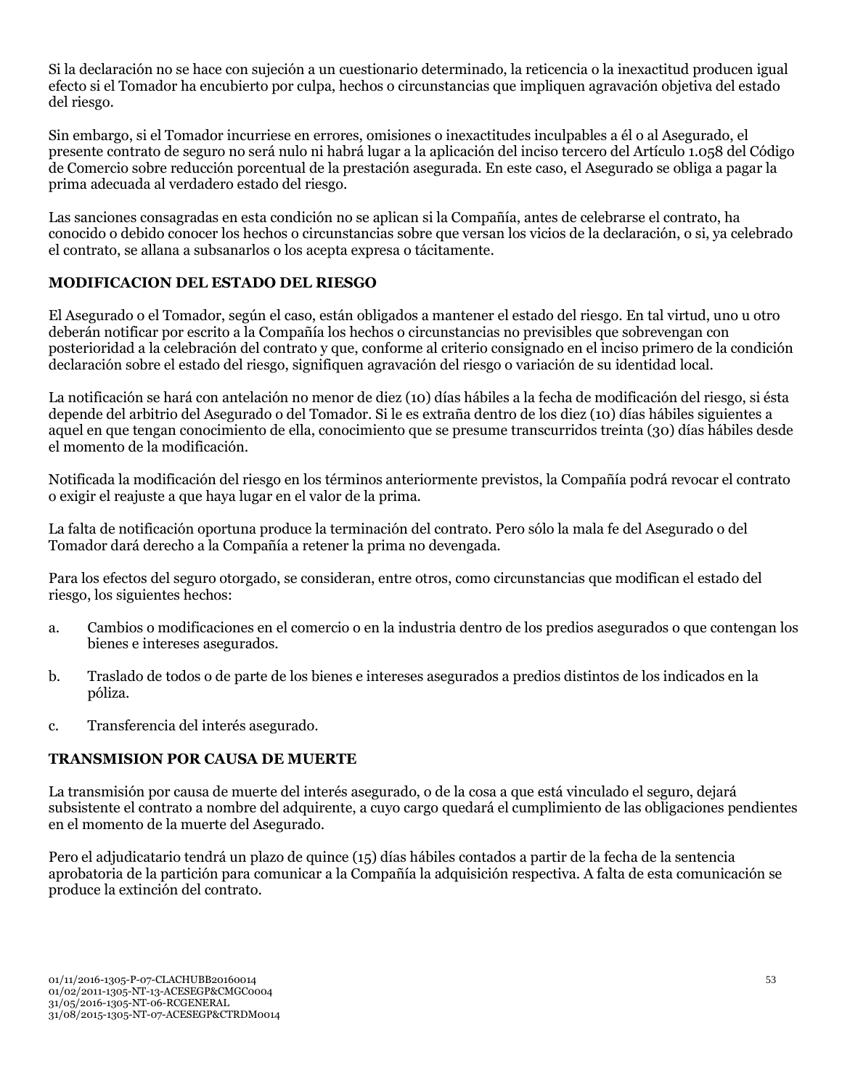Si la declaración no se hace con sujeción a un cuestionario determinado, la reticencia o la inexactitud producen igual efecto si el Tomador ha encubierto por culpa, hechos o circunstancias que impliquen agravación objetiva del estado del riesgo.

Sin embargo, si el Tomador incurriese en errores, omisiones o inexactitudes inculpables a él o al Asegurado, el presente contrato de seguro no será nulo ni habrá lugar a la aplicación del inciso tercero del Artículo 1.058 del Código de Comercio sobre reducción porcentual de la prestación asegurada. En este caso, el Asegurado se obliga a pagar la prima adecuada al verdadero estado del riesgo.

Las sanciones consagradas en esta condición no se aplican si la Compañía, antes de celebrarse el contrato, ha conocido o debido conocer los hechos o circunstancias sobre que versan los vicios de la declaración, o si, ya celebrado el contrato, se allana a subsanarlos o los acepta expresa o tácitamente.

## **MODIFICACION DEL ESTADO DEL RIESGO**

El Asegurado o el Tomador, según el caso, están obligados a mantener el estado del riesgo. En tal virtud, uno u otro deberán notificar por escrito a la Compañía los hechos o circunstancias no previsibles que sobrevengan con posterioridad a la celebración del contrato y que, conforme al criterio consignado en el inciso primero de la condición declaración sobre el estado del riesgo, signifiquen agravación del riesgo o variación de su identidad local.

La notificación se hará con antelación no menor de diez (10) días hábiles a la fecha de modificación del riesgo, si ésta depende del arbitrio del Asegurado o del Tomador. Si le es extraña dentro de los diez (10) días hábiles siguientes a aquel en que tengan conocimiento de ella, conocimiento que se presume transcurridos treinta (30) días hábiles desde el momento de la modificación.

Notificada la modificación del riesgo en los términos anteriormente previstos, la Compañía podrá revocar el contrato o exigir el reajuste a que haya lugar en el valor de la prima.

La falta de notificación oportuna produce la terminación del contrato. Pero sólo la mala fe del Asegurado o del Tomador dará derecho a la Compañía a retener la prima no devengada.

Para los efectos del seguro otorgado, se consideran, entre otros, como circunstancias que modifican el estado del riesgo, los siguientes hechos:

- a. Cambios o modificaciones en el comercio o en la industria dentro de los predios asegurados o que contengan los bienes e intereses asegurados.
- b. Traslado de todos o de parte de los bienes e intereses asegurados a predios distintos de los indicados en la póliza.
- c. Transferencia del interés asegurado.

## **TRANSMISION POR CAUSA DE MUERTE**

La transmisión por causa de muerte del interés asegurado, o de la cosa a que está vinculado el seguro, dejará subsistente el contrato a nombre del adquirente, a cuyo cargo quedará el cumplimiento de las obligaciones pendientes en el momento de la muerte del Asegurado.

Pero el adjudicatario tendrá un plazo de quince (15) días hábiles contados a partir de la fecha de la sentencia aprobatoria de la partición para comunicar a la Compañía la adquisición respectiva. A falta de esta comunicación se produce la extinción del contrato.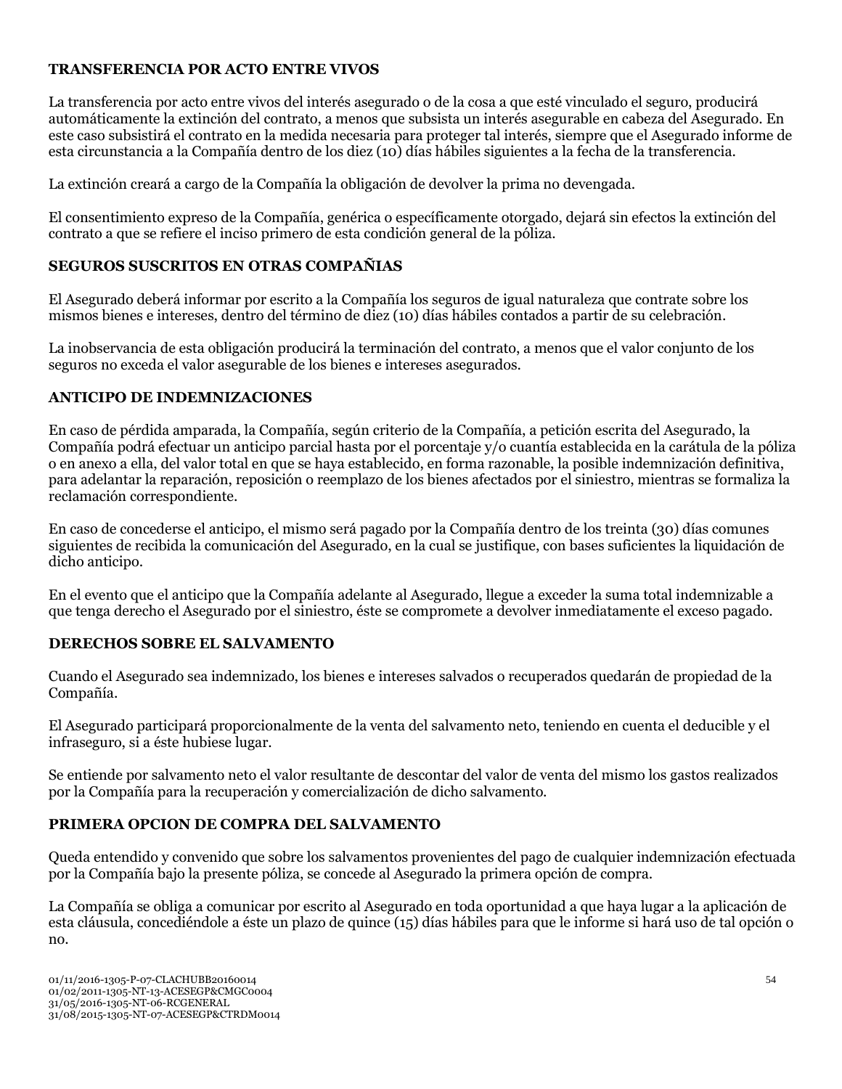## **TRANSFERENCIA POR ACTO ENTRE VIVOS**

La transferencia por acto entre vivos del interés asegurado o de la cosa a que esté vinculado el seguro, producirá automáticamente la extinción del contrato, a menos que subsista un interés asegurable en cabeza del Asegurado. En este caso subsistirá el contrato en la medida necesaria para proteger tal interés, siempre que el Asegurado informe de esta circunstancia a la Compañía dentro de los diez (10) días hábiles siguientes a la fecha de la transferencia.

La extinción creará a cargo de la Compañía la obligación de devolver la prima no devengada.

El consentimiento expreso de la Compañía, genérica o específicamente otorgado, dejará sin efectos la extinción del contrato a que se refiere el inciso primero de esta condición general de la póliza.

## **SEGUROS SUSCRITOS EN OTRAS COMPAÑIAS**

El Asegurado deberá informar por escrito a la Compañía los seguros de igual naturaleza que contrate sobre los mismos bienes e intereses, dentro del término de diez (10) días hábiles contados a partir de su celebración.

La inobservancia de esta obligación producirá la terminación del contrato, a menos que el valor conjunto de los seguros no exceda el valor asegurable de los bienes e intereses asegurados.

## **ANTICIPO DE INDEMNIZACIONES**

En caso de pérdida amparada, la Compañía, según criterio de la Compañía, a petición escrita del Asegurado, la Compañía podrá efectuar un anticipo parcial hasta por el porcentaje y/o cuantía establecida en la carátula de la póliza o en anexo a ella, del valor total en que se haya establecido, en forma razonable, la posible indemnización definitiva, para adelantar la reparación, reposición o reemplazo de los bienes afectados por el siniestro, mientras se formaliza la reclamación correspondiente.

En caso de concederse el anticipo, el mismo será pagado por la Compañía dentro de los treinta (30) días comunes siguientes de recibida la comunicación del Asegurado, en la cual se justifique, con bases suficientes la liquidación de dicho anticipo.

En el evento que el anticipo que la Compañía adelante al Asegurado, llegue a exceder la suma total indemnizable a que tenga derecho el Asegurado por el siniestro, éste se compromete a devolver inmediatamente el exceso pagado.

## **DERECHOS SOBRE EL SALVAMENTO**

Cuando el Asegurado sea indemnizado, los bienes e intereses salvados o recuperados quedarán de propiedad de la Compañía.

El Asegurado participará proporcionalmente de la venta del salvamento neto, teniendo en cuenta el deducible y el infraseguro, si a éste hubiese lugar.

Se entiende por salvamento neto el valor resultante de descontar del valor de venta del mismo los gastos realizados por la Compañía para la recuperación y comercialización de dicho salvamento.

## **PRIMERA OPCION DE COMPRA DEL SALVAMENTO**

Queda entendido y convenido que sobre los salvamentos provenientes del pago de cualquier indemnización efectuada por la Compañía bajo la presente póliza, se concede al Asegurado la primera opción de compra.

La Compañía se obliga a comunicar por escrito al Asegurado en toda oportunidad a que haya lugar a la aplicación de esta cláusula, concediéndole a éste un plazo de quince (15) días hábiles para que le informe si hará uso de tal opción o no.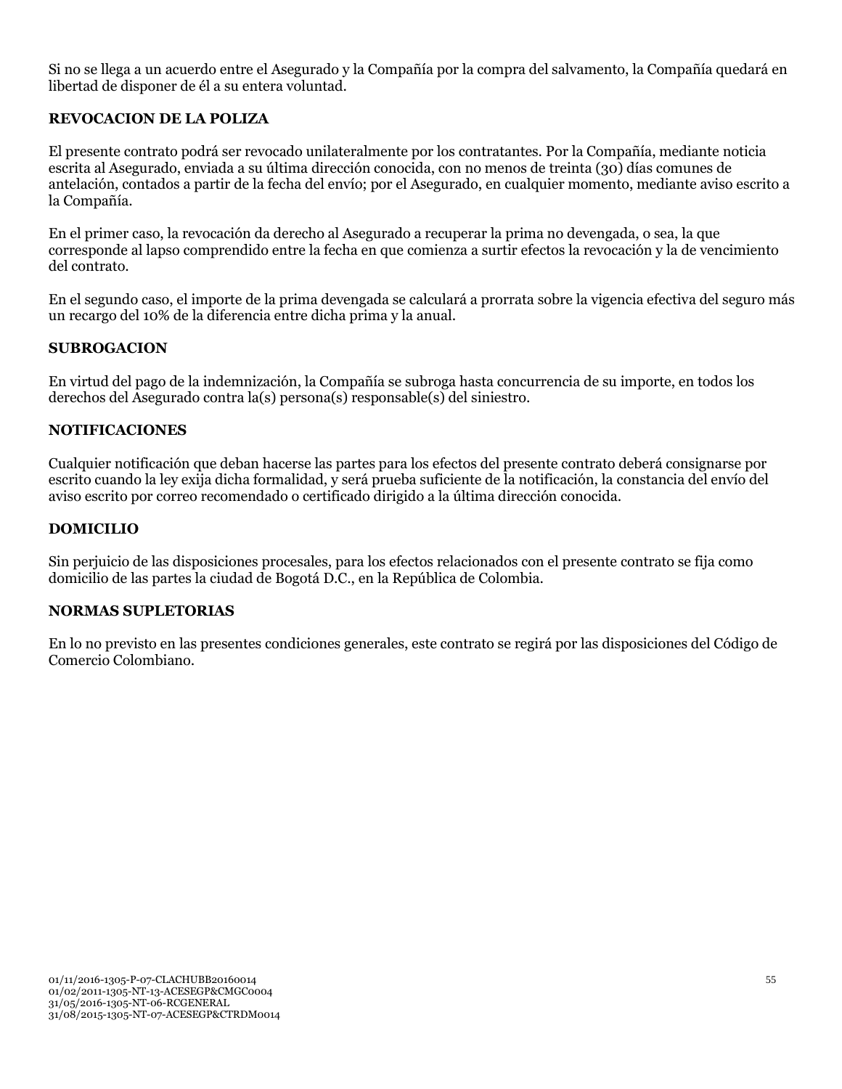Si no se llega a un acuerdo entre el Asegurado y la Compañía por la compra del salvamento, la Compañía quedará en libertad de disponer de él a su entera voluntad.

## **REVOCACION DE LA POLIZA**

El presente contrato podrá ser revocado unilateralmente por los contratantes. Por la Compañía, mediante noticia escrita al Asegurado, enviada a su última dirección conocida, con no menos de treinta (30) días comunes de antelación, contados a partir de la fecha del envío; por el Asegurado, en cualquier momento, mediante aviso escrito a la Compañía.

En el primer caso, la revocación da derecho al Asegurado a recuperar la prima no devengada, o sea, la que corresponde al lapso comprendido entre la fecha en que comienza a surtir efectos la revocación y la de vencimiento del contrato.

En el segundo caso, el importe de la prima devengada se calculará a prorrata sobre la vigencia efectiva del seguro más un recargo del 10% de la diferencia entre dicha prima y la anual.

#### **SUBROGACION**

En virtud del pago de la indemnización, la Compañía se subroga hasta concurrencia de su importe, en todos los derechos del Asegurado contra la(s) persona(s) responsable(s) del siniestro.

#### **NOTIFICACIONES**

Cualquier notificación que deban hacerse las partes para los efectos del presente contrato deberá consignarse por escrito cuando la ley exija dicha formalidad, y será prueba suficiente de la notificación, la constancia del envío del aviso escrito por correo recomendado o certificado dirigido a la última dirección conocida.

#### **DOMICILIO**

Sin perjuicio de las disposiciones procesales, para los efectos relacionados con el presente contrato se fija como domicilio de las partes la ciudad de Bogotá D.C., en la República de Colombia.

#### **NORMAS SUPLETORIAS**

En lo no previsto en las presentes condiciones generales, este contrato se regirá por las disposiciones del Código de Comercio Colombiano.